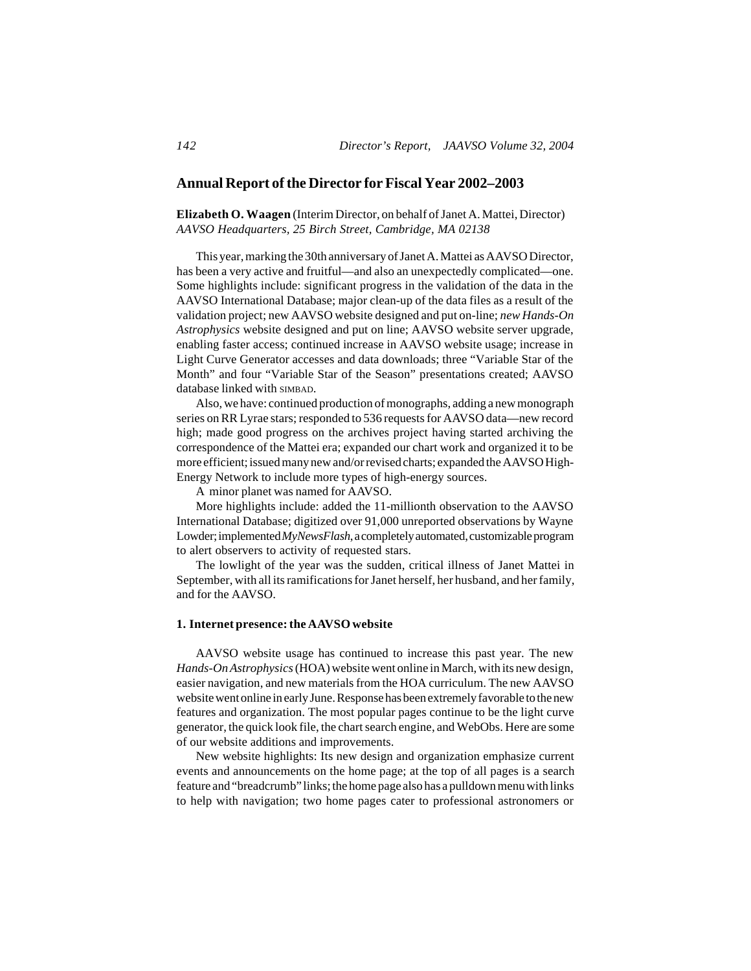# **Annual Report of the Director for Fiscal Year 2002–2003**

**Elizabeth O. Waagen** (Interim Director, on behalf of Janet A. Mattei, Director) *AAVSO Headquarters, 25 Birch Street, Cambridge, MA 02138*

This year, marking the 30th anniversary of Janet A. Mattei as AAVSO Director, has been a very active and fruitful—and also an unexpectedly complicated—one. Some highlights include: significant progress in the validation of the data in the AAVSO International Database; major clean-up of the data files as a result of the validation project; new AAVSO website designed and put on-line; *new Hands-On Astrophysics* website designed and put on line; AAVSO website server upgrade, enabling faster access; continued increase in AAVSO website usage; increase in Light Curve Generator accesses and data downloads; three "Variable Star of the Month" and four "Variable Star of the Season" presentations created; AAVSO database linked with SIMBAD.

Also, we have: continued production of monographs, adding a new monograph series on RR Lyrae stars; responded to 536 requests for AAVSO data—new record high; made good progress on the archives project having started archiving the correspondence of the Mattei era; expanded our chart work and organized it to be more efficient; issued many new and/or revised charts; expanded the AAVSO High-Energy Network to include more types of high-energy sources.

A minor planet was named for AAVSO.

More highlights include: added the 11-millionth observation to the AAVSO International Database; digitized over 91,000 unreported observations by Wayne Lowder; implemented *MyNewsFlash*, a completely automated, customizable program to alert observers to activity of requested stars.

The lowlight of the year was the sudden, critical illness of Janet Mattei in September, with all its ramifications for Janet herself, her husband, and her family, and for the AAVSO.

### **1. Internet presence: the AAVSO website**

AAVSO website usage has continued to increase this past year. The new *Hands-On Astrophysics* (HOA) website went online in March, with its new design, easier navigation, and new materials from the HOA curriculum. The new AAVSO website went online in early June. Response has been extremely favorable to the new features and organization. The most popular pages continue to be the light curve generator, the quick look file, the chart search engine, and WebObs. Here are some of our website additions and improvements.

New website highlights: Its new design and organization emphasize current events and announcements on the home page; at the top of all pages is a search feature and "breadcrumb" links; the home page also has a pulldown menu with links to help with navigation; two home pages cater to professional astronomers or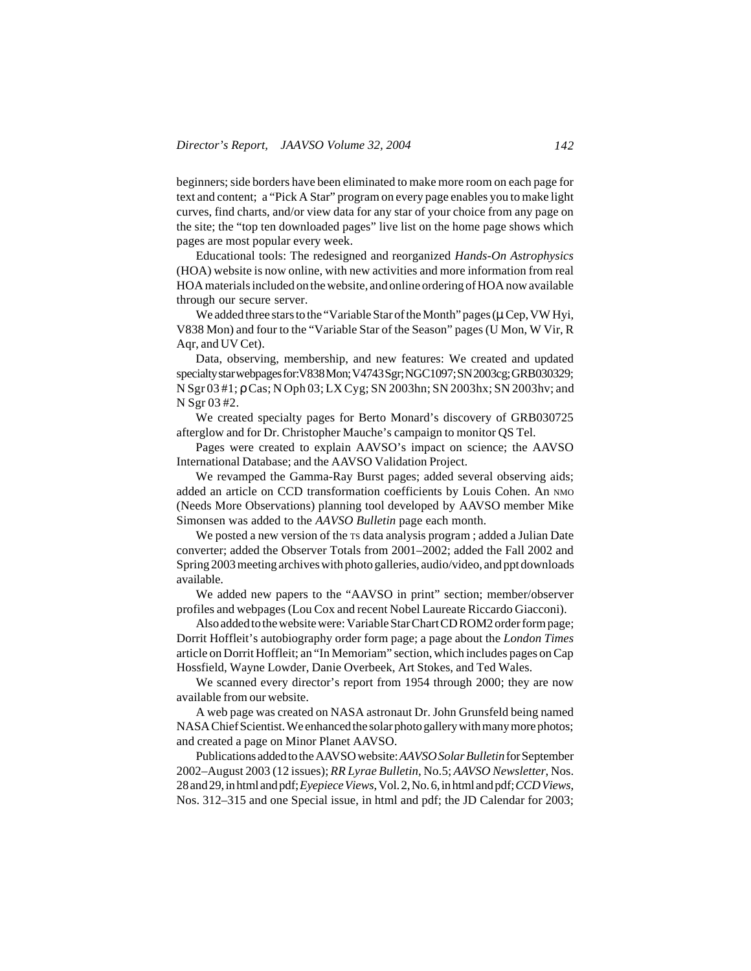beginners; side borders have been eliminated to make more room on each page for text and content; a "Pick A Star" program on every page enables you to make light curves, find charts, and/or view data for any star of your choice from any page on the site; the "top ten downloaded pages" live list on the home page shows which pages are most popular every week.

Educational tools: The redesigned and reorganized *Hands-On Astrophysics* (HOA) website is now online, with new activities and more information from real HOA materials included on the website, and online ordering of HOA now available through our secure server.

We added three stars to the "Variable Star of the Month" pages ( $\mu$  Cep, VW Hyi, V838 Mon) and four to the "Variable Star of the Season" pages (U Mon, W Vir, R Aqr, and UV Cet).

Data, observing, membership, and new features: We created and updated specialty star webpages for: V838 Mon; V4743 Sgr; NGC1097; SN 2003cg; GRB030329; N Sgr 03 #1; ρ Cas; N Oph 03; LX Cyg; SN 2003hn; SN 2003hx; SN 2003hv; and N Sgr 03 #2.

We created specialty pages for Berto Monard's discovery of GRB030725 afterglow and for Dr. Christopher Mauche's campaign to monitor QS Tel.

Pages were created to explain AAVSO's impact on science; the AAVSO International Database; and the AAVSO Validation Project.

We revamped the Gamma-Ray Burst pages; added several observing aids; added an article on CCD transformation coefficients by Louis Cohen. An NMO (Needs More Observations) planning tool developed by AAVSO member Mike Simonsen was added to the *AAVSO Bulletin* page each month.

We posted a new version of the TS data analysis program; added a Julian Date converter; added the Observer Totals from 2001–2002; added the Fall 2002 and Spring 2003 meeting archives with photo galleries, audio/video, and ppt downloads available.

We added new papers to the "AAVSO in print" section; member/observer profiles and webpages (Lou Cox and recent Nobel Laureate Riccardo Giacconi).

Also added to the website were: Variable Star Chart CD ROM2 order form page; Dorrit Hoffleit's autobiography order form page; a page about the *London Times* article on Dorrit Hoffleit; an "In Memoriam" section, which includes pages on Cap Hossfield, Wayne Lowder, Danie Overbeek, Art Stokes, and Ted Wales.

We scanned every director's report from 1954 through 2000; they are now available from our website.

A web page was created on NASA astronaut Dr. John Grunsfeld being named NASA Chief Scientist. We enhanced the solar photo gallery with many more photos; and created a page on Minor Planet AAVSO.

Publications added to the AAVSO website: *AAVSO Solar Bulletin* for September 2002–August 2003 (12 issues); *RR Lyrae Bulletin*, No.5; *AAVSO Newsletter*, Nos. 28 and 29, in html and pdf; *Eyepiece Views*, Vol. 2, No. 6, in html and pdf; *CCD Views*, Nos. 312–315 and one Special issue, in html and pdf; the JD Calendar for 2003;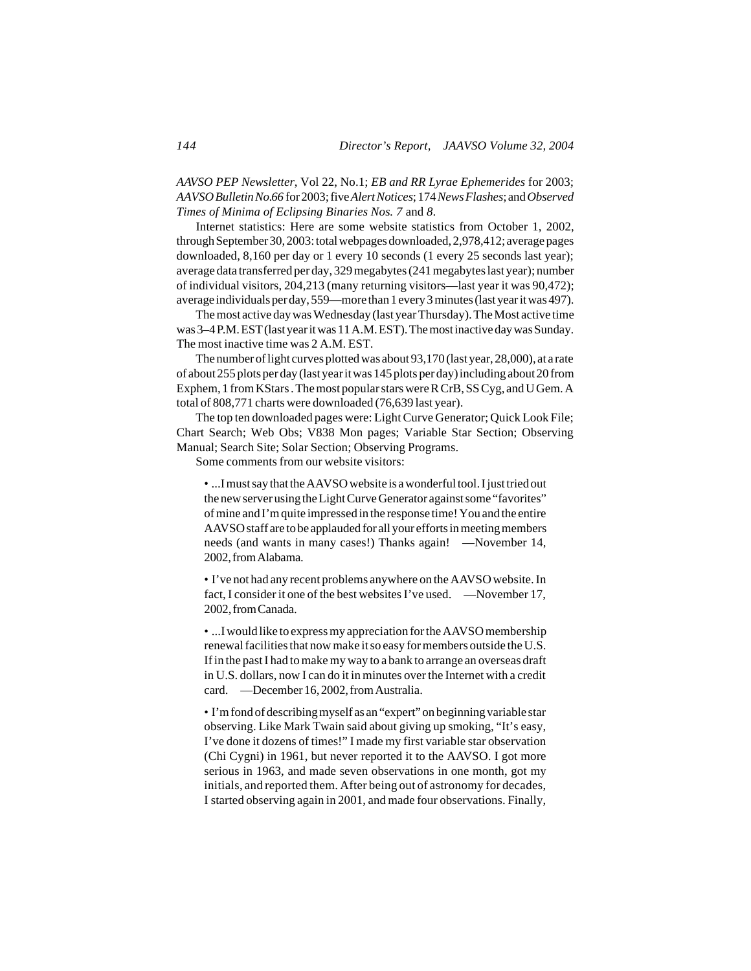*AAVSO PEP Newsletter*, Vol 22, No.1; *EB and RR Lyrae Ephemerides* for 2003; *AAVSO Bulletin No. 66* for 2003; five *Alert Notices*; 174 *News Flashes*; and *Observed Times of Minima of Eclipsing Binaries Nos. 7* and *8*.

Internet statistics: Here are some website statistics from October 1, 2002, through September 30, 2003: total webpages downloaded, 2,978,412; average pages downloaded, 8,160 per day or 1 every 10 seconds (1 every 25 seconds last year); average data transferred per day, 329 megabytes (241 megabytes last year); number of individual visitors, 204,213 (many returning visitors—last year it was 90,472); average individuals per day, 559—more than 1 every 3 minutes (last year it was 497).

The most active day was Wednesday (last year Thursday). The Most active time was 3–4 P.M. EST (last year it was 11 A.M. EST). The most inactive day was Sunday. The most inactive time was 2 A.M. EST.

The number of light curves plotted was about 93,170 (last year, 28,000), at a rate of about 255 plots per day (last year it was 145 plots per day) including about 20 from Exphem, 1 from KStars . The most popular stars were R CrB, SS Cyg, and U Gem. A total of 808,771 charts were downloaded (76,639 last year).

The top ten downloaded pages were: Light Curve Generator; Quick Look File; Chart Search; Web Obs; V838 Mon pages; Variable Star Section; Observing Manual; Search Site; Solar Section; Observing Programs.

Some comments from our website visitors:

• ...I must say that the AAVSO website is a wonderful tool. I just tried out the new server using the Light Curve Generator against some "favorites" of mine and I'm quite impressed in the response time! You and the entire AAVSO staff are to be applauded for all your efforts in meeting members needs (and wants in many cases!) Thanks again! —November 14, 2002, from Alabama.

• I've not had any recent problems anywhere on the AAVSO website. In fact, I consider it one of the best websites I've used. —November 17, 2002, from Canada.

• ...I would like to express my appreciation for the AAVSO membership renewal facilities that now make it so easy for members outside the U.S. If in the past I had to make my way to a bank to arrange an overseas draft in U.S. dollars, now I can do it in minutes over the Internet with a credit card. —December 16, 2002, from Australia.

• I'm fond of describing myself as an "expert" on beginning variable star observing. Like Mark Twain said about giving up smoking, "It's easy, I've done it dozens of times!" I made my first variable star observation (Chi Cygni) in 1961, but never reported it to the AAVSO. I got more serious in 1963, and made seven observations in one month, got my initials, and reported them. After being out of astronomy for decades, I started observing again in 2001, and made four observations. Finally,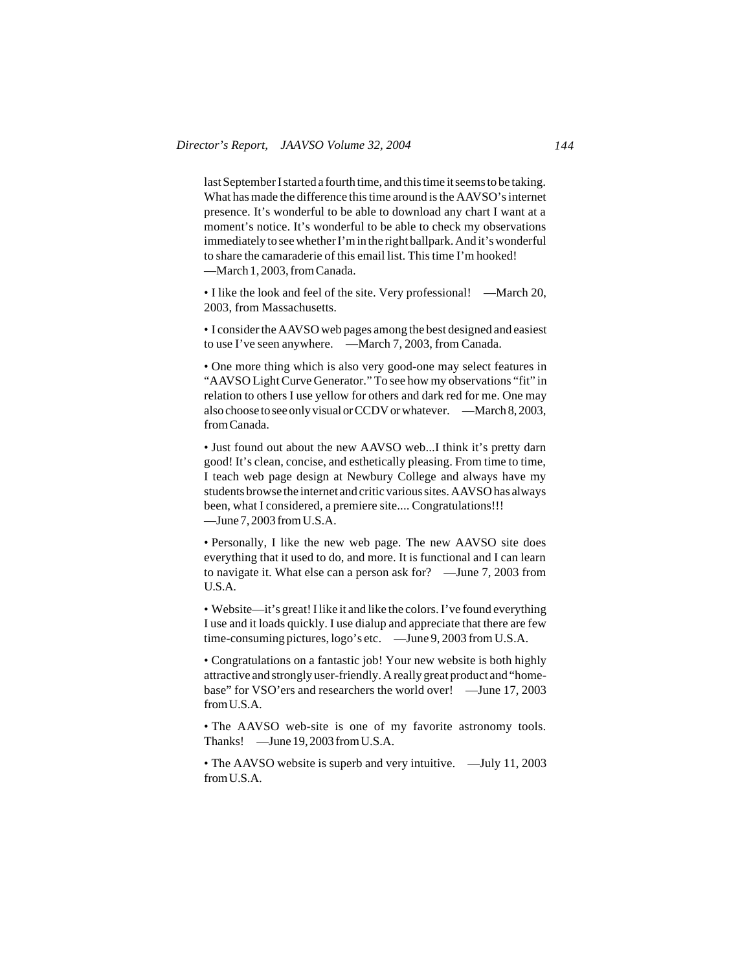last September I started a fourth time, and this time it seems to be taking. What has made the difference this time around is the AAVSO's internet presence. It's wonderful to be able to download any chart I want at a moment's notice. It's wonderful to be able to check my observations immediately to see whether I'm in the right ballpark. And it's wonderful to share the camaraderie of this email list. This time I'm hooked! —March 1, 2003, from Canada.

• I like the look and feel of the site. Very professional! —March 20, 2003, from Massachusetts.

• I consider the AAVSO web pages among the best designed and easiest to use I've seen anywhere. —March 7, 2003, from Canada.

• One more thing which is also very good-one may select features in "AAVSO Light Curve Generator." To see how my observations "fit" in relation to others I use yellow for others and dark red for me. One may also choose to see only visual or CCDV or whatever. —March 8, 2003, from Canada.

• Just found out about the new AAVSO web...I think it's pretty darn good! It's clean, concise, and esthetically pleasing. From time to time, I teach web page design at Newbury College and always have my students browse the internet and critic various sites. AAVSO has always been, what I considered, a premiere site.... Congratulations!!! —June 7, 2003 from U.S.A.

• Personally, I like the new web page. The new AAVSO site does everything that it used to do, and more. It is functional and I can learn to navigate it. What else can a person ask for? —June 7, 2003 from U.S.A.

• Website—it's great! I like it and like the colors. I've found everything I use and it loads quickly. I use dialup and appreciate that there are few time-consuming pictures, logo's etc. —June 9, 2003 from U.S.A.

• Congratulations on a fantastic job! Your new website is both highly attractive and strongly user-friendly. A really great product and "homebase" for VSO'ers and researchers the world over! —June 17, 2003 from U.S.A.

• The AAVSO web-site is one of my favorite astronomy tools. Thanks! —June 19, 2003 from U.S.A.

• The AAVSO website is superb and very intuitive. — July 11, 2003 from U.S.A.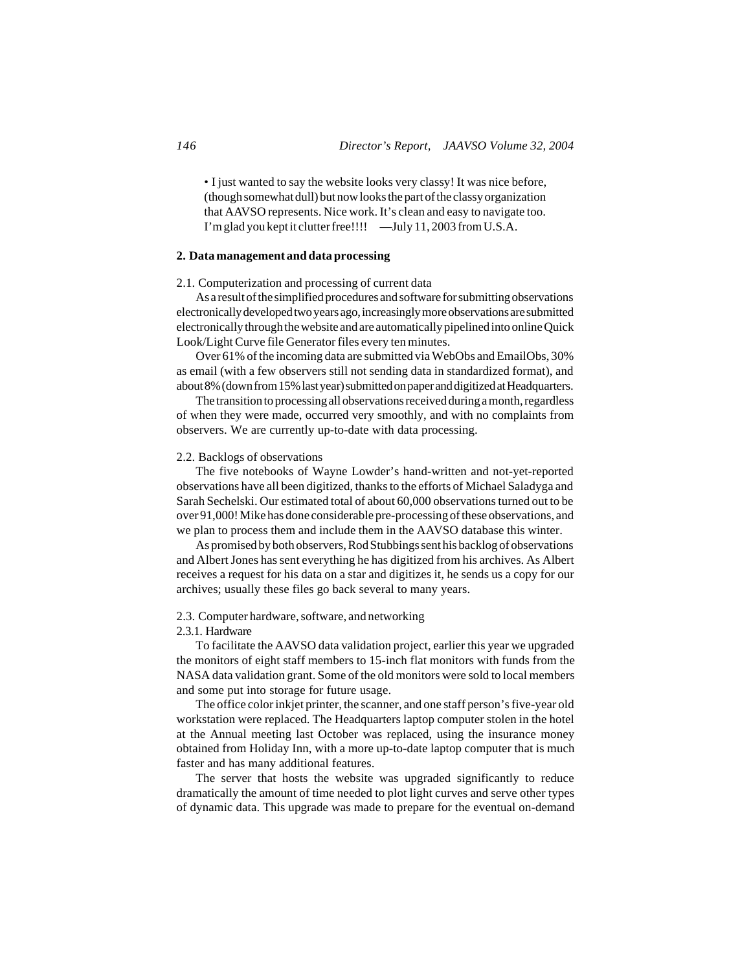• I just wanted to say the website looks very classy! It was nice before, (though somewhat dull) but now looks the part of the classy organization that AAVSO represents. Nice work. It's clean and easy to navigate too. I'm glad you kept it clutter free!!!! —July 11, 2003 from U.S.A.

# **2. Data management and data processing**

# 2.1. Computerization and processing of current data

As a result of the simplified procedures and software for submitting observations electronically developed two years ago, increasingly more observations are submitted electronically through the website and are automatically pipelined into online Quick Look/Light Curve file Generator files every ten minutes.

Over 61% of the incoming data are submitted via WebObs and EmailObs, 30% as email (with a few observers still not sending data in standardized format), and about 8% (down from 15% last year) submitted on paper and digitized at Headquarters.

The transition to processing all observations received during a month, regardless of when they were made, occurred very smoothly, and with no complaints from observers. We are currently up-to-date with data processing.

## 2.2. Backlogs of observations

The five notebooks of Wayne Lowder's hand-written and not-yet-reported observations have all been digitized, thanks to the efforts of Michael Saladyga and Sarah Sechelski. Our estimated total of about 60,000 observations turned out to be over 91,000! Mike has done considerable pre-processing of these observations, and we plan to process them and include them in the AAVSO database this winter.

As promised by both observers, Rod Stubbings sent his backlog of observations and Albert Jones has sent everything he has digitized from his archives. As Albert receives a request for his data on a star and digitizes it, he sends us a copy for our archives; usually these files go back several to many years.

#### 2.3. Computer hardware, software, and networking

#### 2.3.1. Hardware

To facilitate the AAVSO data validation project, earlier this year we upgraded the monitors of eight staff members to 15-inch flat monitors with funds from the NASA data validation grant. Some of the old monitors were sold to local members and some put into storage for future usage.

The office color inkjet printer, the scanner, and one staff person's five-year old workstation were replaced. The Headquarters laptop computer stolen in the hotel at the Annual meeting last October was replaced, using the insurance money obtained from Holiday Inn, with a more up-to-date laptop computer that is much faster and has many additional features.

The server that hosts the website was upgraded significantly to reduce dramatically the amount of time needed to plot light curves and serve other types of dynamic data. This upgrade was made to prepare for the eventual on-demand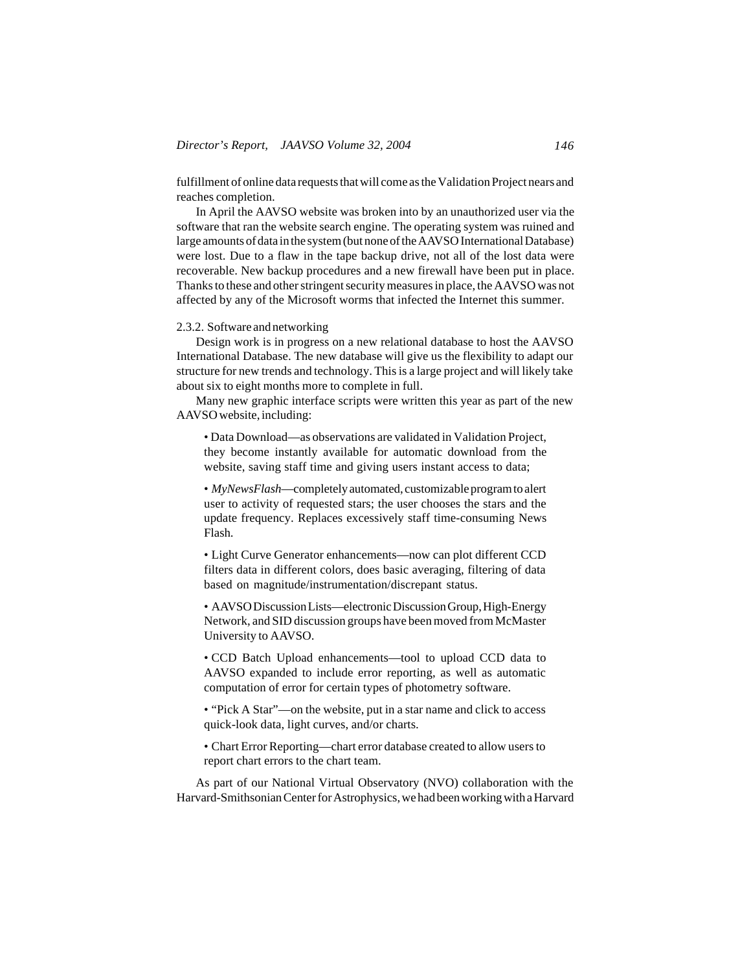fulfillment of online data requests that will come as the Validation Project nears and reaches completion.

In April the AAVSO website was broken into by an unauthorized user via the software that ran the website search engine. The operating system was ruined and large amounts of data in the system (but none of the AAVSO International Database) were lost. Due to a flaw in the tape backup drive, not all of the lost data were recoverable. New backup procedures and a new firewall have been put in place. Thanks to these and other stringent security measures in place, the AAVSO was not affected by any of the Microsoft worms that infected the Internet this summer.

# 2.3.2. Software and networking

Design work is in progress on a new relational database to host the AAVSO International Database. The new database will give us the flexibility to adapt our structure for new trends and technology. This is a large project and will likely take about six to eight months more to complete in full.

Many new graphic interface scripts were written this year as part of the new AAVSO website, including:

• Data Download—as observations are validated in Validation Project, they become instantly available for automatic download from the website, saving staff time and giving users instant access to data;

• *MyNewsFlash*—completely automated, customizable program to alert user to activity of requested stars; the user chooses the stars and the update frequency. Replaces excessively staff time-consuming News Flash.

• Light Curve Generator enhancements—now can plot different CCD filters data in different colors, does basic averaging, filtering of data based on magnitude/instrumentation/discrepant status.

• AAVSO Discussion Lists—electronic Discussion Group, High-Energy Network, and SID discussion groups have been moved from McMaster University to AAVSO.

• CCD Batch Upload enhancements—tool to upload CCD data to AAVSO expanded to include error reporting, as well as automatic computation of error for certain types of photometry software.

• "Pick A Star"—on the website, put in a star name and click to access quick-look data, light curves, and/or charts.

• Chart Error Reporting—chart error database created to allow users to report chart errors to the chart team.

As part of our National Virtual Observatory (NVO) collaboration with the Harvard-Smithsonian Center for Astrophysics, we had been working with a Harvard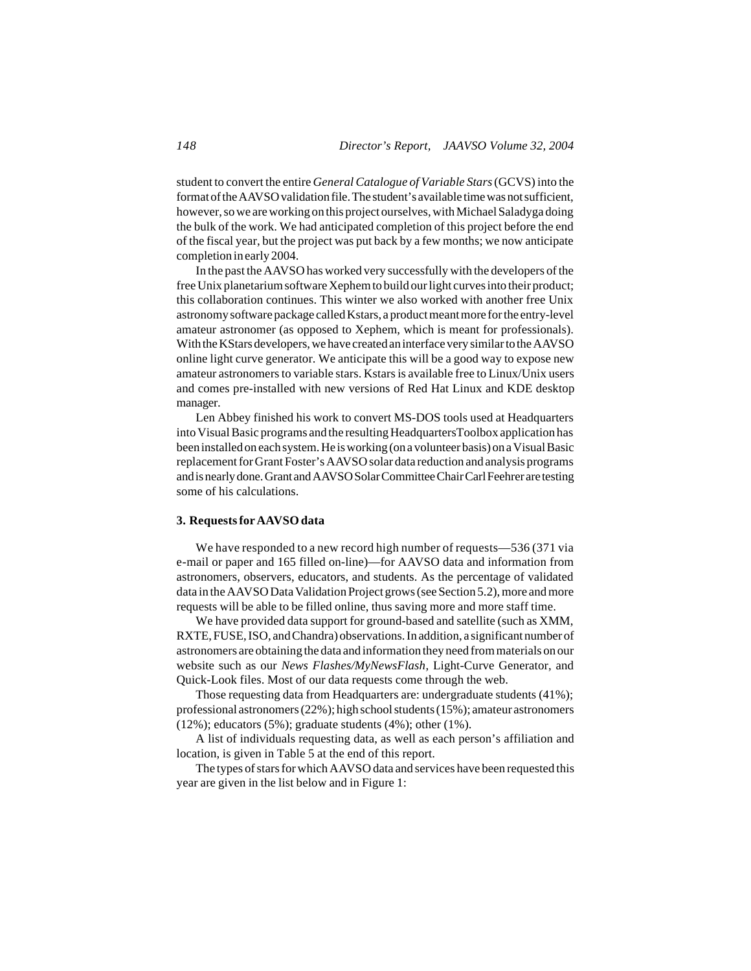student to convert the entire *General Catalogue of Variable Stars* (GCVS) into the format of the AAVSO validation file. The student's available time was not sufficient, however, so we are working on this project ourselves, with Michael Saladyga doing the bulk of the work. We had anticipated completion of this project before the end of the fiscal year, but the project was put back by a few months; we now anticipate completion in early 2004.

In the past the AAVSO has worked very successfully with the developers of the free Unix planetarium software Xephem to build our light curves into their product; this collaboration continues. This winter we also worked with another free Unix astronomy software package called Kstars, a product meant more for the entry-level amateur astronomer (as opposed to Xephem, which is meant for professionals). With the KStars developers, we have created an interface very similar to the AAVSO online light curve generator. We anticipate this will be a good way to expose new amateur astronomers to variable stars. Kstars is available free to Linux/Unix users and comes pre-installed with new versions of Red Hat Linux and KDE desktop manager.

Len Abbey finished his work to convert MS-DOS tools used at Headquarters into Visual Basic programs and the resulting HeadquartersToolbox application has been installed on each system. He is working (on a volunteer basis) on a Visual Basic replacement for Grant Foster's AAVSO solar data reduction and analysis programs and is nearly done. Grant and AAVSO Solar Committee Chair Carl Feehrer are testing some of his calculations.

# **3. Requests for AAVSO data**

We have responded to a new record high number of requests—536 (371 via e-mail or paper and 165 filled on-line)—for AAVSO data and information from astronomers, observers, educators, and students. As the percentage of validated data in the AAVSO Data Validation Project grows (see Section 5.2), more and more requests will be able to be filled online, thus saving more and more staff time.

We have provided data support for ground-based and satellite (such as XMM, RXTE, FUSE, ISO, and Chandra) observations. In addition, a significant number of astronomers are obtaining the data and information they need from materials on our website such as our *News Flashes/MyNewsFlash*, Light-Curve Generator, and Quick-Look files. Most of our data requests come through the web.

Those requesting data from Headquarters are: undergraduate students (41%); professional astronomers (22%); high school students (15%); amateur astronomers  $(12\%)$ ; educators  $(5\%)$ ; graduate students  $(4\%)$ ; other  $(1\%)$ .

A list of individuals requesting data, as well as each person's affiliation and location, is given in Table 5 at the end of this report.

The types of stars for which AAVSO data and services have been requested this year are given in the list below and in Figure 1: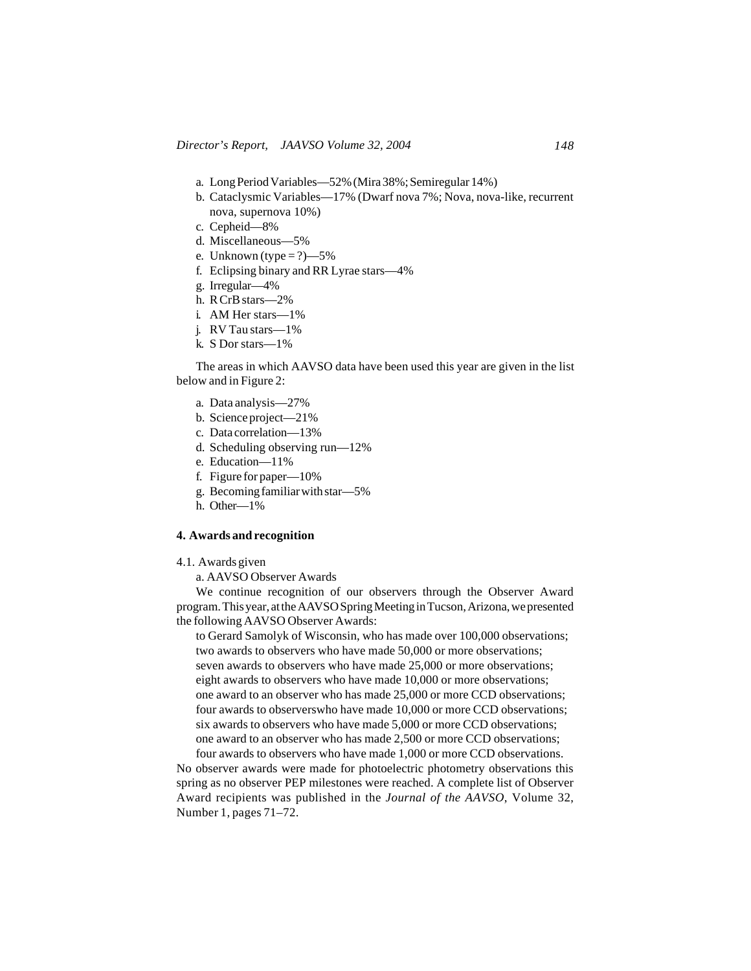- a. Long Period Variables—52% (Mira 38%; Semiregular 14%)
- b. Cataclysmic Variables—17% (Dwarf nova 7%; Nova, nova-like, recurrent nova, supernova 10%)
- c. Cepheid—8%
- d. Miscellaneous—5%
- e. Unknown (type  $= ?$ )—5%
- f. Eclipsing binary and RR Lyrae stars—4%
- g. Irregular—4%
- h. R CrB stars—2%
- i. AM Her stars—1%
- j. RV Tau stars—1%
- k. S Dor stars—1%

The areas in which AAVSO data have been used this year are given in the list below and in Figure 2:

- a. Data analysis—27%
- b. Science project—21%
- c. Data correlation—13%
- d. Scheduling observing run—12%
- e. Education—11%
- f. Figure for paper—10%
- g. Becoming familiar with star—5%
- h. Other—1%

## **4. Awards and recognition**

4.1. Awards given

a. AAVSO Observer Awards

We continue recognition of our observers through the Observer Award program. This year, at the AAVSO Spring Meeting in Tucson, Arizona, we presented the following AAVSO Observer Awards:

to Gerard Samolyk of Wisconsin, who has made over 100,000 observations; two awards to observers who have made 50,000 or more observations; seven awards to observers who have made 25,000 or more observations; eight awards to observers who have made 10,000 or more observations; one award to an observer who has made 25,000 or more CCD observations; four awards to observerswho have made 10,000 or more CCD observations; six awards to observers who have made 5,000 or more CCD observations; one award to an observer who has made 2,500 or more CCD observations;

four awards to observers who have made 1,000 or more CCD observations. No observer awards were made for photoelectric photometry observations this spring as no observer PEP milestones were reached. A complete list of Observer Award recipients was published in the *Journal of the AAVSO*, Volume 32, Number 1, pages 71–72.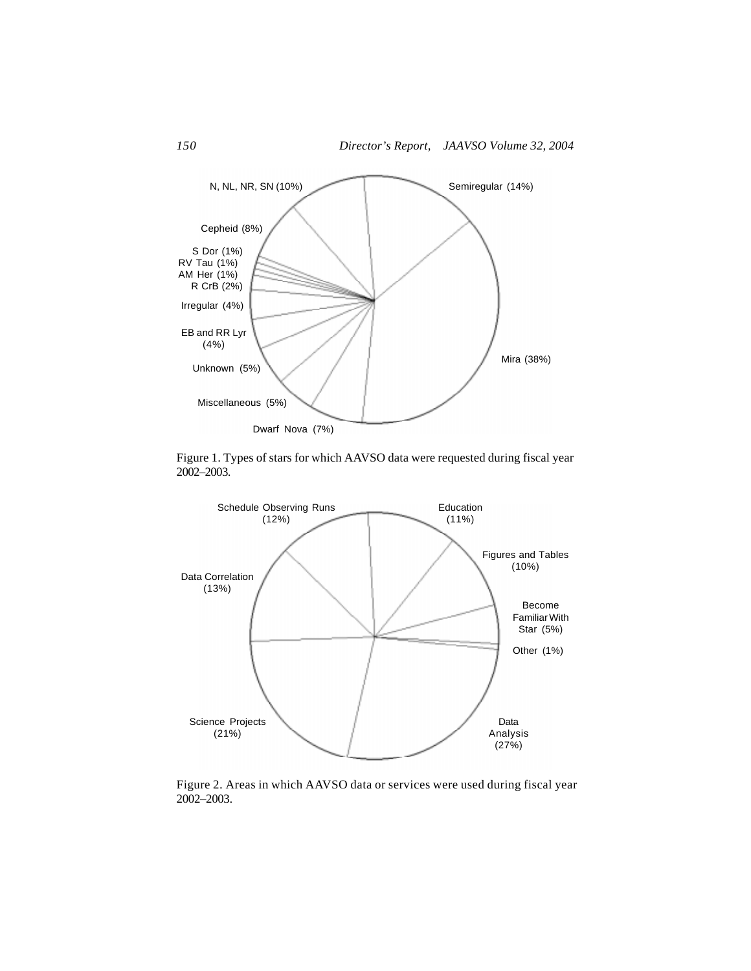

Figure 1. Types of stars for which AAVSO data were requested during fiscal year 2002–2003.



Figure 2. Areas in which AAVSO data or services were used during fiscal year 2002–2003.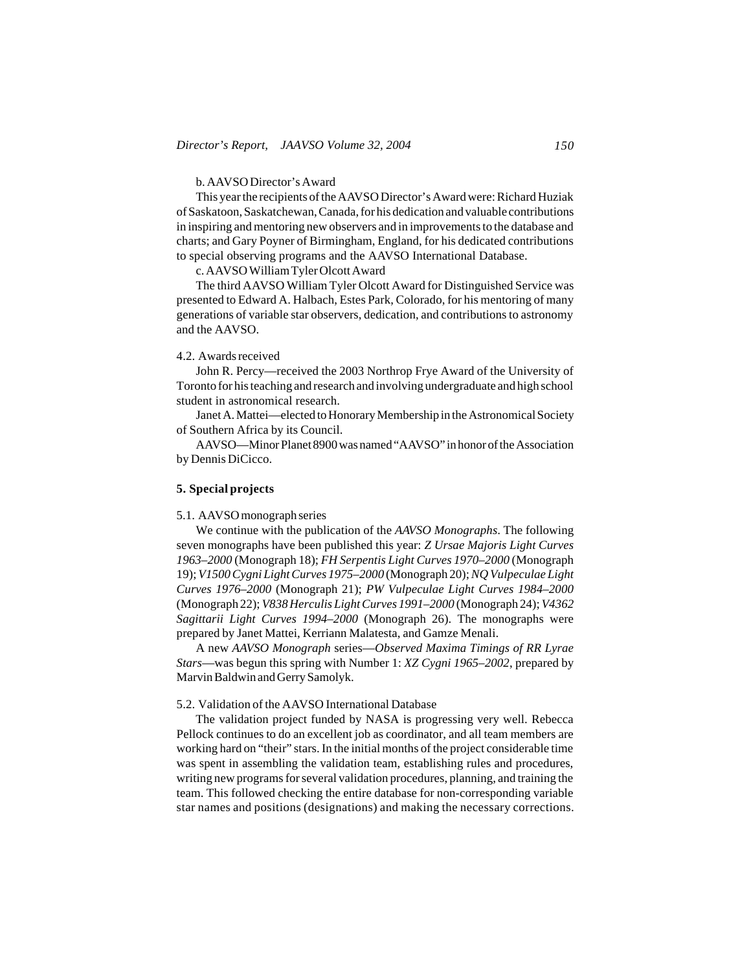## b. AAVSO Director's Award

This year the recipients of the AAVSO Director's Award were: Richard Huziak of Saskatoon, Saskatchewan, Canada, for his dedication and valuable contributions in inspiring and mentoring new observers and in improvements to the database and charts; and Gary Poyner of Birmingham, England, for his dedicated contributions to special observing programs and the AAVSO International Database.

c. AAVSO William Tyler Olcott Award

The third AAVSO William Tyler Olcott Award for Distinguished Service was presented to Edward A. Halbach, Estes Park, Colorado, for his mentoring of many generations of variable star observers, dedication, and contributions to astronomy and the AAVSO.

### 4.2. Awards received

John R. Percy—received the 2003 Northrop Frye Award of the University of Toronto for his teaching and research and involving undergraduate and high school student in astronomical research.

Janet A. Mattei—elected to Honorary Membership in the Astronomical Society of Southern Africa by its Council.

AAVSO—Minor Planet 8900 was named "AAVSO" in honor of the Association by Dennis DiCicco.

# **5. Special projects**

#### 5.1. AAVSO monograph series

We continue with the publication of the *AAVSO Monographs*. The following seven monographs have been published this year: *Z Ursae Majoris Light Curves 1963–2000* (Monograph 18); *FH Serpentis Light Curves 1970–2000* (Monograph 19); *V1500 Cygni Light Curves 1975–2000* (Monograph 20); *NQ Vulpeculae Light Curves 1976–2000* (Monograph 21); *PW Vulpeculae Light Curves 1984–2000* (Monograph 22); *V838 Herculis Light Curves 1991–2000* (Monograph 24); *V4362 Sagittarii Light Curves 1994–2000* (Monograph 26). The monographs were prepared by Janet Mattei, Kerriann Malatesta, and Gamze Menali.

A new *AAVSO Monograph* series—*Observed Maxima Timings of RR Lyrae Stars*—was begun this spring with Number 1: *XZ Cygni 1965–2002*, prepared by Marvin Baldwin and Gerry Samolyk.

#### 5.2. Validation of the AAVSO International Database

The validation project funded by NASA is progressing very well. Rebecca Pellock continues to do an excellent job as coordinator, and all team members are working hard on "their" stars. In the initial months of the project considerable time was spent in assembling the validation team, establishing rules and procedures, writing new programs for several validation procedures, planning, and training the team. This followed checking the entire database for non-corresponding variable star names and positions (designations) and making the necessary corrections.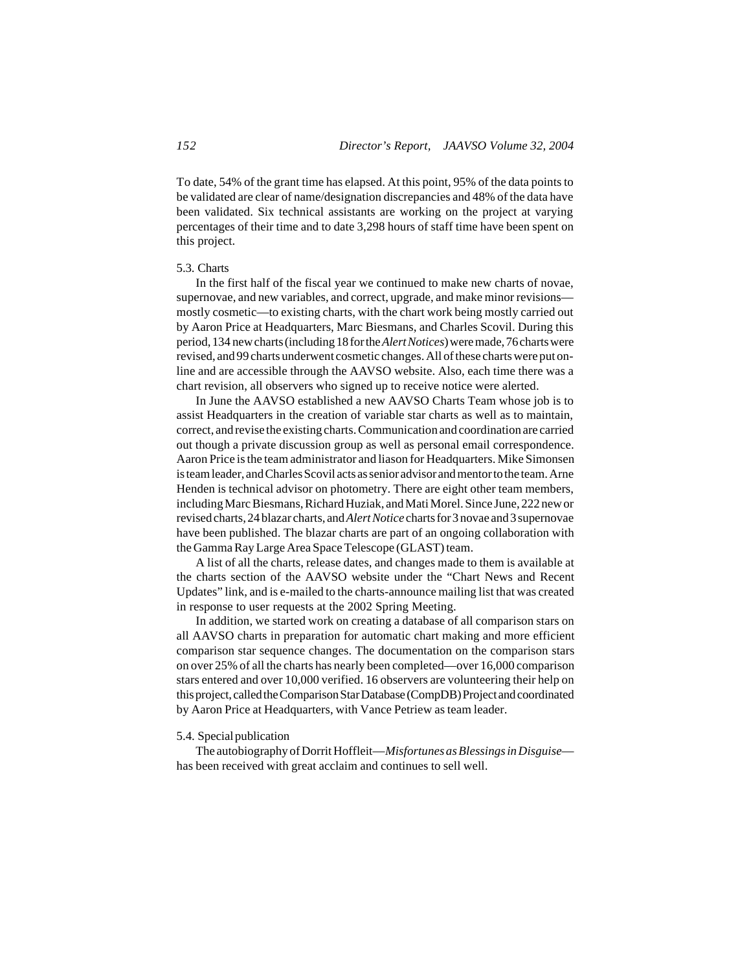To date, 54% of the grant time has elapsed. At this point, 95% of the data points to be validated are clear of name/designation discrepancies and 48% of the data have been validated. Six technical assistants are working on the project at varying percentages of their time and to date 3,298 hours of staff time have been spent on this project.

## 5.3. Charts

In the first half of the fiscal year we continued to make new charts of novae, supernovae, and new variables, and correct, upgrade, and make minor revisions mostly cosmetic—to existing charts, with the chart work being mostly carried out by Aaron Price at Headquarters, Marc Biesmans, and Charles Scovil. During this period, 134 new charts (including 18 for the *Alert Notices*) were made, 76 charts were revised, and 99 charts underwent cosmetic changes. All of these charts were put online and are accessible through the AAVSO website. Also, each time there was a chart revision, all observers who signed up to receive notice were alerted.

In June the AAVSO established a new AAVSO Charts Team whose job is to assist Headquarters in the creation of variable star charts as well as to maintain, correct, and revise the existing charts. Communication and coordination are carried out though a private discussion group as well as personal email correspondence. Aaron Price is the team administrator and liason for Headquarters. Mike Simonsen is team leader, and Charles Scovil acts as senior advisor and mentor to the team. Arne Henden is technical advisor on photometry. There are eight other team members, including Marc Biesmans, Richard Huziak, and Mati Morel. Since June, 222 new or revised charts, 24 blazar charts, and *Alert Notice* charts for 3 novae and 3 supernovae have been published. The blazar charts are part of an ongoing collaboration with the Gamma Ray Large Area Space Telescope (GLAST) team.

A list of all the charts, release dates, and changes made to them is available at the charts section of the AAVSO website under the "Chart News and Recent Updates" link, and is e-mailed to the charts-announce mailing list that was created in response to user requests at the 2002 Spring Meeting.

In addition, we started work on creating a database of all comparison stars on all AAVSO charts in preparation for automatic chart making and more efficient comparison star sequence changes. The documentation on the comparison stars on over 25% of all the charts has nearly been completed—over 16,000 comparison stars entered and over 10,000 verified. 16 observers are volunteering their help on this project, called the Comparison Star Database (CompDB) Project and coordinated by Aaron Price at Headquarters, with Vance Petriew as team leader.

# 5.4. Special publication

The autobiography of Dorrit Hoffleit—*Misfortunes as Blessings in Disguise* has been received with great acclaim and continues to sell well.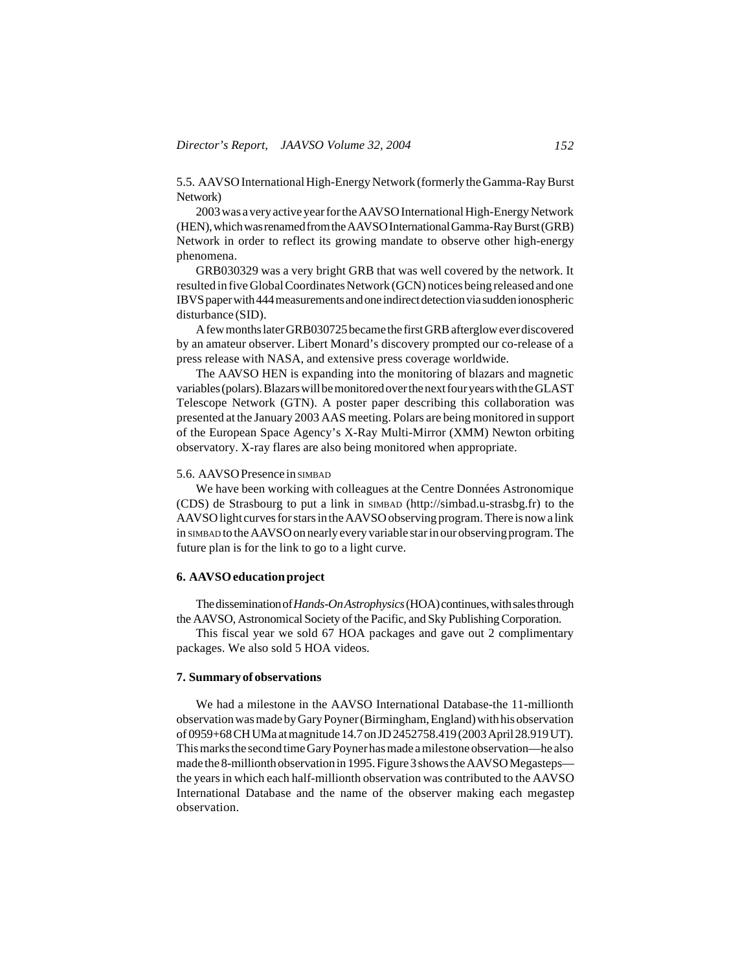5.5. AAVSO International High-Energy Network (formerly the Gamma-Ray Burst Network)

2003 was a very active year for the AAVSO International High-Energy Network (HEN), which was renamed from the AAVSO International Gamma-Ray Burst (GRB) Network in order to reflect its growing mandate to observe other high-energy phenomena.

GRB030329 was a very bright GRB that was well covered by the network. It resulted in five Global Coordinates Network (GCN) notices being released and one IBVS paper with 444 measurements and one indirect detection via sudden ionospheric disturbance (SID).

A few months later GRB030725 became the first GRB afterglow ever discovered by an amateur observer. Libert Monard's discovery prompted our co-release of a press release with NASA, and extensive press coverage worldwide.

The AAVSO HEN is expanding into the monitoring of blazars and magnetic variables (polars). Blazars will be monitored over the next four years with the GLAST Telescope Network (GTN). A poster paper describing this collaboration was presented at the January 2003 AAS meeting. Polars are being monitored in support of the European Space Agency's X-Ray Multi-Mirror (XMM) Newton orbiting observatory. X-ray flares are also being monitored when appropriate.

### 5.6. AAVSO Presence in SIMBAD

We have been working with colleagues at the Centre Données Astronomique (CDS) de Strasbourg to put a link in SIMBAD (http://simbad.u-strasbg.fr) to the AAVSO light curves for stars in the AAVSO observing program. There is now a link in SIMBAD to the AAVSO on nearly every variable star in our observing program. The future plan is for the link to go to a light curve.

#### **6. AAVSO education project**

The dissemination of *Hands-On Astrophysics* (HOA) continues, with sales through the AAVSO, Astronomical Society of the Pacific, and Sky Publishing Corporation.

This fiscal year we sold 67 HOA packages and gave out 2 complimentary packages. We also sold 5 HOA videos.

# **7. Summary of observations**

We had a milestone in the AAVSO International Database-the 11-millionth observation was made by Gary Poyner (Birmingham, England) with his observation of 0959+68 CH UMa at magnitude 14.7 on JD 2452758.419 (2003 April 28.919 UT). This marks the second time Gary Poyner has made a milestone observation—he also made the 8-millionth observation in 1995. Figure 3 shows the AAVSO Megasteps the years in which each half-millionth observation was contributed to the AAVSO International Database and the name of the observer making each megastep observation.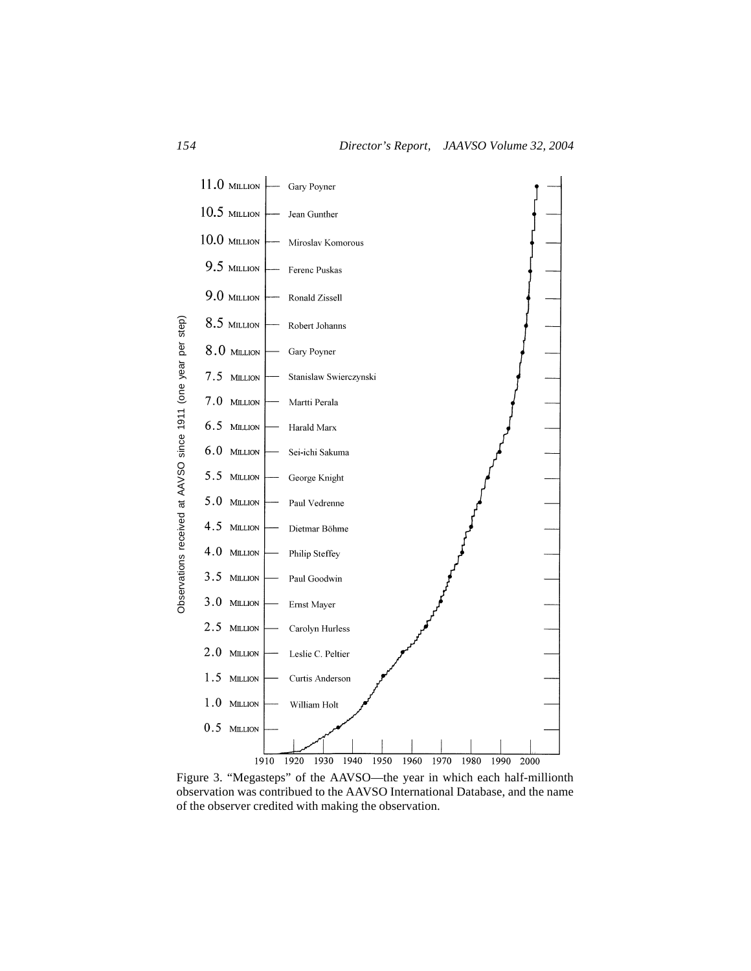

Figure 3. "Megasteps" of the AAVSO—the year in which each half-millionth observation was contribued to the AAVSO International Database, and the name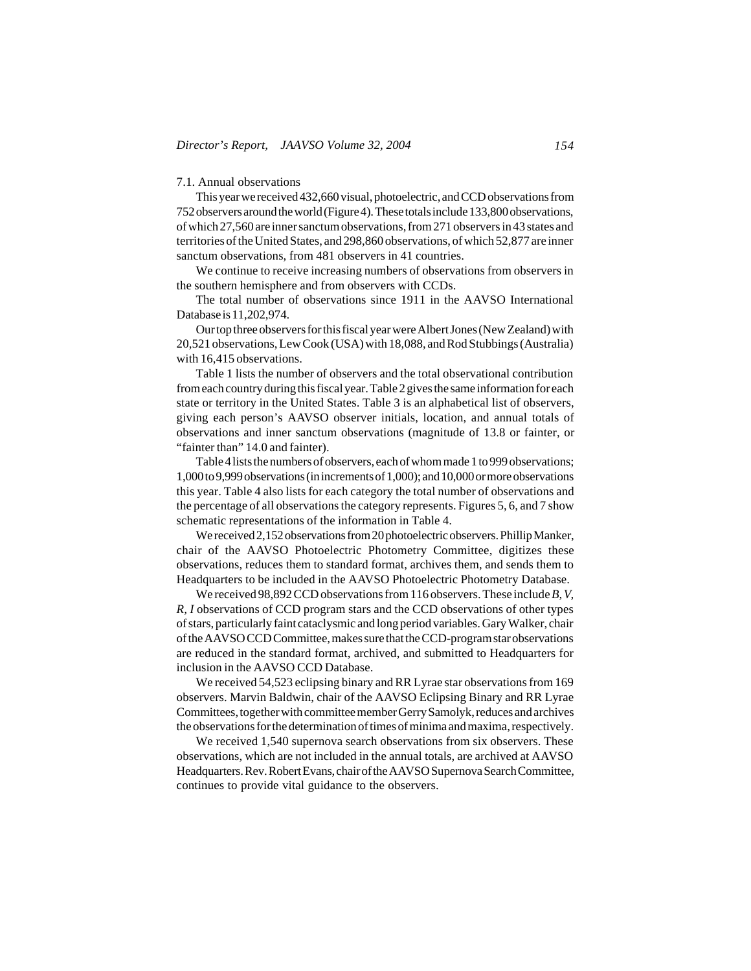### 7.1. Annual observations

This year we received 432,660 visual, photoelectric, and CCD observations from 752 observers around the world (Figure 4). These totals include 133,800 observations, of which 27,560 are inner sanctum observations, from 271 observers in 43 states and territories of the United States, and 298,860 observations, of which 52,877 are inner sanctum observations, from 481 observers in 41 countries.

We continue to receive increasing numbers of observations from observers in the southern hemisphere and from observers with CCDs.

The total number of observations since 1911 in the AAVSO International Database is 11,202,974.

Our top three observers for this fiscal year were Albert Jones (New Zealand) with 20,521 observations, Lew Cook (USA) with 18,088, and Rod Stubbings (Australia) with 16,415 observations.

Table 1 lists the number of observers and the total observational contribution from each country during this fiscal year. Table 2 gives the same information for each state or territory in the United States. Table 3 is an alphabetical list of observers, giving each person's AAVSO observer initials, location, and annual totals of observations and inner sanctum observations (magnitude of 13.8 or fainter, or "fainter than" 14.0 and fainter).

Table 4 lists the numbers of observers, each of whom made 1 to 999 observations; 1,000 to 9,999 observations (in increments of 1,000); and 10,000 or more observations this year. Table 4 also lists for each category the total number of observations and the percentage of all observations the category represents. Figures 5, 6, and 7 show schematic representations of the information in Table 4.

We received 2,152 observations from 20 photoelectric observers. Phillip Manker, chair of the AAVSO Photoelectric Photometry Committee, digitizes these observations, reduces them to standard format, archives them, and sends them to Headquarters to be included in the AAVSO Photoelectric Photometry Database.

We received 98,892 CCD observations from 116 observers. These include *B, V, R, I* observations of CCD program stars and the CCD observations of other types of stars, particularly faint cataclysmic and long period variables. Gary Walker, chair of the AAVSO CCD Committee, makes sure that the CCD-program star observations are reduced in the standard format, archived, and submitted to Headquarters for inclusion in the AAVSO CCD Database.

We received 54,523 eclipsing binary and RR Lyrae star observations from 169 observers. Marvin Baldwin, chair of the AAVSO Eclipsing Binary and RR Lyrae Committees, together with committee member Gerry Samolyk, reduces and archives the observations for the determination of times of minima and maxima, respectively.

We received 1,540 supernova search observations from six observers. These observations, which are not included in the annual totals, are archived at AAVSO Headquarters. Rev. Robert Evans, chair of the AAVSO Supernova Search Committee, continues to provide vital guidance to the observers.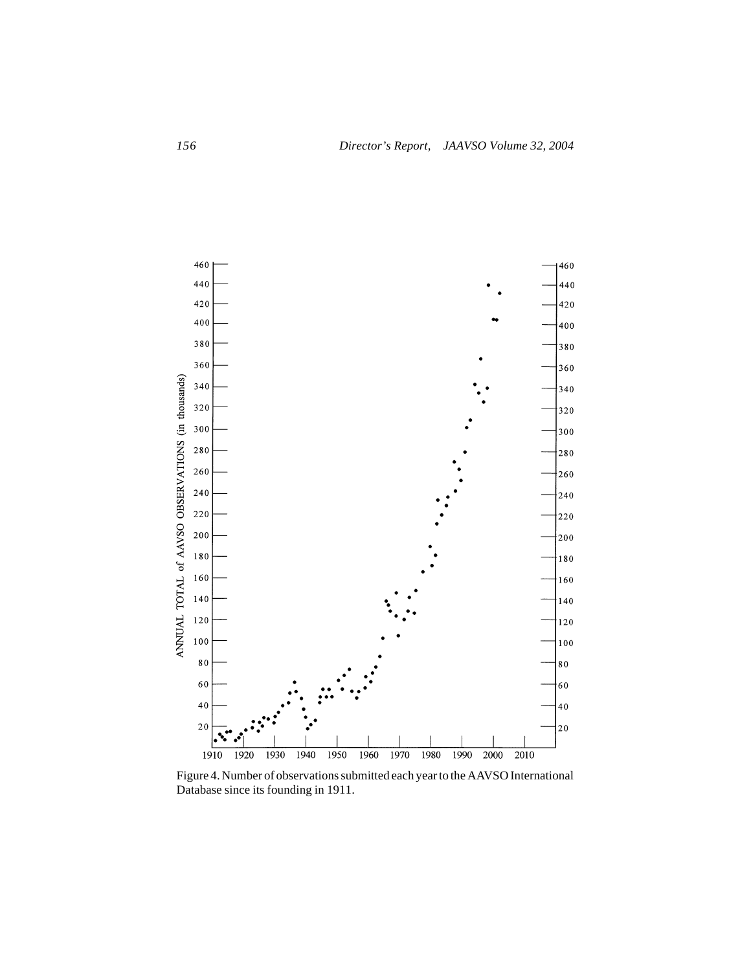

Figure 4. Number of observations submitted each year to the AAVSO International Database since its founding in 1911.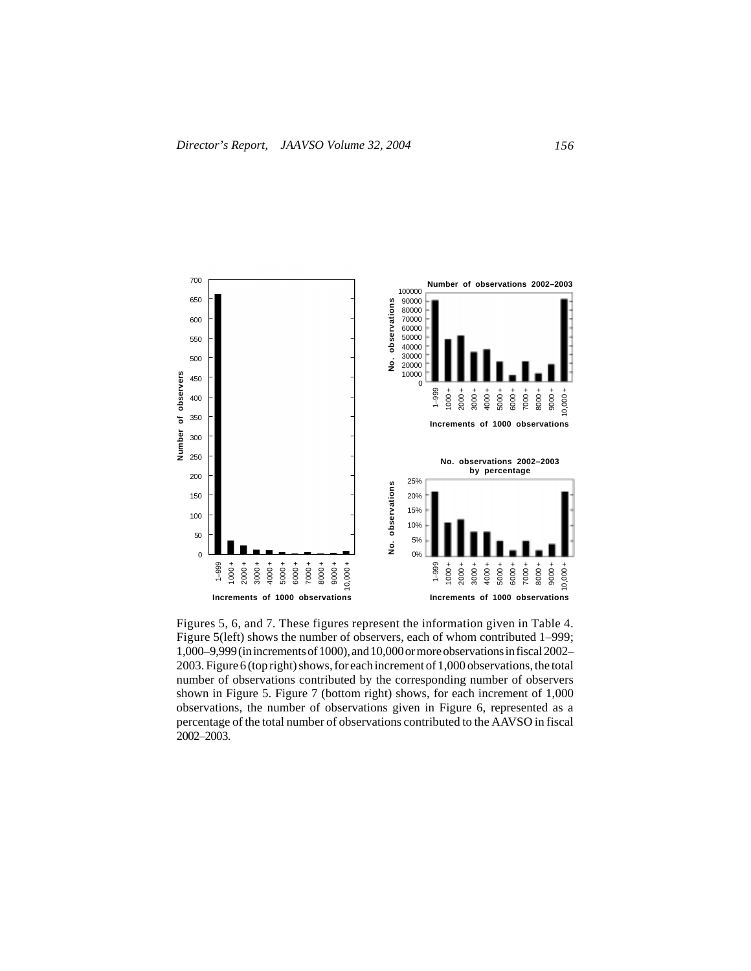

Figures 5, 6, and 7. These figures represent the information given in Table 4. Figure 5(left) shows the number of observers, each of whom contributed 1–999; 1,000–9,999 (in increments of 1000), and 10,000 or more observations in fiscal 2002– 2003. Figure 6 (top right) shows, for each increment of 1,000 observations, the total number of observations contributed by the corresponding number of observers shown in Figure 5. Figure 7 (bottom right) shows, for each increment of 1,000 observations, the number of observations given in Figure 6, represented as a percentage of the total number of observations contributed to the AAVSO in fiscal 2002–2003.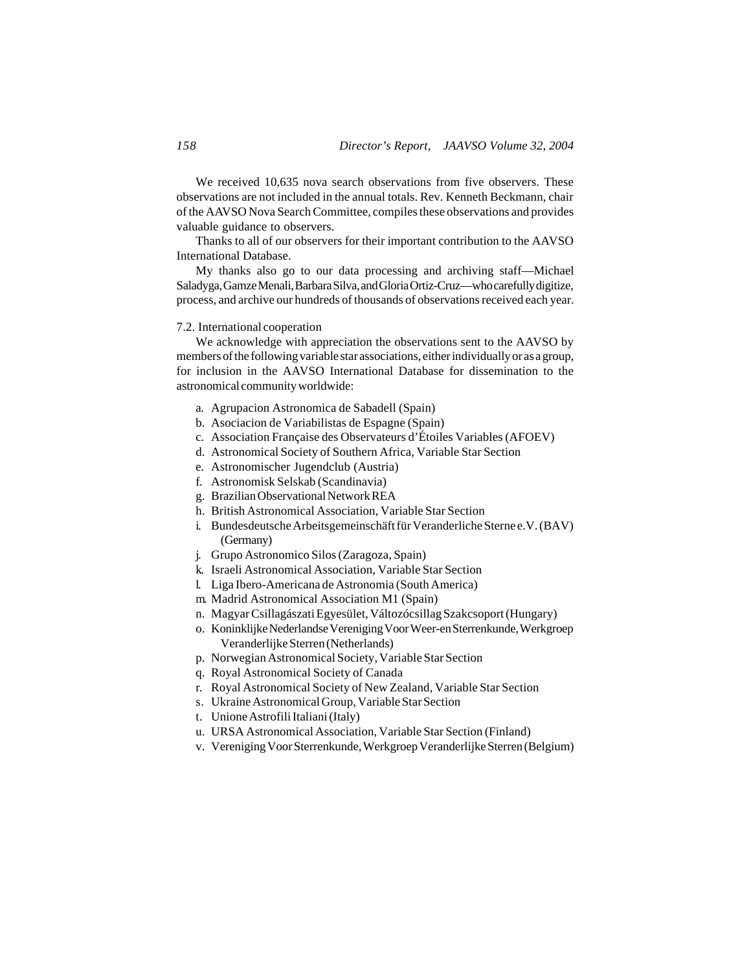We received 10,635 nova search observations from five observers. These observations are not included in the annual totals. Rev. Kenneth Beckmann, chair of the AAVSO Nova Search Committee, compiles these observations and provides valuable guidance to observers.

Thanks to all of our observers for their important contribution to the AAVSO International Database.

My thanks also go to our data processing and archiving staff—Michael Saladyga, Gamze Menali, Barbara Silva, and Gloria Ortiz-Cruz—who carefully digitize, process, and archive our hundreds of thousands of observations received each year.

## 7.2. International cooperation

We acknowledge with appreciation the observations sent to the AAVSO by members of the following variable star associations, either individually or as a group, for inclusion in the AAVSO International Database for dissemination to the astronomical community worldwide:

- a. Agrupacion Astronomica de Sabadell (Spain)
- b. Asociacion de Variabilistas de Espagne (Spain)
- c. Association Française des Observateurs d'Étoiles Variables (AFOEV)
- d. Astronomical Society of Southern Africa, Variable Star Section
- e. Astronomischer Jugendclub (Austria)
- f. Astronomisk Selskab (Scandinavia)
- g. Brazilian Observational Network REA
- h. British Astronomical Association, Variable Star Section
- i. Bundesdeutsche Arbeitsgemeinschäft für Veranderliche Sterne e.V. (BAV) (Germany)
- j. Grupo Astronomico Silos (Zaragoza, Spain)
- k. Israeli Astronomical Association, Variable Star Section
- l. Liga Ibero-Americana de Astronomia (South America)
- m. Madrid Astronomical Association M1 (Spain)
- n. Magyar Csillagászati Egyesület, Változócsillag Szakcsoport (Hungary)
- o. Koninklijke Nederlandse Vereniging Voor Weer-en Sterrenkunde, Werkgroep Veranderlijke Sterren (Netherlands)
- p. Norwegian Astronomical Society, Variable Star Section
- q. Royal Astronomical Society of Canada
- r. Royal Astronomical Society of New Zealand, Variable Star Section
- s. Ukraine Astronomical Group, Variable Star Section
- t. Unione Astrofili Italiani (Italy)
- u. URSA Astronomical Association, Variable Star Section (Finland)
- v. Vereniging Voor Sterrenkunde, Werkgroep Veranderlijke Sterren (Belgium)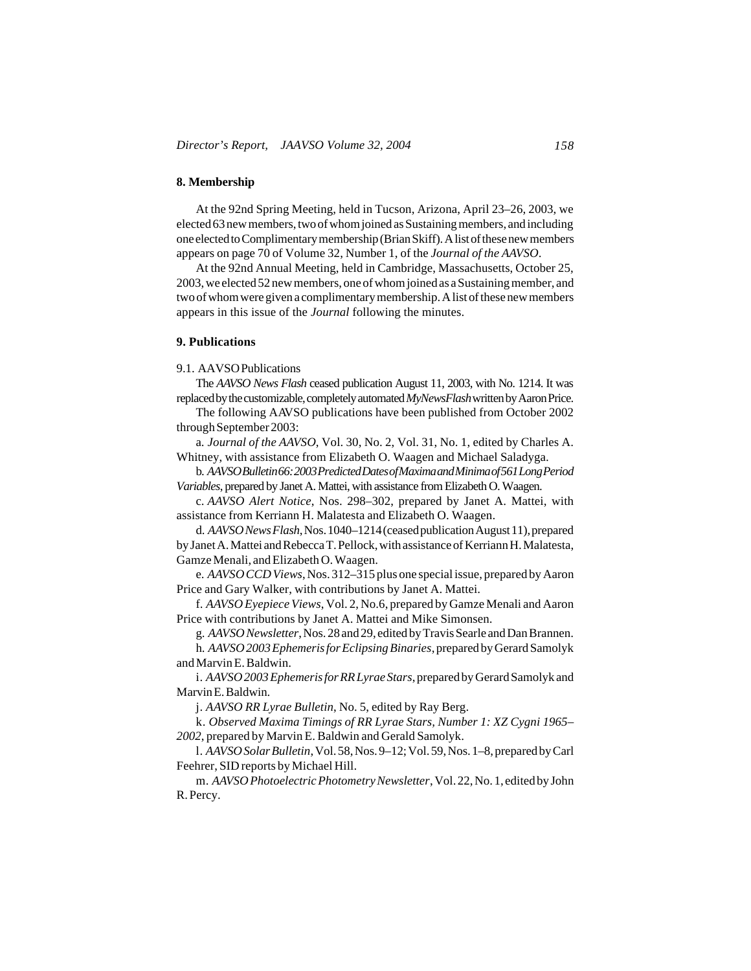### **8. Membership**

At the 92nd Spring Meeting, held in Tucson, Arizona, April 23–26, 2003, we elected 63 new members, two of whom joined as Sustaining members, and including one elected to Complimentary membership (Brian Skiff). A list of these new members appears on page 70 of Volume 32, Number 1, of the *Journal of the AAVSO*.

At the 92nd Annual Meeting, held in Cambridge, Massachusetts, October 25, 2003, we elected 52 new members, one of whom joined as a Sustaining member, and two of whom were given a complimentary membership. A list of these new members appears in this issue of the *Journal* following the minutes.

# **9. Publications**

#### 9.1. AAVSO Publications

The *AAVSO News Flash* ceased publication August 11, 2003, with No. 1214. It was replaced by the customizable, completely automated *MyNewsFlash* written by Aaron Price.

The following AAVSO publications have been published from October 2002 through September 2003:

a. *Journal of the AAVSO*, Vol. 30, No. 2, Vol. 31, No. 1, edited by Charles A. Whitney, with assistance from Elizabeth O. Waagen and Michael Saladyga.

b. *AAVSO Bulletin 66: 2003 Predicted Dates of Maxima and Minima of 561 Long Period Variables*, prepared by Janet A. Mattei, with assistance from Elizabeth O. Waagen.

c. *AAVSO Alert Notice*, Nos. 298–302, prepared by Janet A. Mattei, with assistance from Kerriann H. Malatesta and Elizabeth O. Waagen.

d. *AAVSO News Flash*, Nos. 1040–1214 (ceased publication August 11), prepared by Janet A. Mattei and Rebecca T. Pellock, with assistance of Kerriann H. Malatesta, Gamze Menali, and Elizabeth O. Waagen.

e. *AAVSO CCD Views*, Nos. 312–315 plus one special issue, prepared by Aaron Price and Gary Walker, with contributions by Janet A. Mattei.

f. *AAVSO Eyepiece Views*, Vol. 2, No.6, prepared by Gamze Menali and Aaron Price with contributions by Janet A. Mattei and Mike Simonsen.

g. *AAVSO Newsletter*, Nos. 28 and 29, edited by Travis Searle and Dan Brannen.

h. *AAVSO 2003 Ephemeris for Eclipsing Binaries*, prepared by Gerard Samolyk and Marvin E. Baldwin.

i. *AAVSO 2003 Ephemeris for RR Lyrae Stars*, prepared by Gerard Samolyk and Marvin E. Baldwin.

j. *AAVSO RR Lyrae Bulletin*, No. 5, edited by Ray Berg.

k. *Observed Maxima Timings of RR Lyrae Stars, Number 1: XZ Cygni 1965– 2002*, prepared by Marvin E. Baldwin and Gerald Samolyk.

l. *AAVSO Solar Bulletin*, Vol. 58, Nos. 9–12; Vol. 59, Nos. 1–8, prepared by Carl Feehrer, SID reports by Michael Hill.

m. *AAVSO Photoelectric Photometry Newsletter*, Vol. 22, No. 1, edited by John R. Percy.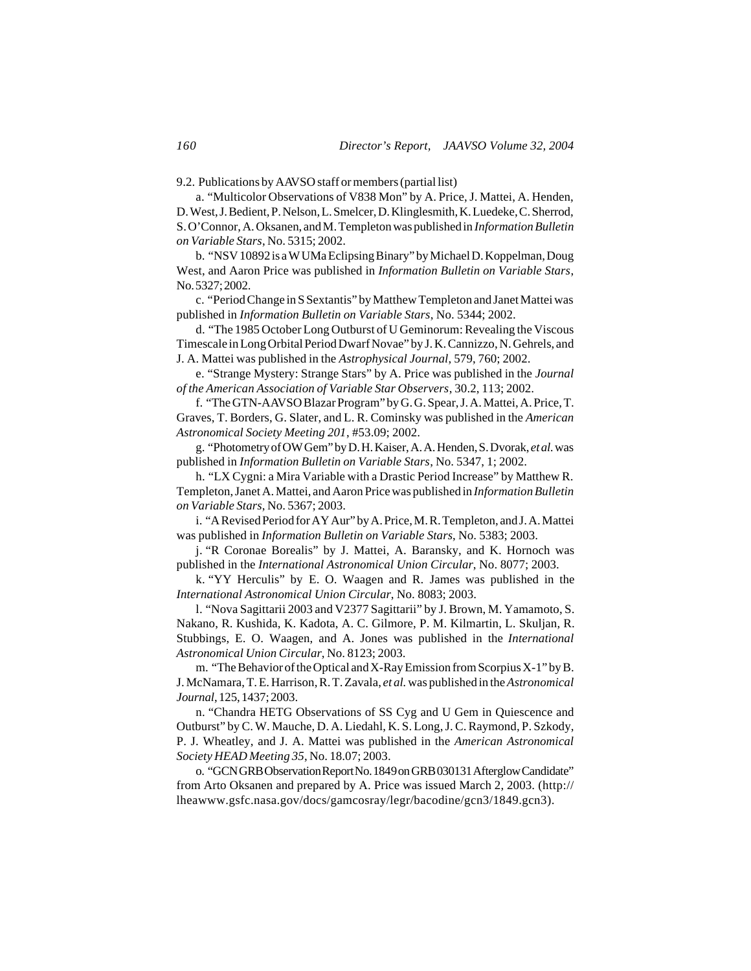9.2. Publications by AAVSO staff or members (partial list)

a. "Multicolor Observations of V838 Mon" by A. Price, J. Mattei, A. Henden, D. West, J. Bedient, P. Nelson, L. Smelcer, D. Klinglesmith, K. Luedeke, C. Sherrod, S. O'Connor, A. Oksanen, and M. Templeton was published in *Information Bulletin on Variable Stars*, No. 5315; 2002.

b. "NSV 10892 is a W UMa Eclipsing Binary" by Michael D. Koppelman, Doug West, and Aaron Price was published in *Information Bulletin on Variable Stars*, No. 5327; 2002.

c. "Period Change in S Sextantis" by Matthew Templeton and Janet Mattei was published in *Information Bulletin on Variable Stars*, No. 5344; 2002.

d. "The 1985 October Long Outburst of U Geminorum: Revealing the Viscous Timescale in Long Orbital Period Dwarf Novae" by J. K. Cannizzo, N. Gehrels, and J. A. Mattei was published in the *Astrophysical Journal*, 579, 760; 2002.

e. "Strange Mystery: Strange Stars" by A. Price was published in the *Journal of the American Association of Variable Star Observers*, 30.2, 113; 2002.

f. "The GTN-AAVSO Blazar Program" by G. G. Spear, J. A. Mattei, A. Price, T. Graves, T. Borders, G. Slater, and L. R. Cominsky was published in the *American Astronomical Society Meeting 201*, #53.09; 2002.

g. "Photometry of OW Gem" by D. H. Kaiser, A. A. Henden, S. Dvorak, *et al.* was published in *Information Bulletin on Variable Stars*, No. 5347, 1; 2002.

h. "LX Cygni: a Mira Variable with a Drastic Period Increase" by Matthew R. Templeton, Janet A. Mattei, and Aaron Price was published in *Information Bulletin on Variable Stars*, No. 5367; 2003.

i. "A Revised Period for AY Aur" by A. Price, M. R. Templeton, and J. A. Mattei was published in *Information Bulletin on Variable Stars*, No. 5383; 2003.

j. "R Coronae Borealis" by J. Mattei, A. Baransky, and K. Hornoch was published in the *International Astronomical Union Circular*, No. 8077; 2003.

k. "YY Herculis" by E. O. Waagen and R. James was published in the *International Astronomical Union Circular*, No. 8083; 2003.

l. "Nova Sagittarii 2003 and V2377 Sagittarii" by J. Brown, M. Yamamoto, S. Nakano, R. Kushida, K. Kadota, A. C. Gilmore, P. M. Kilmartin, L. Skuljan, R. Stubbings, E. O. Waagen, and A. Jones was published in the *International Astronomical Union Circular*, No. 8123; 2003.

m. "The Behavior of the Optical and X-Ray Emission from Scorpius X-1" by B. J. McNamara, T. E. Harrison, R. T. Zavala, *et al.* was published in the *Astronomical Journal*, 125, 1437; 2003.

n. "Chandra HETG Observations of SS Cyg and U Gem in Quiescence and Outburst" by C. W. Mauche, D. A. Liedahl, K. S. Long, J. C. Raymond, P. Szkody, P. J. Wheatley, and J. A. Mattei was published in the *American Astronomical Society HEAD Meeting 35*, No. 18.07; 2003.

o. "GCN GRB Observation Report No. 1849 on GRB 030131 Afterglow Candidate" from Arto Oksanen and prepared by A. Price was issued March 2, 2003. (http:// lheawww.gsfc.nasa.gov/docs/gamcosray/legr/bacodine/gcn3/1849.gcn3).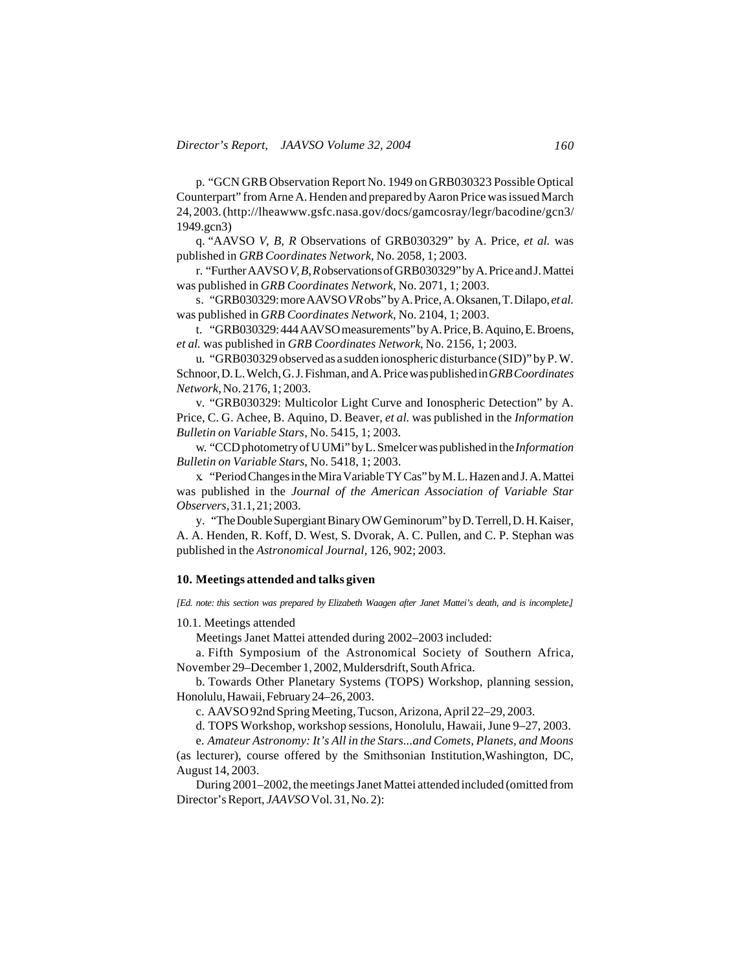p. "GCN GRB Observation Report No. 1949 on GRB030323 Possible Optical Counterpart" from Arne A. Henden and prepared by Aaron Price was issued March 24, 2003. (http://lheawww.gsfc.nasa.gov/docs/gamcosray/legr/bacodine/gcn3/ 1949.gcn3)

q. "AAVSO *V, B, R* Observations of GRB030329" by A. Price, *et al.* was published in *GRB Coordinates Network*, No. 2058, 1; 2003.

r. "Further AAVSO *V, B, R* observations of GRB030329" by A. Price and J. Mattei was published in *GRB Coordinates Network*, No. 2071, 1; 2003.

s. "GRB030329: more AAVSO *VR* obs" by A. Price, A. Oksanen, T. Dilapo, *et al.* was published in *GRB Coordinates Network*, No. 2104, 1; 2003.

t. "GRB030329: 444 AAVSO measurements" by A. Price, B. Aquino, E. Broens, *et al.* was published in *GRB Coordinates Network*, No. 2156, 1; 2003.

u. "GRB030329 observed as a sudden ionospheric disturbance (SID)" by P. W. Schnoor, D. L. Welch, G. J. Fishman, and A. Price was published in *GRB Coordinates Network*, No. 2176, 1; 2003.

v. "GRB030329: Multicolor Light Curve and Ionospheric Detection" by A. Price, C. G. Achee, B. Aquino, D. Beaver, *et al.* was published in the *Information Bulletin on Variable Stars*, No. 5415, 1; 2003.

w. "CCD photometry of U UMi" by L. Smelcer was published in the *Information Bulletin on Variable Stars*, No. 5418, 1; 2003.

x. "Period Changes in the Mira Variable TY Cas" by M. L. Hazen and J. A. Mattei was published in the *Journal of the American Association of Variable Star Observers*, 31.1, 21; 2003.

y. "The Double Supergiant Binary OW Geminorum" by D. Terrell, D. H. Kaiser, A. A. Henden, R. Koff, D. West, S. Dvorak, A. C. Pullen, and C. P. Stephan was published in the *Astronomical Journal*, 126, 902; 2003.

## **10. Meetings attended and talks given**

*[Ed. note: this section was prepared by Elizabeth Waagen after Janet Mattei's death, and is incomplete.]*

10.1. Meetings attended

Meetings Janet Mattei attended during 2002–2003 included:

a. Fifth Symposium of the Astronomical Society of Southern Africa, November 29–December 1, 2002, Muldersdrift, South Africa.

b. Towards Other Planetary Systems (TOPS) Workshop, planning session, Honolulu, Hawaii, February 24–26, 2003.

c. AAVSO 92nd Spring Meeting, Tucson, Arizona, April 22–29, 2003.

d. TOPS Workshop, workshop sessions, Honolulu, Hawaii, June 9–27, 2003.

e. *Amateur Astronomy: It's All in the Stars...and Comets, Planets, and Moons*

(as lecturer), course offered by the Smithsonian Institution,Washington, DC, August 14, 2003.

During 2001–2002, the meetings Janet Mattei attended included (omitted from Director's Report, *JAAVSO* Vol. 31, No. 2):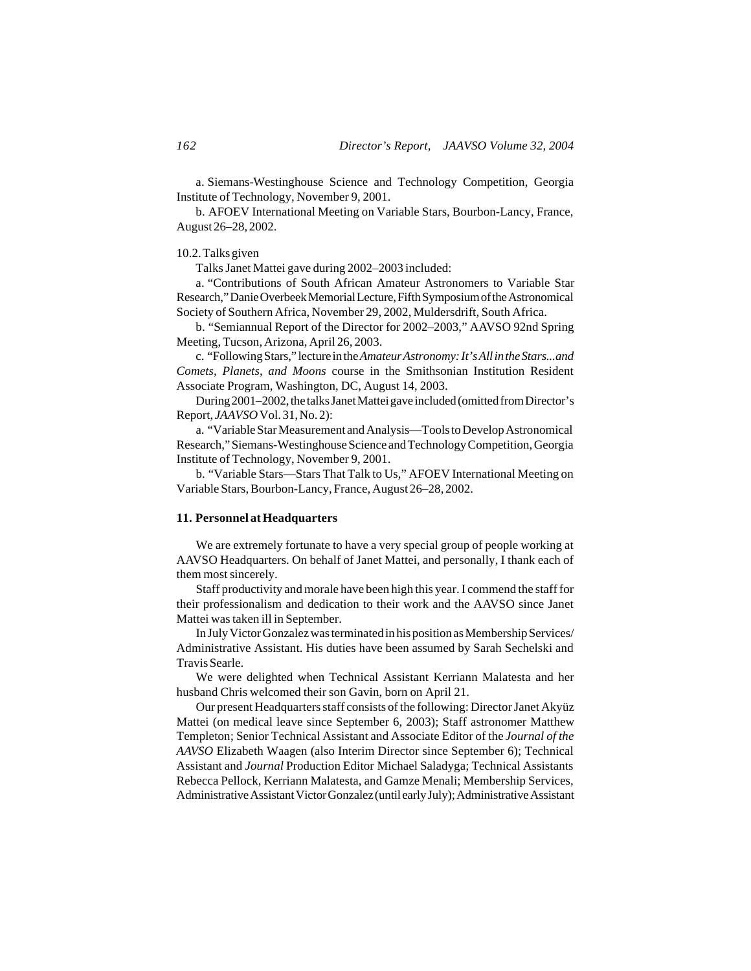a. Siemans-Westinghouse Science and Technology Competition, Georgia Institute of Technology, November 9, 2001.

b. AFOEV International Meeting on Variable Stars, Bourbon-Lancy, France, August 26–28, 2002.

### 10.2. Talks given

Talks Janet Mattei gave during 2002–2003 included:

a. "Contributions of South African Amateur Astronomers to Variable Star Research," Danie Overbeek Memorial Lecture, Fifth Symposium of the Astronomical Society of Southern Africa, November 29, 2002, Muldersdrift, South Africa.

b. "Semiannual Report of the Director for 2002–2003," AAVSO 92nd Spring Meeting, Tucson, Arizona, April 26, 2003.

c. "Following Stars," lecture in the *Amateur Astronomy: It's All in the Stars...and Comets, Planets, and Moons* course in the Smithsonian Institution Resident Associate Program, Washington, DC, August 14, 2003.

During 2001–2002, the talks Janet Mattei gave included (omitted from Director's Report, *JAAVSO* Vol. 31, No. 2):

a. "Variable Star Measurement and Analysis—Tools to Develop Astronomical Research," Siemans-Westinghouse Science and Technology Competition, Georgia Institute of Technology, November 9, 2001.

b. "Variable Stars—Stars That Talk to Us," AFOEV International Meeting on Variable Stars, Bourbon-Lancy, France, August 26–28, 2002.

# **11. Personnel at Headquarters**

We are extremely fortunate to have a very special group of people working at AAVSO Headquarters. On behalf of Janet Mattei, and personally, I thank each of them most sincerely.

Staff productivity and morale have been high this year. I commend the staff for their professionalism and dedication to their work and the AAVSO since Janet Mattei was taken ill in September.

In July Victor Gonzalez was terminated in his position as Membership Services/ Administrative Assistant. His duties have been assumed by Sarah Sechelski and Travis Searle.

We were delighted when Technical Assistant Kerriann Malatesta and her husband Chris welcomed their son Gavin, born on April 21.

Our present Headquarters staff consists of the following: Director Janet Akyüz Mattei (on medical leave since September 6, 2003); Staff astronomer Matthew Templeton; Senior Technical Assistant and Associate Editor of the *Journal of the AAVSO* Elizabeth Waagen (also Interim Director since September 6); Technical Assistant and *Journal* Production Editor Michael Saladyga; Technical Assistants Rebecca Pellock, Kerriann Malatesta, and Gamze Menali; Membership Services, Administrative Assistant Victor Gonzalez (until early July); Administrative Assistant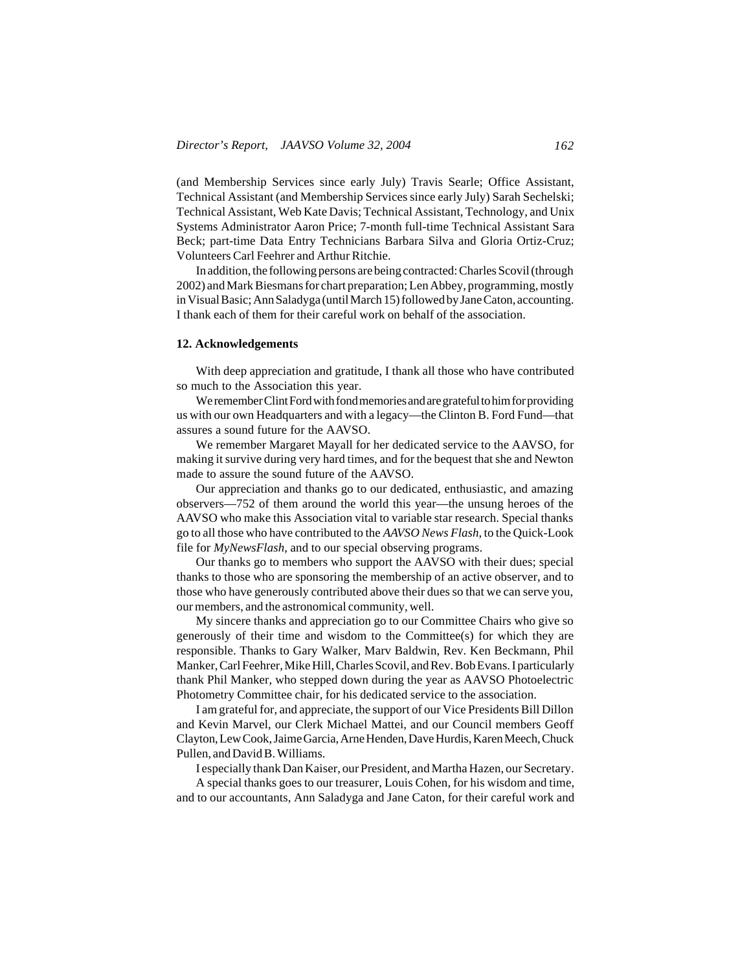(and Membership Services since early July) Travis Searle; Office Assistant, Technical Assistant (and Membership Services since early July) Sarah Sechelski; Technical Assistant, Web Kate Davis; Technical Assistant, Technology, and Unix Systems Administrator Aaron Price; 7-month full-time Technical Assistant Sara Beck; part-time Data Entry Technicians Barbara Silva and Gloria Ortiz-Cruz; Volunteers Carl Feehrer and Arthur Ritchie.

In addition, the following persons are being contracted: Charles Scovil (through 2002) and Mark Biesmans for chart preparation; Len Abbey, programming, mostly in Visual Basic; Ann Saladyga (until March 15) followed by Jane Caton, accounting. I thank each of them for their careful work on behalf of the association.

#### **12. Acknowledgements**

With deep appreciation and gratitude, I thank all those who have contributed so much to the Association this year.

We remember Clint Ford with fond memories and are grateful to him for providing us with our own Headquarters and with a legacy—the Clinton B. Ford Fund—that assures a sound future for the AAVSO.

We remember Margaret Mayall for her dedicated service to the AAVSO, for making it survive during very hard times, and for the bequest that she and Newton made to assure the sound future of the AAVSO.

Our appreciation and thanks go to our dedicated, enthusiastic, and amazing observers—752 of them around the world this year—the unsung heroes of the AAVSO who make this Association vital to variable star research. Special thanks go to all those who have contributed to the *AAVSO News Flash*, to the Quick-Look file for *MyNewsFlash*, and to our special observing programs.

Our thanks go to members who support the AAVSO with their dues; special thanks to those who are sponsoring the membership of an active observer, and to those who have generously contributed above their dues so that we can serve you, our members, and the astronomical community, well.

My sincere thanks and appreciation go to our Committee Chairs who give so generously of their time and wisdom to the Committee(s) for which they are responsible. Thanks to Gary Walker, Marv Baldwin, Rev. Ken Beckmann, Phil Manker, Carl Feehrer, Mike Hill, Charles Scovil, and Rev. Bob Evans. I particularly thank Phil Manker, who stepped down during the year as AAVSO Photoelectric Photometry Committee chair, for his dedicated service to the association.

I am grateful for, and appreciate, the support of our Vice Presidents Bill Dillon and Kevin Marvel, our Clerk Michael Mattei, and our Council members Geoff Clayton, Lew Cook, Jaime Garcia, Arne Henden, Dave Hurdis, Karen Meech, Chuck Pullen, and David B. Williams.

I especially thank Dan Kaiser, our President, and Martha Hazen, our Secretary.

A special thanks goes to our treasurer, Louis Cohen, for his wisdom and time, and to our accountants, Ann Saladyga and Jane Caton, for their careful work and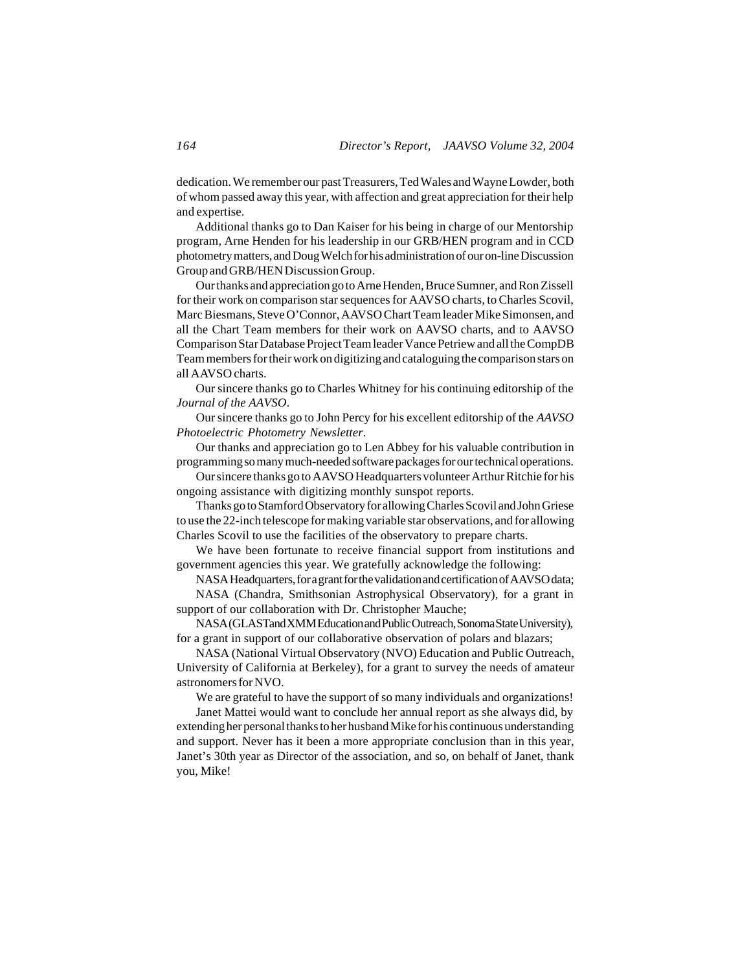dedication. We remember our past Treasurers, Ted Wales and Wayne Lowder, both of whom passed away this year, with affection and great appreciation for their help and expertise.

Additional thanks go to Dan Kaiser for his being in charge of our Mentorship program, Arne Henden for his leadership in our GRB/HEN program and in CCD photometry matters, and Doug Welch for his administration of our on-line Discussion Group and GRB/HEN Discussion Group.

Our thanks and appreciation go to Arne Henden, Bruce Sumner, and Ron Zissell for their work on comparison star sequences for AAVSO charts, to Charles Scovil, Marc Biesmans, Steve O'Connor, AAVSO Chart Team leader Mike Simonsen, and all the Chart Team members for their work on AAVSO charts, and to AAVSO Comparison Star Database Project Team leader Vance Petriew and all the CompDB Team members for their work on digitizing and cataloguing the comparison stars on all AAVSO charts.

Our sincere thanks go to Charles Whitney for his continuing editorship of the *Journal of the AAVSO*.

Our sincere thanks go to John Percy for his excellent editorship of the *AAVSO Photoelectric Photometry Newsletter*.

Our thanks and appreciation go to Len Abbey for his valuable contribution in programming so many much-needed software packages for our technical operations.

Our sincere thanks go to AAVSO Headquarters volunteer Arthur Ritchie for his ongoing assistance with digitizing monthly sunspot reports.

Thanks go to Stamford Observatory for allowing Charles Scovil and John Griese to use the 22-inch telescope for making variable star observations, and for allowing Charles Scovil to use the facilities of the observatory to prepare charts.

We have been fortunate to receive financial support from institutions and government agencies this year. We gratefully acknowledge the following:

NASA Headquarters, for a grant for the validation and certification of AAVSO data;

NASA (Chandra, Smithsonian Astrophysical Observatory), for a grant in support of our collaboration with Dr. Christopher Mauche;

NASA (GLAST and XMM Education and Public Outreach, Sonoma State University), for a grant in support of our collaborative observation of polars and blazars;

NASA (National Virtual Observatory (NVO) Education and Public Outreach, University of California at Berkeley), for a grant to survey the needs of amateur astronomers for NVO.

We are grateful to have the support of so many individuals and organizations!

Janet Mattei would want to conclude her annual report as she always did, by extending her personal thanks to her husband Mike for his continuous understanding and support. Never has it been a more appropriate conclusion than in this year, Janet's 30th year as Director of the association, and so, on behalf of Janet, thank you, Mike!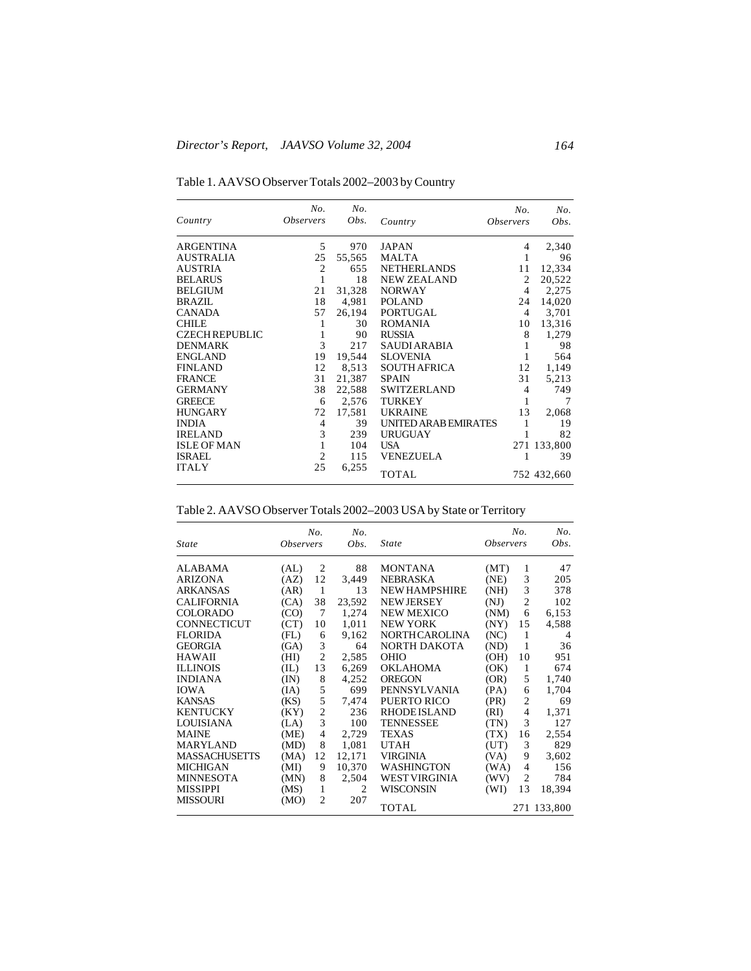| Table 1. AAVSO Observer Totals 2002-2003 by Country |
|-----------------------------------------------------|
|-----------------------------------------------------|

| Country               | No.<br><i><b>Observers</b></i> | No.<br>Obs. | Country              | No.<br><i><b>Observers</b></i> | No.<br>Obs. |
|-----------------------|--------------------------------|-------------|----------------------|--------------------------------|-------------|
| <b>ARGENTINA</b>      | 5                              | 970         | <b>JAPAN</b>         | 4                              | 2,340       |
| <b>AUSTRALIA</b>      | 25                             | 55,565      | MALTA                | 1                              | 96          |
| <b>AUSTRIA</b>        | 2                              | 655         | <b>NETHERLANDS</b>   | 11                             | 12,334      |
| <b>BELARUS</b>        |                                | 18          | <b>NEW ZEALAND</b>   | 2                              | 20,522      |
| <b>BELGIUM</b>        | 21                             | 31,328      | <b>NORWAY</b>        | 4                              | 2,275       |
| BRAZIL                | 18                             | 4,981       | <b>POLAND</b>        | 24                             | 14,020      |
| <b>CANADA</b>         | 57                             | 26,194      | PORTUGAL             | 4                              | 3,701       |
| <b>CHILE</b>          |                                | 30          | <b>ROMANIA</b>       | 10                             | 13,316      |
| <b>CZECH REPUBLIC</b> | 1                              | 90          | <b>RUSSIA</b>        | 8                              | 1,279       |
| <b>DENMARK</b>        | 3                              | 217         | <b>SAUDI ARABIA</b>  |                                | 98          |
| <b>ENGLAND</b>        | 19                             | 19,544      | <b>SLOVENIA</b>      |                                | 564         |
| <b>FINLAND</b>        | 12                             | 8,513       | <b>SOUTH AFRICA</b>  | 12                             | 1,149       |
| <b>FRANCE</b>         | 31                             | 21,387      | <b>SPAIN</b>         | 31                             | 5,213       |
| <b>GERMANY</b>        | 38                             | 22,588      | <b>SWITZERLAND</b>   | 4                              | 749         |
| <b>GREECE</b>         | 6                              | 2,576       | <b>TURKEY</b>        | 1                              | 7           |
| <b>HUNGARY</b>        | 72                             | 17,581      | <b>UKRAINE</b>       | 13                             | 2,068       |
| <b>INDIA</b>          | 4                              | 39          | UNITED ARAB EMIRATES | 1                              | 19          |
| <b>IRELAND</b>        | 3                              | 239         | <b>URUGUAY</b>       |                                | 82          |
| <b>ISLE OF MAN</b>    |                                | 104         | <b>USA</b>           |                                | 271 133,800 |
| <b>ISRAEL</b>         | $\overline{c}$                 | 115         | <b>VENEZUELA</b>     | 1                              | 39          |
| <b>ITALY</b>          | 25                             | 6,255       | <b>TOTAL</b>         |                                | 752 432,660 |

Table 2. AAVSO Observer Totals 2002–2003 USA by State or Territory

|                      |                         | No.            | No.            |                       |                         | No.            | No.         |
|----------------------|-------------------------|----------------|----------------|-----------------------|-------------------------|----------------|-------------|
| <i>State</i>         | <i><b>Observers</b></i> |                | Obs.           | State                 | <i><b>Observers</b></i> |                | Obs.        |
| <b>ALABAMA</b>       | (AL)                    | $\overline{2}$ | 88             | <b>MONTANA</b>        | (MT)                    | 1              | 47          |
| <b>ARIZONA</b>       | (AZ)                    | 12             | 3,449          | <b>NEBRASKA</b>       | (NE)                    | 3              | 205         |
| <b>ARKANSAS</b>      | (AR)                    | 1              | 13             | <b>NEW HAMPSHIRE</b>  | (NH)                    | 3              | 378         |
| <b>CALIFORNIA</b>    | (CA)                    | 38             | 23,592         | <b>NEW JERSEY</b>     | (NJ)                    | $\overline{2}$ | 102         |
| <b>COLORADO</b>      | (CO)                    | 7              | 1,274          | <b>NEW MEXICO</b>     | (NM)                    | 6              | 6,153       |
| <b>CONNECTICUT</b>   | (CT)                    | 10             | 1,011          | <b>NEW YORK</b>       | (NY)                    | 15             | 4,588       |
| <b>FLORIDA</b>       | (FL)                    | 6              | 9,162          | <b>NORTH CAROLINA</b> | (NC)                    | 1              | 4           |
| <b>GEORGIA</b>       | (GA)                    | 3              | 64             | NORTH DAKOTA          | (ND)                    | 1              | 36          |
| <b>HAWAII</b>        | (HI)                    | $\overline{2}$ | 2,585          | <b>OHIO</b>           | (OH)                    | 10             | 951         |
| <b>ILLINOIS</b>      | (IL)                    | 13             | 6,269          | <b>OKLAHOMA</b>       | (OK)                    | 1              | 674         |
| <b>INDIANA</b>       | (IN)                    | 8              | 4,252          | <b>OREGON</b>         | (OR)                    | 5              | 1,740       |
| <b>IOWA</b>          | (IA)                    | 5              | 699            | PENNSYLVANIA          | (PA)                    | 6              | 1,704       |
| <b>KANSAS</b>        | (KS)                    | 5              | 7.474          | <b>PUERTO RICO</b>    | (PR)                    | $\overline{c}$ | 69          |
| <b>KENTUCKY</b>      | (KY)                    | $\overline{2}$ | 236            | <b>RHODEISLAND</b>    | (RI)                    | $\overline{4}$ | 1,371       |
| LOUISIANA            | (LA)                    | 3              | 100            | <b>TENNESSEE</b>      | (TN)                    | 3              | 127         |
| <b>MAINE</b>         | (ME)                    | $\overline{4}$ | 2,729          | TEXAS                 | (TX)                    | 16             | 2,554       |
| <b>MARYLAND</b>      | (MD)                    | 8              | 1,081          | <b>UTAH</b>           | (UT)                    | 3              | 829         |
| <b>MASSACHUSETTS</b> | (MA)                    | 12             | 12,171         | <b>VIRGINIA</b>       | (VA)                    | 9              | 3,602       |
| <b>MICHIGAN</b>      | (MI)                    | 9              | 10,370         | <b>WASHINGTON</b>     | (WA)                    | $\overline{4}$ | 156         |
| <b>MINNESOTA</b>     | (MN)                    | 8              | 2,504          | <b>WEST VIRGINIA</b>  | (WV)                    | $\overline{c}$ | 784         |
| <b>MISSIPPI</b>      | (MS)                    | 1              | $\overline{c}$ | WISCONSIN             | (WI)                    | 13             | 18,394      |
| <b>MISSOURI</b>      | (MO)                    | $\mathfrak{D}$ | 207            | TOTAL                 |                         |                | 271 133,800 |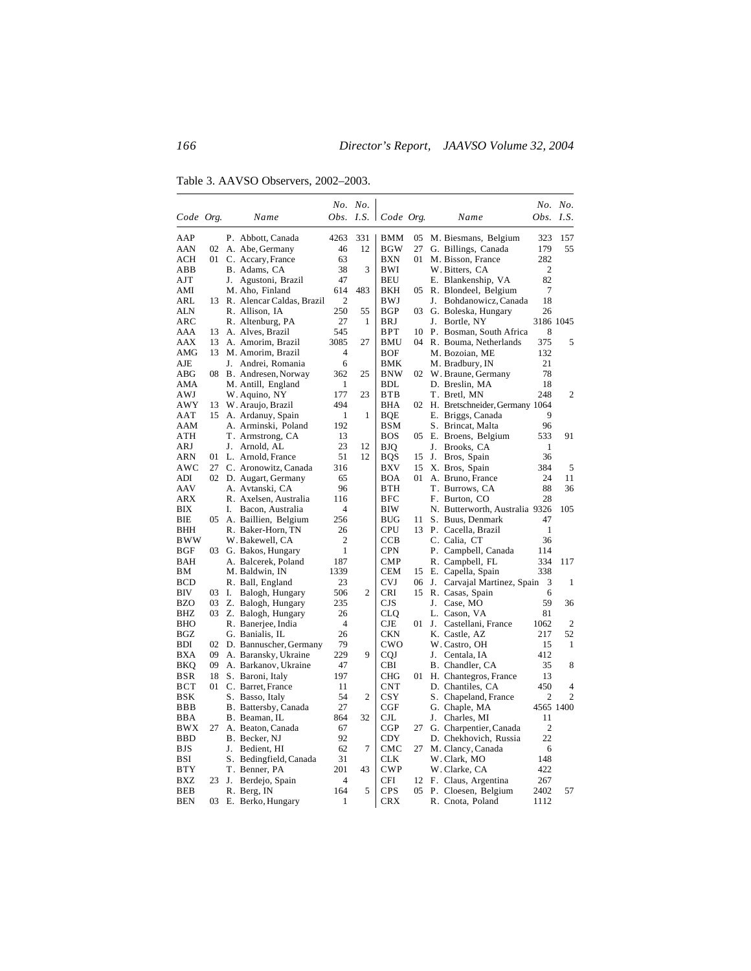Table 3. AAVSO Observers, 2002–2003.

|            |    |    |                                                  |                | No. No. |                        |          |    |                                            |                  | No. No.        |
|------------|----|----|--------------------------------------------------|----------------|---------|------------------------|----------|----|--------------------------------------------|------------------|----------------|
| Code Org.  |    |    | Name                                             | Obs.           |         | $I.S.$   $Code$ $Org.$ |          |    | Name                                       | <i>Obs. I.S.</i> |                |
| AAP        |    |    | P. Abbott, Canada                                | 4263           | 331     | <b>BMM</b>             | 05       |    | M. Biesmans, Belgium                       | 323              | 157            |
| AAN        | 02 |    | A. Abe, Germany                                  | 46             | 12      | <b>BGW</b>             | 27       |    | G. Billings, Canada                        | 179              | 55             |
| <b>ACH</b> | 01 |    | C. Accary, France                                | 63             |         | <b>BXN</b>             | 01       |    | M. Bisson, France                          | 282              |                |
| ABB        |    |    | 38<br>3<br>BWI<br>B. Adams, CA<br>W. Bitters, CA |                | 2       |                        |          |    |                                            |                  |                |
| AJT        |    |    | J. Agustoni, Brazil                              | 47             |         | <b>BEU</b>             |          |    | E. Blankenship, VA                         | 82               |                |
| AMI        |    |    | M. Aho, Finland                                  | 614            | 483     | BKH                    | 05.      |    | R. Blondeel, Belgium                       | 7                |                |
| ARL        |    |    | 13 R. Alencar Caldas, Brazil                     | $\overline{c}$ |         | BWJ                    |          | J. | Bohdanowicz, Canada                        | 18               |                |
| ALN        |    |    | R. Allison, IA                                   | 250            | 55      | <b>BGP</b>             | 03       |    | G. Boleska, Hungary                        | 26               |                |
| ARC        |    |    | R. Altenburg, PA                                 | 27             | 1       | <b>BRJ</b>             |          | J. | Bortle, NY                                 |                  | 3186 1045      |
| AAA        | 13 |    | A. Alves, Brazil                                 | 545            |         | <b>BPT</b>             | 10       |    | P. Bosman, South Africa                    | 8                |                |
| AAX        | 13 |    | A. Amorim, Brazil                                | 3085           | 27      | <b>BMU</b>             | 04       |    | R. Bouma, Netherlands                      | 375              | 5              |
| AMG        | 13 |    | M. Amorim, Brazil                                | 4              |         | <b>BOF</b>             |          |    | M. Bozoian, ME                             | 132              |                |
| AJE        |    |    | J. Andrei, Romania                               | 6              |         | BMK                    |          |    | M. Bradbury, IN                            | 21               |                |
| ABG        |    |    | 08 B. Andresen, Norway                           | 362            | 25      | <b>BNW</b>             |          |    | 02 W. Braune, Germany                      | 78               |                |
| AMA        |    |    | M. Antill, England                               | 1              |         | <b>BDL</b>             |          |    | D. Breslin, MA                             | 18               |                |
| <b>AWJ</b> |    |    | W. Aquino, NY                                    | 177            | 23      | <b>BTB</b>             |          |    | T. Bretl, MN                               | 248              | 2              |
| AWY        | 13 |    | W. Araujo, Brazil                                | 494            |         | BHA                    |          |    | 02 H. Bretschneider, Germany 1064          |                  |                |
| AAT        |    |    | 15 A. Ardanuy, Spain                             | 1              | 1       | BOE                    |          |    | E. Briggs, Canada                          | 9                |                |
| AAM        |    |    | A. Arminski, Poland                              | 192            |         | <b>BSM</b>             |          |    | S. Brincat, Malta                          | 96               |                |
| ATH        |    |    | T. Armstrong, CA                                 | 13             |         | <b>BOS</b>             |          |    | 05 E. Broens, Belgium                      | 533              | 91             |
| ARJ        |    |    | J. Arnold, AL                                    | 23             | 12      | <b>BJQ</b>             |          | J. | Brooks, CA                                 | 1                |                |
| <b>ARN</b> | 01 |    | L. Arnold, France                                | 51             | 12      | <b>BQS</b>             | 15       | J. | Bros, Spain                                | 36               |                |
| AWC        |    |    | 27 C. Aronowitz, Canada                          | 316            |         | BXV                    | 15       |    | X. Bros, Spain                             | 384              | 5              |
| ADI        |    |    | 02 D. Augart, Germany                            | 65             |         | <b>BOA</b>             | 01       |    | A. Bruno, France                           | 24               | 11             |
| AAV        |    |    | A. Avtanski, CA                                  | 96             |         | <b>BTH</b>             |          |    | T. Burrows, CA                             | 88               | 36             |
| ARX        |    |    | R. Axelsen, Australia                            | 116            |         | <b>BFC</b>             |          |    | F. Burton, CO                              | 28               |                |
| ВIХ        |    | I. | Bacon, Australia                                 | 4              |         | BIW                    |          |    | N. Butterworth, Australia 9326             |                  | 105            |
| BIE        | 05 |    | A. Baillien, Belgium                             | 256            |         | <b>BUG</b>             | 11       |    | S. Buus, Denmark                           | 47               |                |
| <b>BHH</b> |    |    | R. Baker-Horn, TN                                | 26             |         | <b>CPU</b>             | 13       |    | P. Cacella, Brazil                         | 1                |                |
| BWW        |    |    | W. Bakewell, CA                                  | $\overline{2}$ |         | CCB                    |          |    | C. Calia, CT                               | 36               |                |
| BGF        | 03 |    | G. Bakos, Hungary                                | 1              |         | <b>CPN</b>             |          |    | P. Campbell, Canada                        | 114              |                |
| BAH        |    |    | A. Balcerek, Poland                              | 187            |         | <b>CMP</b>             |          |    | R. Campbell, FL                            | 334              | 117            |
| BМ         |    |    | M. Baldwin, IN                                   | 1339           |         | <b>CEM</b>             |          |    | 15 E. Capella, Spain                       | 338              |                |
| <b>BCD</b> |    |    | R. Ball, England                                 | 23             |         | <b>CVJ</b>             | 06       | J. | Carvajal Martinez, Spain                   | 3                | 1              |
| BIV        | 03 | Ι. | Balogh, Hungary                                  | 506            | 2       | CRI                    | 15       |    | R. Casas, Spain                            | 6                |                |
| <b>BZO</b> | 03 |    | Z. Balogh, Hungary                               | 235            |         | CJS                    |          |    | J. Case, MO                                | 59               | 36             |
| BHZ        |    |    | 03 Z. Balogh, Hungary                            | 26             |         | CLQ                    |          |    | L. Cason, VA                               | 81               |                |
| BHO        |    |    | R. Banerjee, India                               | $\overline{4}$ |         | CJE                    | 01       | J. | Castellani, France                         | 1062             | $\overline{2}$ |
| BGZ        |    |    | G. Banialis, IL                                  | 26             |         | CKN                    |          |    | K. Castle, AZ                              | 217              | 52             |
| BDI        | 02 |    | D. Bannuscher, Germany                           | 79             |         | CWO                    |          |    | W. Castro, OH                              | 15               | 1              |
| <b>BXA</b> | 09 |    | A. Baransky, Ukraine                             | 229            | 9       | <b>CQJ</b>             |          |    | J. Centala, IA                             | 412              |                |
| BKQ        | 09 |    | A. Barkanov, Ukraine                             | 47             |         | <b>CBI</b>             |          |    | B. Chandler, CA                            | 35               | 8              |
| <b>BSR</b> | 18 |    | S. Baroni, Italy                                 | 197            |         | <b>CHG</b>             | 01       |    | H. Chantegros, France                      | 13               |                |
| <b>BCT</b> | 01 |    | C. Barret, France                                | 11             |         | <b>CNT</b>             |          |    | D. Chantiles, CA                           | 450              | 4              |
| BSK        |    |    | S. Basso, Italy                                  | 54             | 2       | <b>CSY</b>             |          |    | S. Chapeland, France                       | 2                | $\overline{2}$ |
| <b>BBB</b> |    |    | B. Battersby, Canada                             | 27             |         | CGF                    |          |    | G. Chaple, MA                              |                  | 4565 1400      |
| BBA        |    |    | B. Beaman, IL                                    | 864            | 32      | $_{\rm CJL}$           |          | J. | Charles, MI                                | 11               |                |
| BWX        | 27 |    | A. Beaton, Canada                                | 67             |         | $_{\rm CGP}$           | 27       |    | G. Charpentier, Canada                     | $\overline{2}$   |                |
| <b>BBD</b> |    |    | B. Becker, NJ                                    | 92             |         | <b>CDY</b>             |          |    | D. Chekhovich, Russia                      | 22               |                |
| <b>BJS</b> |    |    | J. Bedient, HI                                   | 62             | 7       | CMC                    | 27       |    | M. Clancy, Canada                          | 6                |                |
| BSI        |    |    | S. Bedingfield, Canada                           | 31             |         | <b>CLK</b>             |          |    | W. Clark, MO                               | 148              |                |
| <b>BTY</b> |    |    | T. Benner, PA                                    | 201            | 43      | <b>CWP</b>             |          |    |                                            | 422              |                |
| <b>BXZ</b> | 23 |    |                                                  | $\overline{4}$ |         | <b>CFI</b>             |          |    | W. Clarke, CA                              |                  |                |
| <b>BEB</b> |    | J. | Berdejo, Spain<br>R. Berg, IN                    | 164            | 5       | <b>CPS</b>             | 12<br>05 |    | F. Claus, Argentina<br>P. Cloesen, Belgium | 267<br>2402      | 57             |
| <b>BEN</b> | 03 |    |                                                  | 1              |         | <b>CRX</b>             |          |    | R. Cnota, Poland                           | 1112             |                |
|            |    |    | E. Berko, Hungary                                |                |         |                        |          |    |                                            |                  |                |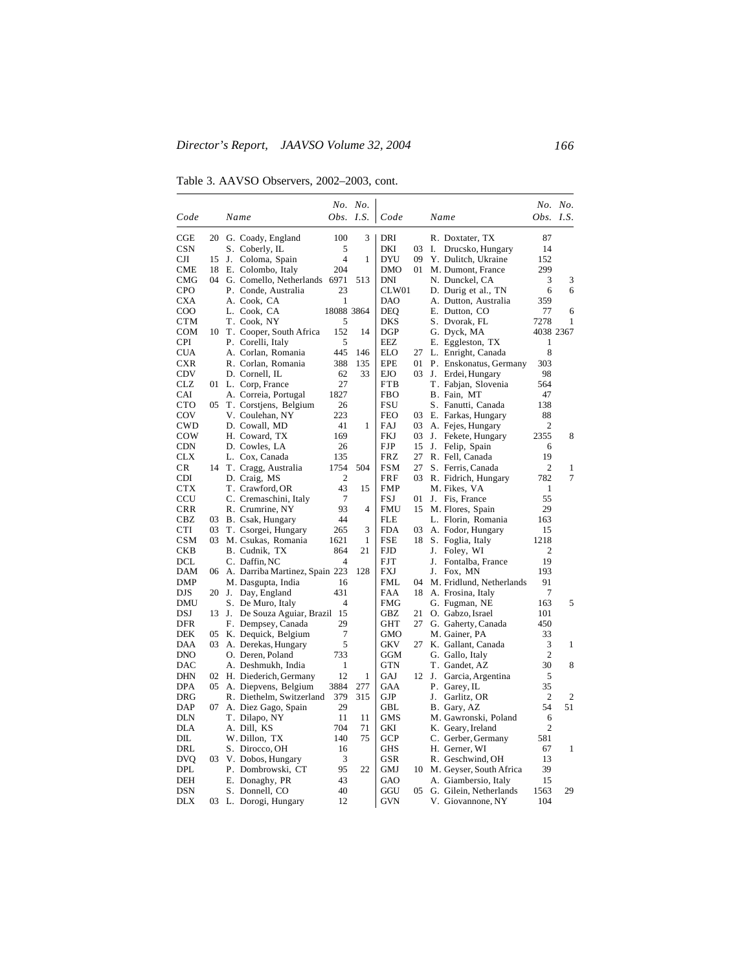Table 3. AAVSO Observers, 2002–2003, cont.

|              |    |       |                                                      |                | No. No.           |                   |          |    |                               |                | No. No.      |
|--------------|----|-------|------------------------------------------------------|----------------|-------------------|-------------------|----------|----|-------------------------------|----------------|--------------|
| Code         |    |       | Name                                                 | Obs.           | I.S.              | Code              |          |    | Name                          | Obs. $I.S.$    |              |
| CGE          |    |       | 20 G. Coady, England                                 | 100            | 3                 | DRI               |          |    | R. Doxtater, TX               | 87             |              |
| <b>CSN</b>   |    |       | S. Coberly, IL                                       | 5              |                   | DKI               | 03       | Ι. | Drucsko, Hungary              | 14             |              |
| CЛ           | 15 | J.    | Coloma, Spain                                        | $\overline{4}$ | 1                 | DYU               | 09       |    | Y. Dulitch, Ukraine           | 152            |              |
| CME          |    |       | 18 E. Colombo, Italy                                 | 204            |                   | DMO               | 01       |    | M. Dumont, France             | 299            |              |
| CMG          |    |       | 04 G. Comello, Netherlands                           | 6971           | 513               | DNI               |          |    | N. Dunckel, CA                | 3              | 3            |
| <b>CPO</b>   |    |       | P. Conde, Australia                                  | 23             |                   | CLW01             |          |    | D. Durig et al., TN           | 6              | 6            |
| <b>CXA</b>   |    |       | A. Cook, CA                                          | 1              |                   | DAO               |          |    | A. Dutton, Australia          | 359            |              |
| $_{\rm COO}$ |    |       | L. Cook, CA                                          | 18088 3864     |                   | DEQ               |          |    | E. Dutton, CO                 | 77             | 6            |
| CTM          |    |       | T. Cook, NY                                          | 5              |                   | DKS               |          |    | S. Dvorak, FL                 | 7278           | 1            |
| COM          | 10 |       | T. Cooper, South Africa                              | 152            | 14                | DGP               |          |    | G. Dyck, MA                   |                | 4038 2367    |
| <b>CPI</b>   |    |       | P. Corelli, Italy                                    | 5              |                   | EEZ               |          |    | E. Eggleston, TX              | $\mathbf{1}$   |              |
| <b>CUA</b>   |    |       | A. Corlan, Romania                                   | 445            | 146               | <b>ELO</b>        | 27       |    | L. Enright, Canada            | 8              |              |
| CXR          |    |       | R. Corlan, Romania                                   | 388            | 135               | EPE               | 01       |    | P. Enskonatus, Germany        | 303            |              |
| CDV          |    |       | D. Cornell, IL                                       | 62             | 33                | EJO               | 03       |    | J. Erdei, Hungary             | 98             |              |
| CLZ          |    |       | 01 L. Corp, France                                   | 27             |                   | FTB               |          |    | T. Fabjan, Slovenia           | 564            |              |
| CAI          |    |       | A. Correia, Portugal                                 | 1827           |                   | FBO               |          |    | B. Fain, MT                   | 47             |              |
| <b>CTO</b>   | 05 |       | T. Corstjens, Belgium                                | 26             |                   | FSU               |          |    | S. Fanutti, Canada            | 138            |              |
| COV          |    |       | V. Coulehan, NY                                      | 223            |                   | <b>FEO</b>        | 03       |    | E. Farkas, Hungary            | 88             |              |
| <b>CWD</b>   |    |       | D. Cowall, MD                                        | 41             | 1                 | FAJ               | 03       |    | A. Fejes, Hungary             | 2              |              |
| COW          |    |       | H. Coward, TX                                        | 169            |                   | <b>FKJ</b>        | 03       | J. | Fekete, Hungary               | 2355           | 8            |
| <b>CDN</b>   |    |       | D. Cowles, LA                                        | 26             |                   | <b>FJP</b>        | 15       | J. | Felip, Spain                  | 6              |              |
| <b>CLX</b>   |    |       | L. Cox, Canada                                       | 135            |                   | <b>FRZ</b>        | 27       |    | R. Fell, Canada               | 19             |              |
| CR           |    |       | 14 T. Cragg, Australia                               | 1754           | 504               | <b>FSM</b>        | 27       |    | S. Ferris, Canada             | $\overline{c}$ | 1            |
| <b>CDI</b>   |    |       | D. Craig, MS                                         | $\overline{2}$ |                   | FRF               | 03       |    | R. Fidrich, Hungary           | 782            | 7            |
| CTX          |    |       | T. Crawford, OR                                      | 43             | 15                | FMP               |          |    | M. Fikes, VA                  | 1              |              |
| CCU          |    |       | C. Cremaschini, Italy                                | 7<br>93        | 4                 | FSJ               | 01       |    | J. Fis, France                | 55             |              |
| <b>CRR</b>   |    |       | R. Crumrine, NY                                      | 44             |                   | FMU               | 15       |    | M. Flores, Spain              | 29             |              |
| CBZ          | 03 |       | B. Csak, Hungary                                     |                |                   | FLE               |          |    | L. Florin, Romania            | 163            |              |
| CTI<br>CSM   | 03 |       | T. Csorgei, Hungary                                  | 265<br>1621    | 3<br>$\mathbf{1}$ | <b>FDA</b><br>FSE | 03<br>18 |    | A. Fodor, Hungary             | 15<br>1218     |              |
| <b>CKB</b>   |    |       | 03 M. Csukas, Romania<br>B. Cudnik, TX               | 864            | 21                | <b>FJD</b>        |          | J. | S. Foglia, Italy<br>Foley, WI | $\overline{2}$ |              |
| DCL          |    |       | C. Daffin, NC                                        | $\overline{4}$ |                   | FJT               |          | J. | Fontalba, France              | 19             |              |
| DAM          | 06 |       |                                                      |                | 128               | FXJ               |          | J. | Fox, MN                       | 193            |              |
| DMP          |    |       | A. Darriba Martinez, Spain 223<br>M. Dasgupta, India | 16             |                   | FML               | 04       |    | M. Fridlund, Netherlands      | 91             |              |
| DJS          |    |       | 20 J. Day, England                                   | 431            |                   | FAA               | 18       |    | A. Frosina, Italy             | 7              |              |
| DMU          |    |       | S. De Muro, Italy                                    | $\overline{4}$ |                   | <b>FMG</b>        |          |    | G. Fugman, NE                 | 163            | 5            |
| DSJ          |    | 13 J. | De Souza Aguiar, Brazil 15                           |                |                   | GBZ               | 21       |    | O. Gabzo, Israel              | 101            |              |
| DFR          |    |       | F. Dempsey, Canada                                   | 29             |                   | GHT               | 27       |    | G. Gaherty, Canada            | 450            |              |
| DEK          |    |       | 05 K. Dequick, Belgium                               | 7              |                   | <b>GMO</b>        |          |    | M. Gainer, PA                 | 33             |              |
| DAA          | 03 |       | A. Derekas, Hungary                                  | 5              |                   | <b>GKV</b>        | 27       |    | K. Gallant, Canada            | 3              | 1            |
| <b>DNO</b>   |    |       | O. Deren, Poland                                     | 733            |                   | GGM               |          |    | G. Gallo, Italy               | $\overline{2}$ |              |
| DAC          |    |       | A. Deshmukh, India                                   | 1              |                   | GTN               |          |    | T. Gandet, AZ                 | 30             | 8            |
| DHN          |    |       | 02 H. Diederich, Germany                             | 12             | 1                 | GAJ               | 12       | J. | Garcia, Argentina             | 5              |              |
| <b>DPA</b>   |    |       | 05 A. Diepvens, Belgium                              | 3884           | 277               | GAA               |          |    | P. Garey, IL                  | 35             |              |
| DRG          |    |       | R. Diethelm, Switzerland                             | 379            | 315               | GJP               |          |    | J. Garlitz, OR                | $\overline{c}$ | 2            |
| DAP          | 07 |       | A. Diez Gago, Spain                                  | 29             |                   | GBL               |          |    | B. Gary, AZ                   | 54             | 51           |
| DLN          |    |       | T. Dilapo, NY                                        | 11             | 11                | GMS               |          |    | M. Gawronski, Poland          | 6              |              |
| <b>DLA</b>   |    |       | A. Dill, KS                                          | 704            | 71                | GKI               |          |    | K. Geary, Ireland             | 2              |              |
| DIL          |    |       | W. Dillon, TX                                        | 140            | 75                | <b>GCP</b>        |          |    | C. Gerber, Germany            | 581            |              |
| DRL          |    |       | S. Dirocco, OH                                       | 16             |                   | <b>GHS</b>        |          |    | H. Gerner, WI                 | 67             | $\mathbf{1}$ |
| <b>DVQ</b>   |    |       | 03 V. Dobos, Hungary                                 | 3              |                   | GSR               |          |    | R. Geschwind, OH              | 13             |              |
| DPL          |    |       | P. Dombrowski, CT                                    | 95             | 22                | GMJ               | 10       |    | M. Geyser, South Africa       | 39             |              |
| DEH          |    |       | E. Donaghy, PR                                       | 43             |                   | <b>GAO</b>        |          |    | A. Giambersio, Italy          | 15             |              |
| DSN          |    |       | S. Donnell, CO                                       | 40             |                   | GGU               | 05       |    | G. Gilein, Netherlands        | 1563           | 29           |
| DLX          |    |       | 03 L. Dorogi, Hungary                                | 12             |                   | <b>GVN</b>        |          |    | V. Giovannone, NY             | 104            |              |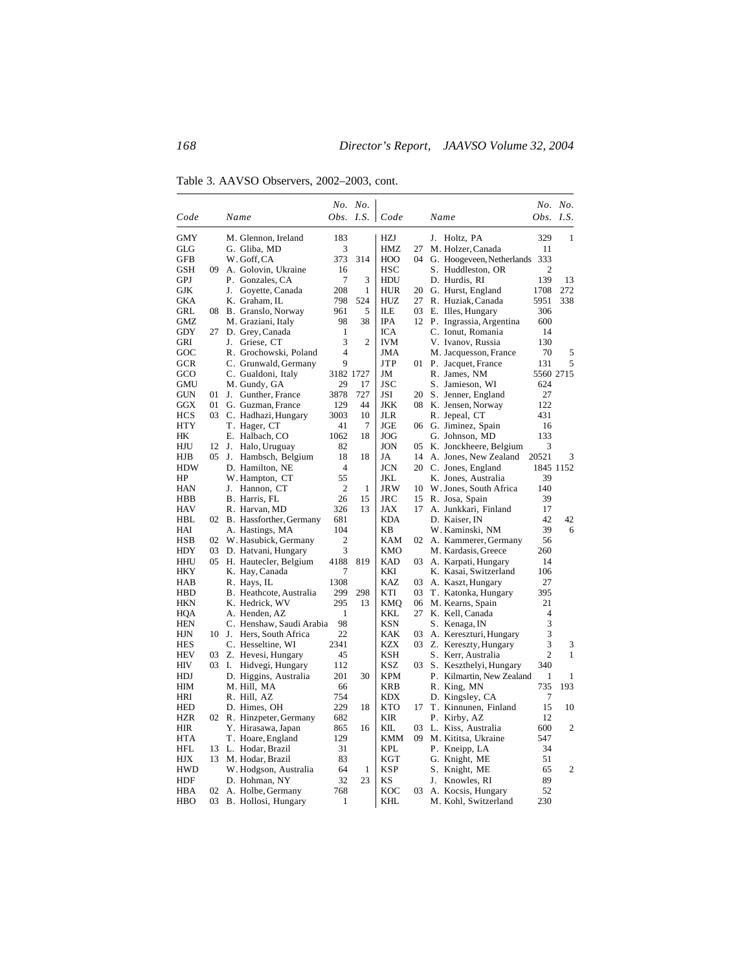Table 3. AAVSO Observers, 2002–2003, cont.

|                  |    |       |                              |                  | No. No.        |                   |     |      |                                               |                  | No. No.        |
|------------------|----|-------|------------------------------|------------------|----------------|-------------------|-----|------|-----------------------------------------------|------------------|----------------|
| Code             |    |       | Name                         | <i>Obs. I.S.</i> |                | Code              |     | Name |                                               | <i>Obs. I.S.</i> |                |
| GMY              |    |       | M. Glennon, Ireland          | 183              |                | <b>HZJ</b>        |     |      | J. Holtz, PA                                  | 329              | 1              |
| GLG              |    |       | G. Gliba, MD                 | 3                |                | HMZ               | 27  |      | M. Holzer, Canada                             | 11               |                |
| GFB              |    |       | W. Goff, CA                  | 373              | 314            | HOO               | 04  |      | G. Hoogeveen, Netherlands                     | 333              |                |
| GSH              | 09 |       | A. Golovin, Ukraine          | 16               |                | HSC               |     |      | S. Huddleston, OR                             | 2                |                |
| GPJ              |    |       | P. Gonzales, CA              | 7                | 3              | HDU               |     |      | D. Hurdis, RI                                 | 139              | 13             |
| GJK              |    |       | J. Goyette, Canada           | 208              | 1              | <b>HUR</b>        | 20  |      | G. Hurst, England                             | 1708             | 272            |
| GKA              |    |       | K. Graham, IL                | 798              | 524            | HUZ               | 27  |      | R. Huziak, Canada                             | 5951             | 338            |
| GRL              | 08 |       | B. Granslo, Norway           | 961              | 5              | ILE               | 03  |      | E. Illes, Hungary                             | 306              |                |
| <b>GMZ</b>       |    |       | M. Graziani, Italy           | 98               | 38             | <b>IPA</b>        |     |      | 12 P. Ingrassia, Argentina                    | 600              |                |
| <b>GDY</b>       | 27 |       | D. Grey, Canada              | 1                |                | ICA               |     |      | C. Ionut, Romania                             | 14               |                |
| GRI              |    |       | J. Griese, CT                | 3                | $\overline{2}$ | IVM               |     |      | V. Ivanov, Russia                             | 130              |                |
| GOC              |    |       | R. Grochowski, Poland        | 4                |                | JMA               |     |      | M. Jacquesson, France                         | 70               | 5              |
| <b>GCR</b>       |    |       | C. Grunwald, Germany         | 9                |                | JTP               |     |      | 01 P. Jacquet, France                         | 131              | 5              |
| GCO              |    |       | C. Gualdoni, Italy           | 3182 1727        |                | JM                |     |      | R. James, NM                                  | 5560 2715        |                |
| <b>GMU</b>       |    |       | M. Gundy, GA                 | 29               | 17             | JSC               |     |      | S. Jamieson, WI                               | 624              |                |
| <b>GUN</b>       | 01 |       | J. Gunther, France           | 3878             | 727            | JSI               | 20  |      | S. Jenner, England                            | 27               |                |
| GGX              | 01 |       | G. Guzman, France            | 129              | 44             | JKK               | 08  |      | K. Jensen, Norway                             | 122              |                |
| <b>HCS</b>       | 03 |       | C. Hadhazi, Hungary          | 3003             | 10             | JLR               |     |      | R. Jepeal, CT                                 | 431              |                |
| HTY              |    |       | T. Hager, CT                 | 41               | 7              | JGE               | 06  |      | G. Jiminez, Spain                             | 16               |                |
| HК               |    |       | E. Halbach, CO               | 1062             | 18             | JOG               |     |      | G. Johnson, MD                                | 133              |                |
| HJU              | 12 | J.    | Halo, Uruguay                | 82               |                | JON               | 05  |      | K. Jonckheere, Belgium                        | 3                |                |
| HJB              | 05 |       | J. Hambsch, Belgium          | 18<br>4          | 18             | JA                | 14  |      | A. Jones, New Zealand                         | 20521            | 3              |
| <b>HDW</b><br>HP |    |       | D. Hamilton, NE              | 55               |                | <b>JCN</b><br>JKL |     |      | 20 C. Jones, England                          | 39               | 1845 1152      |
| <b>HAN</b>       |    | J.    | W. Hampton, CT<br>Hannon, CT | $\overline{2}$   | 1              | <b>JRW</b>        | 10  |      | K. Jones, Australia<br>W. Jones, South Africa | 140              |                |
| HBB              |    |       | B. Harris, FL                | 26               | 15             | JRC               | 15  |      | R. Josa, Spain                                | 39               |                |
| <b>HAV</b>       |    |       | R. Harvan, MD                | 326              | 13             | JAX               | 17  |      | A. Junkkari, Finland                          | 17               |                |
| HBL              | 02 |       | B. Hassforther, Germany      | 681              |                | KDA               |     |      | D. Kaiser, IN                                 | 42               | 42             |
| HAI              |    |       | A. Hastings, MA              | 104              |                | <b>KB</b>         |     |      | W. Kaminski, NM                               | 39               | 6              |
| <b>HSB</b>       | 02 |       | W. Hasubick, Germany         | 2                |                | KAM               | 02  |      | A. Kammerer, Germany                          | 56               |                |
| HDY              | 03 |       | D. Hatvani, Hungary          | 3                |                | KMO               |     |      | M. Kardasis, Greece                           | 260              |                |
| <b>HHU</b>       |    |       | 05 H. Hautecler, Belgium     | 4188             | 819            | KAD               | 03  |      | A. Karpati, Hungary                           | 14               |                |
| <b>HKY</b>       |    |       | K. Hay, Canada               | 7                |                | KKI               |     |      | K. Kasai, Switzerland                         | 106              |                |
| HAB              |    |       | R. Hays, IL                  | 1308             |                | KAZ               | 03  |      | A. Kaszt, Hungary                             | 27               |                |
| <b>HBD</b>       |    |       | B. Heathcote, Australia      | 299              | 298            | KTI               | 03  |      | T. Katonka, Hungary                           | 395              |                |
| HKN              |    |       | K. Hedrick, WV               | 295              | 13             | KMQ               | 06  |      | M. Kearns, Spain                              | 21               |                |
| HQA              |    |       | A. Henden, AZ                | $\mathbf{1}$     |                | KKL               | 27  |      | K. Kell, Canada                               | $\overline{4}$   |                |
| <b>HEN</b>       |    |       | C. Henshaw, Saudi Arabia     | 98               |                | KSN               |     |      | S. Kenaga, IN                                 | 3                |                |
| HJN              | 10 | J.    | Hers, South Africa           | 22               |                | KAK               | 03  |      | A. Kereszturi, Hungary                        | 3                |                |
| <b>HES</b>       |    |       | C. Hesseltine, WI            | 2341             |                | <b>KZX</b>        | 03  |      | Z. Kereszty, Hungary                          | 3                | 3              |
| <b>HEV</b>       | 03 |       | Z. Hevesi, Hungary           | 45               |                | KSH               |     |      | S. Kerr, Australia                            | $\overline{2}$   | 1              |
| HIV              |    | 03 I. | Hidvegi, Hungary             | 112              |                | KSZ               | 03  |      | S. Keszthelyi, Hungary                        | 340              |                |
| <b>HDJ</b>       |    |       | D. Higgins, Australia        | 201              | 30             | KPM               |     |      | P. Kilmartin, New Zealand                     | 1                | 1              |
| HIM              |    |       | M. Hill, MA                  | 66               |                | KRB               |     |      | R. King, MN                                   | 735              | 193            |
| HRI              |    |       | R. Hill, AZ                  | 754              |                | KDX               |     |      | D. Kingsley, CA                               | 7                |                |
| <b>HED</b>       |    |       | D. Himes, OH                 | 229              | 18             | KTO               | 17  |      | T. Kinnunen, Finland                          | 15               | 10             |
| <b>HZR</b>       | 02 |       | R. Hinzpeter, Germany        | 682              |                | <b>KIR</b>        |     |      | P. Kirby, AZ                                  | 12               |                |
| <b>HIR</b>       |    |       | Y. Hirasawa, Japan           | 865              | 16             | KП                | 03  |      | L. Kiss, Australia                            | 600              | $\mathfrak{2}$ |
| HTA              |    |       | T. Hoare, England            | 129              |                | KMM               | 09. |      | M. Kititsa, Ukraine                           | 547              |                |
| HFL              | 13 |       | L. Hodar, Brazil             | 31               |                | KPL               |     |      | P. Kneipp, LA                                 | 34               |                |
| HЈХ              | 13 |       | M. Hodar, Brazil             | 83               |                | KGT               |     |      | G. Knight, ME                                 | 51               |                |
| <b>HWD</b>       |    |       | W. Hodgson, Australia        | 64               | 1              | <b>KSP</b>        |     |      | S. Knight, ME                                 | 65               | $\overline{2}$ |
| HDF              |    |       | D. Hohman, NY                | 32               | 23             | KS                |     | J.   | Knowles, RI                                   | 89               |                |
| HBA              | 02 |       | A. Holbe, Germany            | 768              |                | KOC               | 03  |      | A. Kocsis, Hungary                            | 52               |                |
| HBO              | 03 |       | B. Hollosi, Hungary          | 1                |                | KHL               |     |      | M. Kohl, Switzerland                          | 230              |                |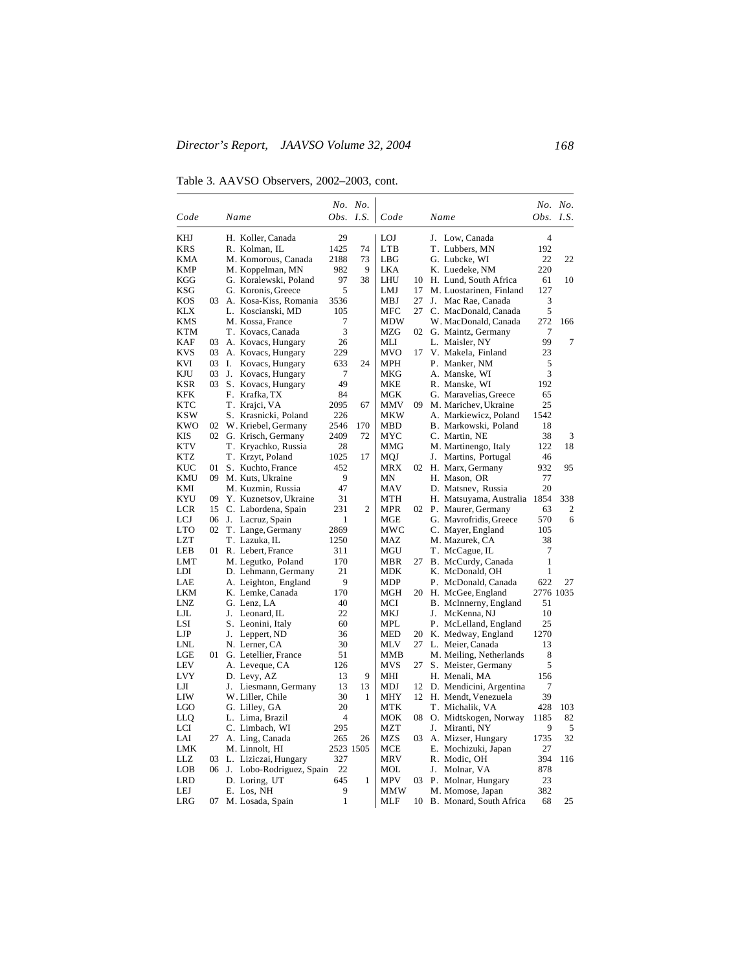Table 3. AAVSO Observers, 2002–2003, cont.

|            |    |                                              |                  | No. No. |                   |     |      |                                                  |                | No. No. |
|------------|----|----------------------------------------------|------------------|---------|-------------------|-----|------|--------------------------------------------------|----------------|---------|
| Code       |    | Name                                         | <i>Obs. I.S.</i> |         | Code              |     | Name |                                                  | Obs.           | I.S.    |
| KHJ        |    | H. Koller, Canada                            | 29               |         | <b>LOJ</b>        |     |      | J. Low, Canada                                   | $\overline{4}$ |         |
| KRS        |    | R. Kolman, IL                                | 1425             | 74      | <b>LTB</b>        |     |      | T. Lubbers, MN                                   | 192            |         |
| KMA        |    | M. Komorous, Canada                          | 2188             | 73      | LBG               |     |      | G. Lubcke, WI                                    | 22             | 22      |
| KMP        |    | M. Koppelman, MN                             | 982              | 9       | LKA               |     |      | K. Luedeke, NM                                   | 220            |         |
| KGG        |    | G. Koralewski, Poland                        | 97               | 38      | LHU               | 10  |      | H. Lund, South Africa                            | 61             | 10      |
| KSG        |    | G. Koronis, Greece                           | 5                |         | LMJ               | 17  |      | M. Luostarinen, Finland                          | 127            |         |
| KOS        | 03 | A. Kosa-Kiss, Romania                        | 3536             |         | MBJ               | 27  | J.   | Mac Rae, Canada                                  | 3              |         |
| KLX        |    | L. Koscianski, MD                            | 105              |         | MFC               | 27  |      | C. MacDonald, Canada                             | 5              |         |
| KMS        |    | M. Kossa, France                             | 7                |         | MDW               |     |      | W. MacDonald, Canada                             | 272            | 166     |
| KTM        |    | T. Kovacs, Canada                            | 3                |         | MZG               | 02  |      | G. Maintz, Germany                               | 7              |         |
| KAF        | 03 | A. Kovacs, Hungary                           | 26               |         | MLI               |     |      | L. Maisler, NY                                   | 99             | 7       |
| KVS        | 03 | A. Kovacs, Hungary                           | 229              |         | MVO               | 17  |      | V. Makela, Finland                               | 23             |         |
| KVI        | 03 | Ι.<br>Kovacs, Hungary                        | 633              | 24      | <b>MPH</b>        |     |      | P. Manker, NM                                    | 5              |         |
| KJU        | 03 | J.<br>Kovacs, Hungary                        | 7                |         | MKG               |     |      | A. Manske, WI                                    | 3              |         |
| KSR        | 03 | S. Kovacs, Hungary                           | 49               |         | <b>MKE</b>        |     |      | R. Manske, WI                                    | 192            |         |
| KFK        |    | F. Krafka, TX                                | 84               |         | MGK               |     |      | G. Maravelias, Greece                            | 65             |         |
| KTC        |    | T. Krajci, VA                                | 2095             | 67      | MMV               | 09. |      | M. Marichev, Ukraine                             | 25             |         |
| KSW        |    | S. Krasnicki, Poland                         | 226              |         | MKW               |     |      | A. Markiewicz, Poland                            | 1542           |         |
| <b>KWO</b> | 02 | W. Kriebel, Germany                          | 2546             | 170     | MBD               |     |      | B. Markowski, Poland                             | 18             |         |
| KIS        | 02 | G. Krisch, Germany                           | 2409             | 72      | MYC               |     |      | C. Martin, NE                                    | 38             | 3       |
| KTV        |    | T. Kryachko, Russia                          | 28               |         | MMG               |     |      | M. Martinengo, Italy                             | 122            | 18      |
| <b>KTZ</b> |    | T. Krzyt, Poland                             | 1025             | 17      | MQJ               |     | J.   | Martins, Portugal                                | 46             |         |
| KUC        | 01 | S. Kuchto, France                            | 452<br>9         |         | MRX               |     |      | 02 H. Marx, Germany                              | 932            | 95      |
| KMU        |    | 09 M. Kuts, Ukraine                          | 47               |         | MN                |     |      | H. Mason, OR                                     | 77<br>20       |         |
| KMI<br>KYU | 09 | M. Kuzmin, Russia                            | 31               |         | MAV<br><b>MTH</b> |     |      | D. Matsnev, Russia                               | 1854           | 338     |
| LCR        | 15 | Y. Kuznetsov, Ukraine<br>C. Labordena, Spain | 231              | 2       | <b>MPR</b>        |     |      | H. Matsuyama, Australia<br>02 P. Maurer, Germany | 63             | 2       |
| LCJ        | 06 |                                              | 1                |         | MGE               |     |      |                                                  | 570            | 6       |
| <b>LTO</b> | 02 | J. Lacruz, Spain<br>T. Lange, Germany        | 2869             |         | MWC               |     |      | G. Mavrofridis, Greece<br>C. Mayer, England      | 105            |         |
| LZT        |    | T. Lazuka, IL                                | 1250             |         | MAZ               |     |      | M. Mazurek, CA                                   | 38             |         |
| LEB        | 01 | R. Lebert, France                            | 311              |         | MGU               |     |      | T. McCague, IL                                   | 7              |         |
| LMT        |    | M. Legutko, Poland                           | 170              |         | MBR               | 27  |      | B. McCurdy, Canada                               | $\mathbf{1}$   |         |
| LDI        |    | D. Lehmann, Germany                          | 21               |         | MDK               |     |      | K. McDonald, OH                                  | $\mathbf{1}$   |         |
| LAE        |    | A. Leighton, England                         | 9                |         | MDP               |     |      | P. McDonald, Canada                              | 622            | 27      |
| LKM        |    | K. Lemke, Canada                             | 170              |         | MGH               |     |      | 20 H. McGee, England                             | 2776 1035      |         |
| LNZ        |    | G. Lenz, LA                                  | 40               |         | MCI               |     |      | B. McInnerny, England                            | 51             |         |
| LJL        |    | J. Leonard, IL                               | 22               |         | MKJ               |     | J.   | McKenna, NJ                                      | 10             |         |
| LSI        |    | S. Leonini, Italy                            | 60               |         | MPL               |     |      | P. McLelland, England                            | 25             |         |
| LJP        |    | Leppert, ND<br>J.                            | 36               |         | MED               | 20  |      | K. Medway, England                               | 1270           |         |
| LNL        |    | N. Lerner, CA                                | 30               |         | MLV               | 27  |      | L. Meier, Canada                                 | 13             |         |
| LGE        | 01 | G. Letellier, France                         | 51               |         | MMB               |     |      | M. Meiling, Netherlands                          | 8              |         |
| LEV        |    | A. Leveque, CA                               | 126              |         | MVS               | 27  |      | S. Meister, Germany                              | 5              |         |
| LVY        |    | D. Levy, AZ                                  | 13               | 9       | MHI               |     |      | H. Menali, MA                                    | 156            |         |
| LЛ         |    | Liesmann, Germany<br>J.                      | 13               | 13      | <b>MDJ</b>        | 12  |      | D. Mendicini, Argentina                          | 7              |         |
| LIW        |    | W. Liller, Chile                             | 30               | 1       | <b>MHY</b>        | 12  |      | H. Mendt, Venezuela                              | 39             |         |
| LGO        |    | G. Lilley, GA                                | 20               |         | MTK               |     |      | T. Michalik, VA                                  | 428            | 103     |
| LLO        |    | L. Lima, Brazil                              | 4                |         | MOK               | 08  |      | O. Midtskogen, Norway                            | 1185           | 82      |
| LCI        |    | C. Limbach, WI                               | 295              |         | <b>MZT</b>        |     | J.   | Miranti, NY                                      | 9              | 5       |
| LAI        | 27 | A. Ling, Canada                              | 265              | 26      | <b>MZS</b>        | 03  |      | A. Mizser, Hungary                               | 1735           | 32      |
| LMK        |    | M. Linnolt, HI                               | 2523 1505        |         | MCE               |     |      | E. Mochizuki, Japan                              | 27             |         |
| LLZ        | 03 | L. Liziczai, Hungary                         | 327              |         | MRV               |     |      | R. Modic, OH                                     | 394            | 116     |
| LOB        | 06 | J. Lobo-Rodriguez, Spain                     | 22               |         | MOL               |     | J.   | Molnar, VA                                       | 878            |         |
| <b>LRD</b> |    | D. Loring, UT                                | 645              | 1       | <b>MPV</b>        | 03  |      | P. Molnar, Hungary                               | 23             |         |
| LEJ        |    | E. Los, NH                                   | 9                |         | MMW               |     |      | M. Momose, Japan                                 | 382            |         |
| LRG        | 07 | M. Losada, Spain                             | $\mathbf{1}$     |         | MLF               | 10  |      | B. Monard, South Africa                          | 68             | 25      |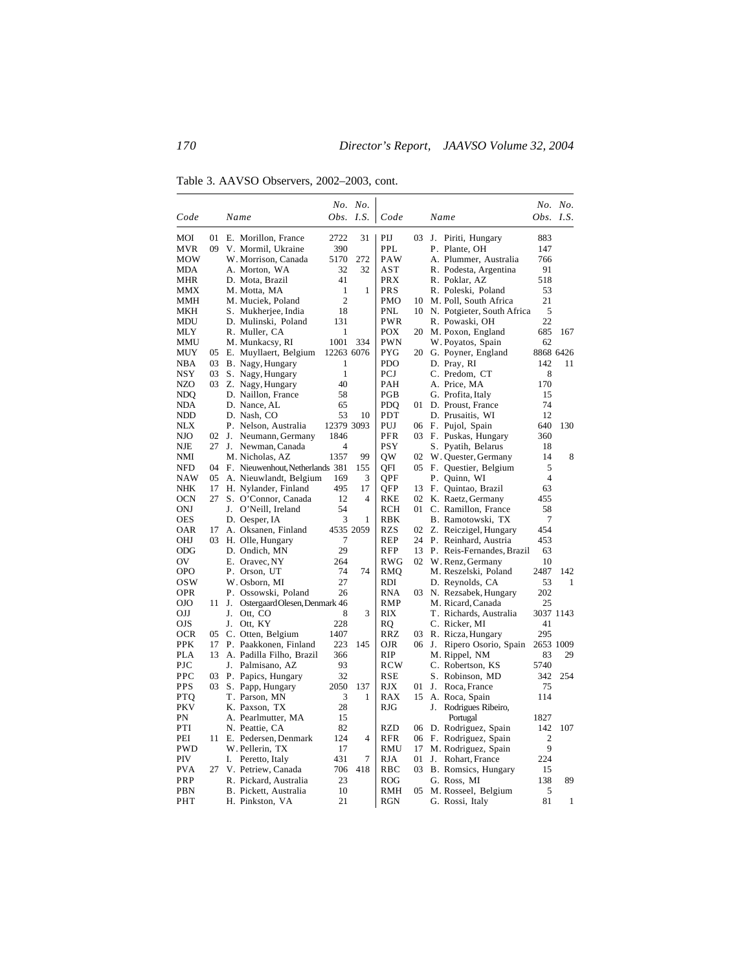Table 3. AAVSO Observers, 2002–2003, cont.

|                          |          |    |                                             |                | No. No.   |              |          |                                             |                     | No. No.     |
|--------------------------|----------|----|---------------------------------------------|----------------|-----------|--------------|----------|---------------------------------------------|---------------------|-------------|
| Code                     |          |    | Name                                        | Obs. I.S.      |           | Code         |          | Name                                        |                     | Obs. $I.S.$ |
| MOI                      | 01       |    | E. Morillon, France                         | 2722           | 31        | PIJ          | 03       | J.<br>Piriti, Hungary                       | 883                 |             |
| MVR                      | 09       |    | V. Mormil, Ukraine                          | 390            |           | PPL          |          | P. Plante, OH                               | 147                 |             |
| MOW                      |          |    | W. Morrison, Canada                         | 5170           | 272       | PAW          |          | A. Plummer, Australia                       | 766                 |             |
| MDA                      |          |    | A. Morton, WA                               | 32             | 32        | $_{\rm AST}$ |          | R. Podesta, Argentina                       | 91                  |             |
| MHR                      |          |    | D. Mota, Brazil                             | 41             |           | <b>PRX</b>   |          | R. Poklar, AZ                               | 518                 |             |
| MMX                      |          |    | M. Motta, MA                                | 1              | 1         | <b>PRS</b>   |          | R. Poleski, Poland                          | 53                  |             |
| MMH                      |          |    | M. Muciek, Poland                           | $\overline{c}$ |           | <b>PMO</b>   | 10       | M. Poll, South Africa                       | 21                  |             |
| MKH                      |          |    | S. Mukherjee, India                         | 18             |           | <b>PNL</b>   |          | 10 N. Potgieter, South Africa               | 5                   |             |
| MDU                      |          |    | D. Mulinski, Poland                         | 131            |           | <b>PWR</b>   |          | R. Powaski, OH                              | 22                  |             |
| MLY                      |          |    | R. Muller, CA                               | 1              |           | <b>POX</b>   | 20       | M. Poxon, England                           | 685                 | 167         |
| MMU                      |          |    | M. Munkacsy, RI                             | 1001           | 334       | <b>PWN</b>   |          | W. Poyatos, Spain                           | 62                  |             |
| MUY                      | 05       |    | E. Muyllaert, Belgium                       | 12263 6076     |           | PYG          | 20       | G. Poyner, England                          |                     | 8868 6426   |
| <b>NBA</b>               | 03       |    | B. Nagy, Hungary                            | 1              |           | <b>PDO</b>   |          | D. Pray, RI                                 | 142                 | 11          |
| <b>NSY</b>               | 03       |    | S. Nagy, Hungary                            | $\mathbf{1}$   |           | PCJ          |          | C. Predom, CT                               | 8                   |             |
| NZO                      |          |    | 03 Z. Nagy, Hungary                         | 40             |           | PAH          |          | A. Price, MA                                | 170                 |             |
| NDO                      |          |    | D. Naillon, France                          | 58             |           | PGB          |          | G. Profita, Italy                           | 15                  |             |
| <b>NDA</b>               |          |    | D. Nance, AL                                | 65             |           | <b>PDO</b>   |          | 01 D. Proust, France                        | 74                  |             |
| NDD                      |          |    | D. Nash, CO                                 | 53             | 10        | PDT          |          | D. Prusaitis, WI                            | 12                  |             |
| NLX                      |          |    | P. Nelson, Australia                        | 12379 3093     |           | PUJ          | 06       | F. Pujol, Spain                             | 640                 | 130         |
| <b>NJO</b>               | 02       | J. | Neumann, Germany                            | 1846           |           | PFR          |          | 03 F. Puskas, Hungary                       | 360                 |             |
| NJE                      | 27       | J. | Newman, Canada                              | 4              |           | PSY          |          | S. Pyatih, Belarus                          | 18                  |             |
| NMI                      |          |    | M. Nicholas, AZ                             | 1357           | 99        | QW           | 02       | W. Quester, Germany                         | 14                  | 8           |
| <b>NFD</b>               | 04       |    | F. Nieuwenhout, Netherlands 381             |                | 155       | QFI          |          | 05 F. Questier, Belgium                     | 5<br>$\overline{4}$ |             |
| <b>NAW</b>               | 05       |    | A. Nieuwlandt, Belgium                      | 169<br>495     | 3         | QPF          |          | P. Quinn, WI                                |                     |             |
| NHK                      | 17<br>27 |    | H. Nylander, Finland<br>S. O'Connor, Canada | 12             | 17<br>4   | QFP          | 13<br>02 | F. Quintao, Brazil                          | 63<br>455           |             |
| <b>OCN</b><br><b>ONJ</b> |          | J. | O'Neill, Ireland                            | 54             |           | RKE<br>RCH   |          | K. Raetz, Germany<br>01 C. Ramillon, France | 58                  |             |
| <b>OES</b>               |          |    | D. Oesper, IA                               | 3              | 1         | RBK          |          | B. Ramotowski, TX                           | 7                   |             |
| <b>OAR</b>               | 17       |    | A. Oksanen, Finland                         |                | 4535 2059 | <b>RZS</b>   | 02       | Z. Reiczigel, Hungary                       | 454                 |             |
| OHJ                      | 03       |    | H. Olle, Hungary                            | 7              |           | <b>REP</b>   | 24       | P. Reinhard, Austria                        | 453                 |             |
| ODG                      |          |    | D. Ondich, MN                               | 29             |           | RFP          | 13       | P. Reis-Fernandes, Brazil                   | 63                  |             |
| OV                       |          |    | E. Oravec, NY                               | 264            |           | RWG          | 02       | W. Renz, Germany                            | 10                  |             |
| <b>OPO</b>               |          |    | P. Orson, UT                                | 74             | 74        | RMQ          |          | M. Reszelski, Poland                        | 2487                | 142         |
| osw                      |          |    | W. Osborn, MI                               | 27             |           | RDI          |          | D. Reynolds, CA                             | 53                  | 1           |
| <b>OPR</b>               |          |    | P. Ossowski, Poland                         | 26             |           | RNA          |          | 03 N. Rezsabek, Hungary                     | 202                 |             |
| OJO                      | 11       | J. | Ostergaard Olesen, Denmark 46               |                |           | RMP          |          | M. Ricard, Canada                           | 25                  |             |
| OJJ                      |          | J. | Ott, CO                                     | 8              | 3         | RIX          |          | T. Richards, Australia                      |                     | 3037 1143   |
| <b>OJS</b>               |          | J. | Ott, KY                                     | 228            |           | RO           |          | C. Ricker, MI                               | 41                  |             |
| <b>OCR</b>               | 05       |    | C. Otten, Belgium                           | 1407           |           | RRZ          | 03       | R. Ricza, Hungary                           | 295                 |             |
| <b>PPK</b>               | 17       |    | P. Paakkonen, Finland                       | 223            | 145       | <b>OJR</b>   |          | 06 J.<br>Ripero Osorio, Spain               |                     | 2653 1009   |
| PLA                      | 13       |    | A. Padilla Filho, Brazil                    | 366            |           | RIP          |          | M. Rippel, NM                               | 83                  | 29          |
| PJC                      |          | J. | Palmisano, AZ                               | 93             |           | <b>RCW</b>   |          | C. Robertson, KS                            | 5740                |             |
| PPC                      | 03       |    | P. Papics, Hungary                          | 32             |           | RSE          |          | S. Robinson, MD                             | 342                 | 254         |
| <b>PPS</b>               | 03       |    | S. Papp, Hungary                            | 2050           | 137       | RJX          | 01       | J.<br>Roca, France                          | 75                  |             |
| PTO                      |          |    | T. Parson, MN                               | 3              | 1         | RAX          | 15       | A. Roca, Spain                              | 114                 |             |
| PKV                      |          |    | K. Paxson, TX                               | 28             |           | <b>RJG</b>   |          | J.<br>Rodrigues Ribeiro,                    |                     |             |
| PN                       |          |    | A. Pearlmutter, MA                          | 15             |           |              |          | Portugal                                    | 1827                |             |
| PTI                      |          |    | N. Peattie, CA                              | 82             |           | <b>RZD</b>   | 06       | D. Rodriguez, Spain                         | 142                 | 107         |
| PEI                      | 11       |    | E. Pedersen, Denmark                        | 124            | 4         | <b>RFR</b>   | 06       | F. Rodriguez, Spain                         | $\boldsymbol{2}$    |             |
| <b>PWD</b>               |          |    | W. Pellerin, TX                             | 17             |           | RMU          | 17       | M. Rodriguez, Spain                         | 9                   |             |
| PIV                      |          | I. | Peretto, Italy                              | 431            | 7         | RJA          | 01       | J.<br>Rohart, France                        | 224                 |             |
| <b>PVA</b>               | 27       |    | V. Petriew, Canada                          | 706            | 418       | <b>RBC</b>   | 03       | B. Romsics, Hungary                         | 15                  |             |
| PRP                      |          |    | R. Pickard, Australia                       | 23             |           | <b>ROG</b>   |          | G. Ross, MI                                 | 138                 | 89          |
| PBN                      |          |    | B. Pickett, Australia                       | 10             |           | RMH          | 05       | M. Rosseel, Belgium                         | 5                   |             |
| PHT                      |          |    | H. Pinkston, VA                             | 21             |           | RGN          |          | G. Rossi, Italy                             | 81                  | 1           |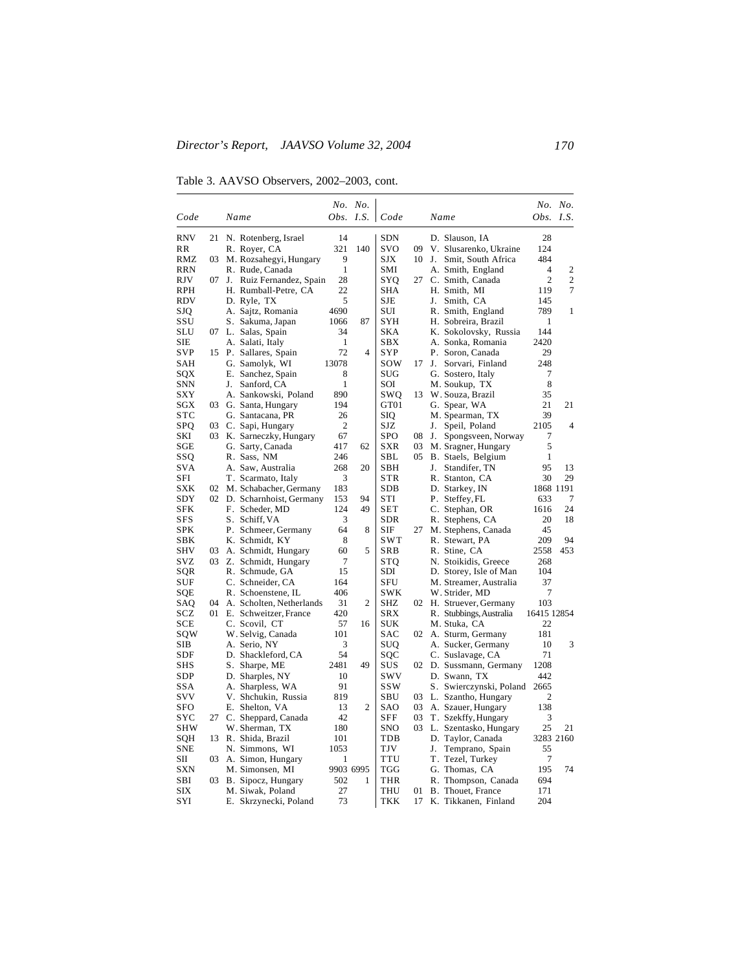Table 3. AAVSO Observers, 2002–2003, cont.

|                   |    |                             |                | No. No.        |            |    |                          |                  | No. No.      |
|-------------------|----|-----------------------------|----------------|----------------|------------|----|--------------------------|------------------|--------------|
| Code              |    | Name                        | Obs.           | I.S.           | Code       |    | Name                     | <i>Obs. I.S.</i> |              |
| <b>RNV</b>        | 21 | N. Rotenberg, Israel        | 14             |                | <b>SDN</b> |    | D. Slauson, IA           | 28               |              |
| RR                |    | R. Royer, CA                | 321            | 140            | <b>SVO</b> | 09 | V. Slusarenko, Ukraine   | 124              |              |
| RMZ               | 03 | M. Rozsahegyi, Hungary      | 9              |                | SJX        | 10 | J. Smit, South Africa    | 484              |              |
| RRN               |    | R. Rude, Canada             | $\mathbf{1}$   |                | SMI        |    | A. Smith, England        | 4                | 2            |
| RJV               | 07 | J.<br>Ruiz Fernandez, Spain | 28             |                | SYQ        | 27 | C. Smith, Canada         | $\overline{2}$   | $\mathbf{2}$ |
| RPH               |    | H. Rumball-Petre, CA        | 22             |                | SHA        |    | H. Smith, MI             | 119              | 7            |
| RDV               |    | D. Ryle, TX                 | 5              |                | SJE        |    | J. Smith, CA             | 145              |              |
| SJQ               |    | A. Sajtz, Romania           | 4690           |                | SUI        |    | R. Smith, England        | 789              | 1            |
| SSU               |    | S. Sakuma, Japan            | 1066           | 87             | SYH        |    | H. Sobreira, Brazil      | 1                |              |
| SLU               | 07 | L. Salas, Spain             | 34             |                | SKA        |    | K. Sokolovsky, Russia    | 144              |              |
| SIE               |    | A. Salati, Italy            | $\mathbf{1}$   |                | SBX        |    | A. Sonka, Romania        | 2420             |              |
| <b>SVP</b>        |    | 15 P. Sallares, Spain       | 72             | $\overline{4}$ | <b>SYP</b> |    | P. Soron, Canada         | 29               |              |
| SAH               |    | G. Samolyk, WI              | 13078          |                | sow        | 17 | J.<br>Sorvari, Finland   | 248              |              |
| SQX               |    | E. Sanchez, Spain           | 8              |                | SUG        |    | G. Sostero, Italy        | 7                |              |
| SNN               |    | J.<br>Sanford, CA           | $\mathbf{1}$   |                | SOI        |    | M. Soukup, TX            | 8                |              |
| <b>SXY</b>        |    | A. Sankowski, Poland        | 890            |                | SWQ        | 13 | W. Souza, Brazil         | 35               |              |
| SGX               | 03 | G. Santa, Hungary           | 194            |                | GT01       |    | G. Spear, WA             | 21               | 21           |
| $_{\mathrm{STC}}$ |    | G. Santacana, PR            | 26             |                | SIQ        |    | M. Spearman, TX          | 39               |              |
| SPQ               | 03 | C. Sapi, Hungary            | $\overline{2}$ |                | SJZ        |    | Speil, Poland<br>J.      | 2105             | 4            |
| SKI               | 03 | K. Sarneczky, Hungary       | 67             |                | <b>SPO</b> | 08 | J.<br>Spongsveen, Norway | 7                |              |
| SGE               |    | G. Sarty, Canada            | 417            | 62             | <b>SXR</b> | 03 | M. Sragner, Hungary      | 5                |              |
| SSQ               |    | R. Sass, NM                 | 246            |                | SBL        | 05 | B. Staels, Belgium       | $\mathbf{1}$     |              |
| <b>SVA</b>        |    | A. Saw, Australia           | 268            | 20             | SBH        |    | Standifer, TN<br>J.      | 95               | 13           |
| SFI               |    | T. Scarmato, Italy          | 3              |                | STR        |    | R. Stanton, CA           | 30               | 29           |
| SXK               | 02 | M. Schabacher, Germany      | 183            |                | <b>SDB</b> |    | D. Starkey, IN           |                  | 1868 1191    |
| SDY               |    | 02 D. Scharnhoist, Germany  | 153            | 94             | STI        |    | P. Steffey, FL           | 633              | 7            |
| SFK               |    | F. Scheder, MD              | 124            | 49             | SET        |    | C. Stephan, OR           | 1616             | 24           |
| SFS               |    | S. Schiff, VA               | 3              |                | <b>SDR</b> |    | R. Stephens, CA          | 20               | 18           |
| <b>SPK</b>        |    | P. Schmeer, Germany         | 64             | 8              | SIF        | 27 | M. Stephens, Canada      | 45               |              |
| SBK               |    | K. Schmidt, KY              | 8              |                | <b>SWT</b> |    | R. Stewart, PA           | 209              | 94           |
| SHV               | 03 | A. Schmidt, Hungary         | 60             | 5              | SRB        |    | R. Stine, CA             | 2558             | 453          |
| <b>SVZ</b>        | 03 | Z. Schmidt, Hungary         | 7              |                | <b>STQ</b> |    | N. Stoikidis, Greece     | 268              |              |
| SQR               |    | R. Schmude, GA              | 15             |                | SDI        |    | D. Storey, Isle of Man   | 104              |              |
| <b>SUF</b>        |    | C. Schneider, CA            | 164            |                | <b>SFU</b> |    | M. Streamer, Australia   | 37               |              |
| SQE               |    | R. Schoenstene, IL          | 406            |                | SWK        |    | W. Strider, MD           | 7                |              |
| SAQ               | 04 | A. Scholten, Netherlands    | 31             | 2              | <b>SHZ</b> | 02 | H. Struever, Germany     | 103              |              |
| SCZ               | 01 | E. Schweitzer, France       | 420            |                | <b>SRX</b> |    | R. Stubbings, Australia  | 16415 12854      |              |
| SCE               |    | C. Scovil, CT               | 57             | 16             | SUK        |    | M. Stuka, CA             | 22               |              |
| sqw               |    | W. Selvig, Canada           | 101            |                | SAC        | 02 | A. Sturm, Germany        | 181              |              |
| SIB               |    | A. Serio, NY                | 3              |                | SUQ        |    | A. Sucker, Germany       | 10               | 3            |
| SDF               |    | D. Shackleford, CA          | 54             |                | SQC        |    | C. Suslavage, CA         | 71               |              |
| SHS               |    | S. Sharpe, ME               | 2481           | 49             | SUS        | 02 | D. Sussmann, Germany     | 1208             |              |
| SDP               |    | D. Sharples, NY             | 10             |                | SWV        |    | D. Swann, TX             | 442              |              |
| SSA               |    | Sharpless, WA<br>А.         | 91             |                | <b>SSW</b> |    | S. Swierczynski, Poland  | 2665             |              |
| <b>SVV</b>        |    | V. Shchukin, Russia         | 819            |                | SBU        | 03 | L. Szantho, Hungary      | 2                |              |
| SFO               |    | E. Shelton, VA              | 13             | 2              | SAO        | 03 | A. Szauer, Hungary       | 138              |              |
| SYC               | 27 | C. Sheppard, Canada         | 42             |                | SFF        | 03 | T. Szekffy, Hungary      | 3                |              |
| SHW               |    | W. Sherman, TX              | 180            |                | <b>SNO</b> | 03 | L. Szentasko, Hungary    | 25               | 21           |
| SQH               | 13 | R. Shida, Brazil            | 101            |                | TDB        |    | D. Taylor, Canada        |                  | 3283 2160    |
| <b>SNE</b>        |    | N. Simmons, WI              | 1053           |                | TJV        |    | J.<br>Temprano, Spain    | 55               |              |
| SШ                | 03 | A. Simon, Hungary           | 1              |                | TTU        |    | T. Tezel, Turkey         | 7                |              |
| <b>SXN</b>        |    | M. Simonsen, MI             | 9903 6995      |                | <b>TGG</b> |    | G. Thomas, CA            | 195              | 74           |
| SBI               | 03 | B. Sipocz, Hungary          | 502            | 1              | THR        |    | R. Thompson, Canada      | 694              |              |
| SIX               |    | M. Siwak, Poland            | 27             |                | THU        | 01 | B. Thouet, France        | 171              |              |
| SYI               |    | E. Skrzynecki, Poland       | 73             |                | <b>TKK</b> | 17 | K. Tikkanen, Finland     | 204              |              |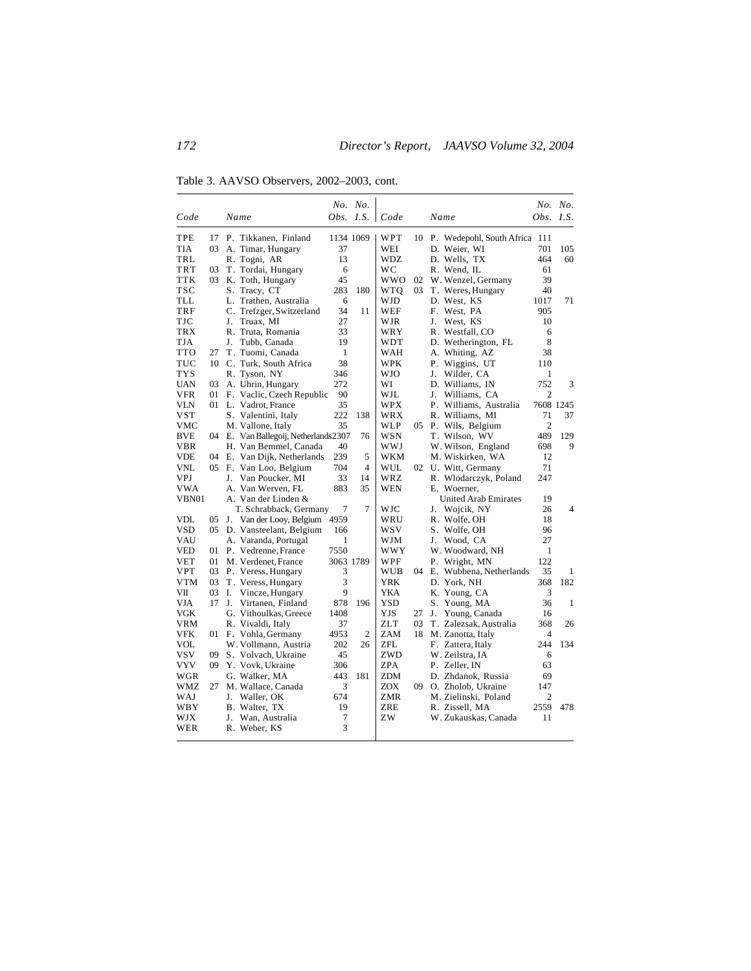Table 3. AAVSO Observers, 2002–2003, cont.

| Code       |    | Name                                  |              | No. No.<br>$Obs.$ I.S. | Code       |    | Name                          | Obs. I.S.      | No. No. |
|------------|----|---------------------------------------|--------------|------------------------|------------|----|-------------------------------|----------------|---------|
|            |    |                                       |              |                        |            |    |                               |                |         |
| TPE        | 17 | P. Tikkanen, Finland                  |              | 1134 1069              | WPT        | 10 | P. Wedepohl, South Africa 111 |                |         |
| <b>TIA</b> | 03 | A. Timar, Hungary                     | 37           |                        | WEI        |    | D. Weier, WI                  | 701            | 105     |
| TRL        |    | R. Togni, AR                          | 13           |                        | WDZ.       |    | D. Wells. TX                  | 464            | 60      |
| <b>TRT</b> | 03 | T. Tordai, Hungary                    | 6            |                        | WС         |    | R. Wend, IL                   | 61             |         |
| <b>TTK</b> | 03 | K. Toth, Hungary                      | 45           |                        | <b>WWO</b> | 02 | W. Wenzel, Germany            | 39             |         |
| TSC        |    | S. Tracy, CT                          | 283          | 180                    | WTQ        | 03 | T. Weres, Hungary             | 40             |         |
| TLL        |    | L. Trathen, Australia                 | 6            |                        | WJD        |    | D. West, KS                   | 1017           | 71      |
| TRF        |    | C. Trefzger, Switzerland              | 34           | 11                     | WEF        |    | F. West, PA                   | 905            |         |
| <b>TJC</b> |    | J.<br>Truax. MI                       | 27           |                        | WJR        |    | J.<br>West, KS                | 10             |         |
| <b>TRX</b> |    | R. Truta, Romania                     | 33           |                        | WRY        |    | R. Westfall, CO               | 6              |         |
| TJA        |    | Tubb, Canada<br>J.                    | 19           |                        | WDT        |    | D. Wetherington, FL           | 8              |         |
| <b>TTO</b> | 27 | T. Tuomi, Canada                      | $\mathbf{1}$ |                        | WAH        |    | A. Whiting, AZ                | 38             |         |
| TUC        |    | 10 C. Turk, South Africa              | 38           |                        | <b>WPK</b> |    | Р.<br>Wiggins, UT             | 110            |         |
| <b>TYS</b> |    | R. Tyson, NY                          | 346          |                        | WJO        |    | J.<br>Wilder, CA              | 1              |         |
| <b>UAN</b> | 03 | A. Uhrin, Hungary                     | 272          |                        | WI         |    | D. Williams, IN               | 752            | 3       |
| <b>VFR</b> | 01 | F. Vaclic, Czech Republic             | 90           |                        | WJL        |    | Williams, CA<br>J.            | $\overline{2}$ |         |
| <b>VLN</b> |    | 01 L. Vadrot, France                  | 35           |                        | <b>WPX</b> |    | P. Williams, Australia        | 7608 1245      |         |
| <b>VST</b> |    | S. Valentini, Italy                   | 222          | 138                    | WRX        |    | R. Williams, MI               | 71             | 37      |
| VMC        |    | M. Vallone, Italy                     | 35           |                        | <b>WLP</b> |    | 05 P. Wils, Belgium           | $\overline{c}$ |         |
| <b>BVE</b> |    | 04 E. Van Ballegoij, Netherlands 2307 |              | 76                     | <b>WSN</b> |    | T. Wilson, WV                 | 489            | 129     |
| <b>VBR</b> |    | H. Van Bemmel, Canada                 | 40           |                        | <b>WWJ</b> |    | W. Wilson, England            | 698            | 9       |
| <b>VDE</b> |    | 04 E. Van Dijk, Netherlands           | 239          | 5                      | WKM        |    | M. Wiskirken, WA              | 12             |         |
| VNL        |    | 05 F. Van Loo, Belgium                | 704          | $\overline{4}$         | <b>WUL</b> | 02 | U. Witt, Germany              | 71             |         |
| VPJ        |    | J.<br>Van Poucker, MI                 | 33           | 14                     | WRZ        |    | R. Wlodarczyk, Poland         | 247            |         |
| VWA        |    | A. Van Werven, FL                     | 883          | 35                     | WEN        |    | E. Woerner,                   |                |         |
| VBN01      |    | A. Van der Linden &                   |              |                        |            |    | <b>United Arab Emirates</b>   | 19             |         |
|            |    | T. Schrabback, Germany                | 7            | 7                      | WJC        |    | Wojcik, NY<br>J.              | 26             | 4       |
| VDL        | 05 | J. Van der Looy, Belgium              | 4959         |                        | WRU        |    | R. Wolfe, OH                  | 18             |         |
| <b>VSD</b> | 05 | D. Vansteelant, Belgium               | 166          |                        | wsv        |    | S. Wolfe, OH                  | 96             |         |
| VAU        |    | A. Varanda, Portugal                  | 1            |                        | WJM        |    | Wood, CA<br>J.                | 27             |         |
| VED        | 01 | P. Vedrenne, France                   | 7550         |                        | WWY        |    | W. Woodward, NH               | 1              |         |
| VET        | 01 | M. Verdenet, France                   |              | 3063 1789              | WPF        |    | Wright, MN<br>Р.              | 122            |         |
| <b>VPT</b> | 03 | P. Veress, Hungary                    | 3            |                        | <b>WUB</b> | 04 | E. Wubbena, Netherlands       | 35             | 1       |
| <b>VTM</b> | 03 | T. Veress, Hungary                    | 3            |                        | <b>YRK</b> |    | D. York, NH                   | 368            | 182     |
| VII        | 03 | I.<br>Vincze, Hungary                 | 9            |                        | YKA        |    | K. Young, CA                  | 3              |         |
| VJA        | 17 | J.<br>Virtanen, Finland               | 878          | 196                    | YSD        |    | S. Young, MA                  | 36             | 1       |
| VGK        |    | G. Vithoulkas, Greece                 | 1408         |                        | YJS        | 27 | J.<br>Young, Canada           | 16             |         |
| <b>VRM</b> |    | R. Vivaldi, Italy                     | 37           |                        | ZLT        | 03 | T. Zalezsak, Australia        | 368            | 26      |
| <b>VFK</b> |    | 01 F. Vohla, Germany                  | 4953         | $\overline{2}$         | <b>ZAM</b> | 18 | M. Zanotta, Italy             | $\overline{4}$ |         |
| <b>VOL</b> |    | W. Vollmann. Austria                  | 202          | 26                     | ZFL        |    | F. Zattera, Italy             | 244            | 134     |
| <b>VSV</b> | 09 | S. Volvach, Ukraine                   | 45           |                        | ZWD        |    | W. Zeilstra, IA               | 6              |         |
| VYV        | 09 | Y. Vovk, Ukraine                      | 306          |                        | ZPA        |    | P. Zeller, IN                 | 63             |         |
| WGR        |    | G. Walker, MA                         | 443          | 181                    | ZDM        |    | D. Zhdanok, Russia            | 69             |         |
| WMZ        | 27 | M. Wallace, Canada                    | 3            |                        | <b>ZOX</b> | 09 | O. Zholob, Ukraine            | 147            |         |
| WAJ        |    | J. Waller, OK                         | 674          |                        | <b>ZMR</b> |    | M. Zielinski, Poland          | $\overline{c}$ |         |
| WBY        |    | B. Walter, TX                         | 19           |                        | ZRE        |    | R. Zissell, MA                | 2559           | 478     |
| WJX        |    | J.<br>Wan. Australia                  | 7            |                        | ZW         |    | W. Zukauskas, Canada          | 11             |         |
| WER        |    | R. Weber, KS                          | 3            |                        |            |    |                               |                |         |
|            |    |                                       |              |                        |            |    |                               |                |         |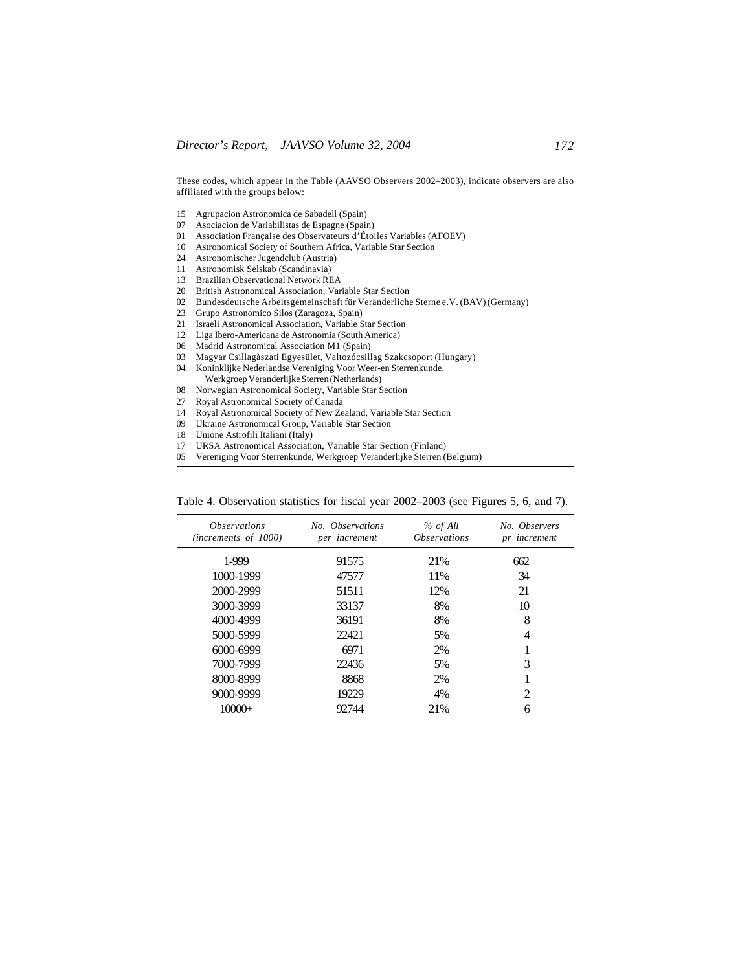These codes, which appear in the Table (AAVSO Observers 2002–2003), indicate observers are also affiliated with the groups below:

- 15 Agrupacion Astronomica de Sabadell (Spain)
- 07 Asociacion de Variabilistas de Espagne (Spain)
- 01 Association Française des Observateurs d'Étoiles Variables (AFOEV)
- 10 Astronomical Society of Southern Africa, Variable Star Section
- 24 Astronomischer Jugendclub (Austria)
- 11 Astronomisk Selskab (Scandinavia)
- 13 Brazilian Observational Network REA<br>20 British Astronomical Association, Vari
- British Astronomical Association, Variable Star Section
- 02 Bundesdeutsche Arbeitsgemeinschaft für Veränderliche Sterne e.V. (BAV) (Germany)
- 23 Grupo Astronomico Silos (Zaragoza, Spain)
- 21 Israeli Astronomical Association, Variable Star Section
- 12 Liga Ibero-Americana de Astronomia (South America)
- 06 Madrid Astronomical Association M1 (Spain)<br>03 Magyar Csillagàszati Egyesület Valtozócsill
- 03 Magyar Csillagàszati Egyesület, Valtozócsillag Szakcsoport (Hungary)
- 04 Koninklijke Nederlandse Vereniging Voor Weer-en Sterrenkunde,
- Werkgroep Veranderlijke Sterren (Netherlands)
- 08 Norwegian Astronomical Society, Variable Star Section
- 27 Royal Astronomical Society of Canada
- 14 Royal Astronomical Society of New Zealand, Variable Star Section
- 09 Ukraine Astronomical Group, Variable Star Section
- 18 Unione Astrofili Italiani (Italy)
- 17 URSA Astronomical Association, Variable Star Section (Finland)
- 05 Vereniging Voor Sterrenkunde, Werkgroep Veranderlijke Sterren (Belgium)

| <i><b>Observations</b></i><br>(increments of 1000) | No. Observations<br>per increment | % of All<br><i><b>Observations</b></i> | No. Observers<br>pr increment                                                                                                                                   |
|----------------------------------------------------|-----------------------------------|----------------------------------------|-----------------------------------------------------------------------------------------------------------------------------------------------------------------|
| 1-999                                              | 91575                             | 21%                                    | 662                                                                                                                                                             |
| 1000-1999                                          | 47577                             | 11%                                    | 34                                                                                                                                                              |
| 2000-2999                                          | 51511                             | 12%                                    | 21                                                                                                                                                              |
| 3000-3999                                          | 33137                             | 8%                                     | 10                                                                                                                                                              |
| 4000-4999                                          | 36191                             | 8%                                     | 8                                                                                                                                                               |
| 5000-5999                                          | 22421                             | 5%                                     | 4                                                                                                                                                               |
| 6000-6999                                          | 6971                              | 2%                                     |                                                                                                                                                                 |
| 7000-7999                                          | 22436                             | 5%                                     | 3                                                                                                                                                               |
| 8000-8999                                          | 8868                              | 2%                                     |                                                                                                                                                                 |
| 9000-9999                                          | 19229                             | 4%                                     | $\mathcal{D}_{\mathcal{A}}^{\mathcal{A}}(\mathcal{A})=\mathcal{D}_{\mathcal{A}}^{\mathcal{A}}(\mathcal{A})\mathcal{D}_{\mathcal{A}}^{\mathcal{A}}(\mathcal{A})$ |
| $10000+$                                           | 92744                             | 21%                                    | 6                                                                                                                                                               |

Table 4. Observation statistics for fiscal year 2002–2003 (see Figures 5, 6, and 7).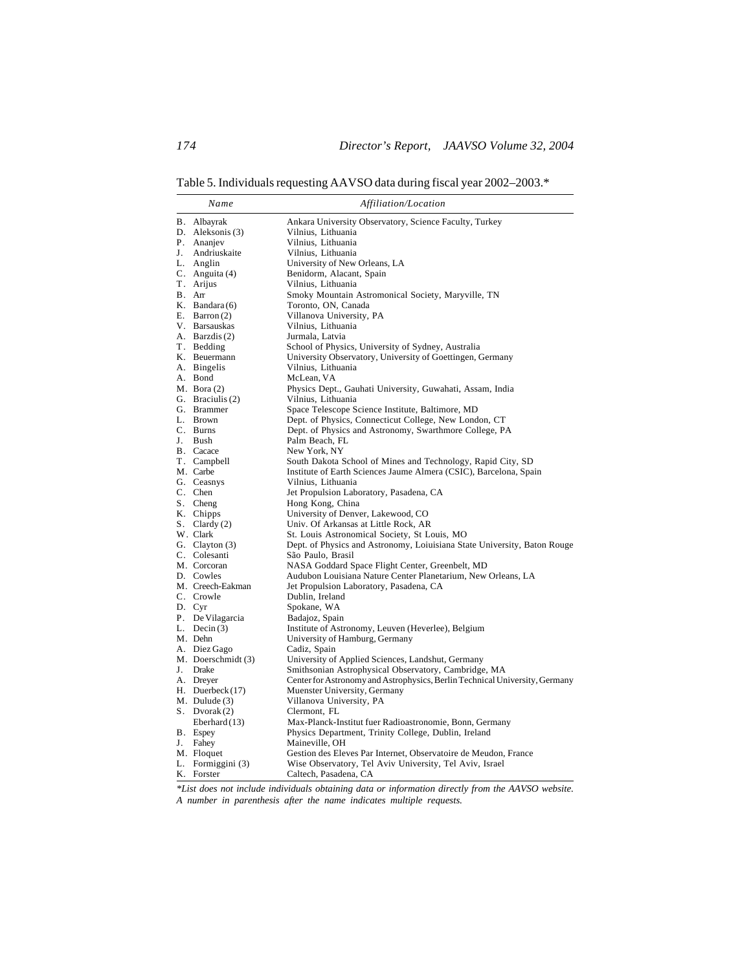Table 5. Individuals requesting AAVSO data during fiscal year 2002–2003.\*

|    | Name               | Affiliation/Location                                                        |
|----|--------------------|-----------------------------------------------------------------------------|
|    | B. Albayrak        | Ankara University Observatory, Science Faculty, Turkey                      |
|    | D. Aleksonis (3)   | Vilnius, Lithuania                                                          |
|    | P. Ananjev         | Vilnius, Lithuania                                                          |
| J. | Andriuskaite       | Vilnius, Lithuania                                                          |
|    | L. Anglin          | University of New Orleans, LA                                               |
|    | C. Anguita (4)     | Benidorm, Alacant, Spain                                                    |
|    | T. Arijus          | Vilnius, Lithuania                                                          |
|    | B. Arr             | Smoky Mountain Astromonical Society, Maryville, TN                          |
|    | K. Bandara $(6)$   | Toronto, ON, Canada                                                         |
|    | E. Barron $(2)$    | Villanova University, PA                                                    |
|    | V. Barsauskas      | Vilnius, Lithuania                                                          |
|    | A. Barzdis (2)     | Jurmala, Latvia                                                             |
|    | T. Bedding         | School of Physics, University of Sydney, Australia                          |
|    | K. Beuermann       | University Observatory, University of Goettingen, Germany                   |
|    | A. Bingelis        | Vilnius, Lithuania                                                          |
|    | A. Bond            | McLean, VA                                                                  |
|    | $M.$ Bora $(2)$    | Physics Dept., Gauhati University, Guwahati, Assam, India                   |
|    | G. Braciulis (2)   | Vilnius, Lithuania                                                          |
|    | G. Brammer         | Space Telescope Science Institute, Baltimore, MD                            |
|    | L. Brown           | Dept. of Physics, Connecticut College, New London, CT                       |
|    | C. Burns           | Dept. of Physics and Astronomy, Swarthmore College, PA                      |
| J. | Bush               | Palm Beach, FL                                                              |
|    | B. Cacace          | New York, NY                                                                |
|    | T. Campbell        | South Dakota School of Mines and Technology, Rapid City, SD                 |
|    | M. Carbe           | Institute of Earth Sciences Jaume Almera (CSIC), Barcelona, Spain           |
|    | G. Ceasnys         | Vilnius, Lithuania                                                          |
|    | C. Chen            | Jet Propulsion Laboratory, Pasadena, CA                                     |
|    | S. Cheng           | Hong Kong, China                                                            |
|    | K. Chipps          | University of Denver, Lakewood, CO                                          |
|    | S. Clardy $(2)$    | Univ. Of Arkansas at Little Rock, AR                                        |
|    | W. Clark           | St. Louis Astronomical Society, St Louis, MO                                |
|    | G. Clayton (3)     | Dept. of Physics and Astronomy, Loiuisiana State University, Baton Rouge    |
|    | C. Colesanti       | São Paulo, Brasil                                                           |
|    | M. Corcoran        | NASA Goddard Space Flight Center, Greenbelt, MD                             |
|    | D. Cowles          | Audubon Louisiana Nature Center Planetarium, New Orleans, LA                |
|    | M. Creech-Eakman   | Jet Propulsion Laboratory, Pasadena, CA                                     |
|    | C. Crowle          | Dublin, Ireland                                                             |
|    | D. Cyr             | Spokane, WA                                                                 |
|    | P. De Vilagarcia   | Badajoz, Spain                                                              |
|    | L. Decin $(3)$     | Institute of Astronomy, Leuven (Heverlee), Belgium                          |
|    | M. Dehn            | University of Hamburg, Germany                                              |
|    | A. Diez Gago       | Cadiz, Spain                                                                |
|    | M. Doerschmidt (3) | University of Applied Sciences, Landshut, Germany                           |
|    | J. Drake           | Smithsonian Astrophysical Observatory, Cambridge, MA                        |
|    | A. Dreyer          | Center for Astronomy and Astrophysics, Berlin Technical University, Germany |
|    | H. Duerbeck $(17)$ | Muenster University, Germany                                                |
|    | $M.$ Dulude $(3)$  | Villanova University, PA                                                    |
|    | S. Dvorak $(2)$    | Clermont, FL                                                                |
|    | Eberhard(13)       | Max-Planck-Institut fuer Radioastronomie, Bonn, Germany                     |
|    | B. Espey           | Physics Department, Trinity College, Dublin, Ireland                        |
| J. | Fahey              | Maineville, OH                                                              |
|    | M. Floquet         | Gestion des Eleves Par Internet, Observatoire de Meudon, France             |
|    | L. Formiggini (3)  | Wise Observatory, Tel Aviv University, Tel Aviv, Israel                     |
|    | K. Forster         | Caltech, Pasadena, CA                                                       |

*\*List does not include individuals obtaining data or information directly from the AAVSO website. A number in parenthesis after the name indicates multiple requests.*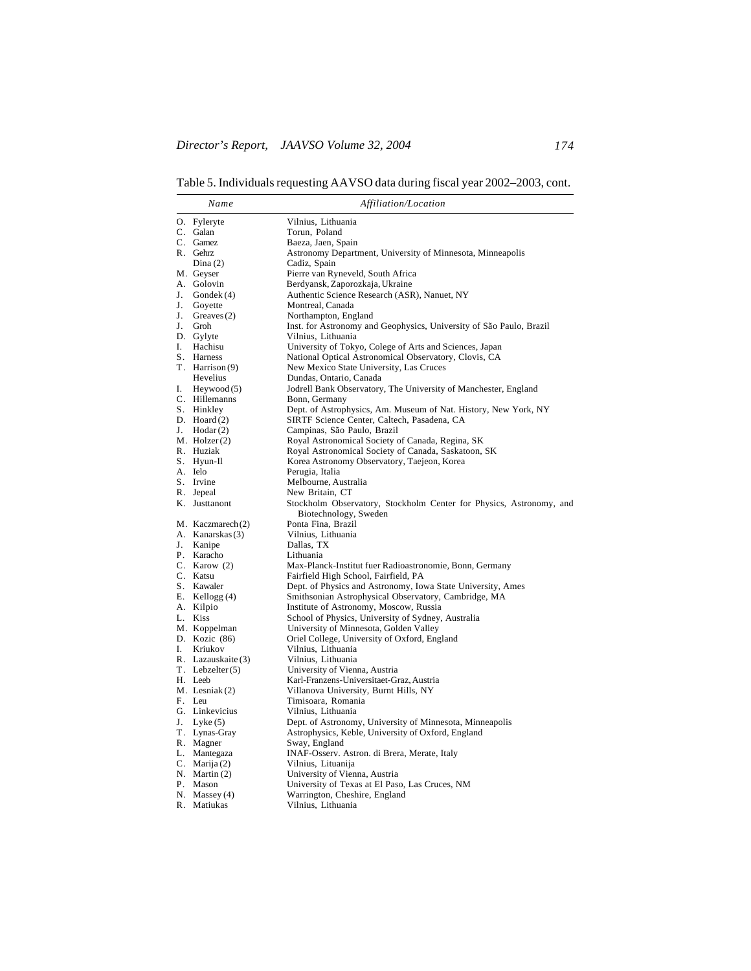Table 5. Individuals requesting AAVSO data during fiscal year 2002–2003, cont.

| O. Fyleryte<br>Vilnius, Lithuania<br>C. Galan<br>Torun, Poland<br>C. Gamez<br>Baeza, Jaen, Spain<br>Astronomy Department, University of Minnesota, Minneapolis<br>R. Gehrz<br>Cadiz, Spain<br>Dina $(2)$<br>Pierre van Ryneveld, South Africa<br>M. Geyser<br>A. Golovin<br>Berdyansk, Zaporozkaja, Ukraine<br>J.<br>Gondek (4)<br>Authentic Science Research (ASR), Nanuet, NY<br>J.<br>Montreal, Canada<br>Goyette<br>J.<br>Northampton, England<br>Greaves $(2)$<br>Inst. for Astronomy and Geophysics, University of São Paulo, Brazil<br>J.<br>Groh<br>D. Gylyte<br>Vilnius, Lithuania<br>I.<br>University of Tokyo, Colege of Arts and Sciences, Japan<br>Hachisu<br>S. Harness<br>National Optical Astronomical Observatory, Clovis, CA<br>New Mexico State University, Las Cruces<br>T. Harrison (9)<br>Dundas, Ontario, Canada<br>Hevelius<br>Jodrell Bank Observatory, The University of Manchester, England<br>I. Heywood $(5)$<br>C. Hillemanns<br>Bonn, Germany<br>Dept. of Astrophysics, Am. Museum of Nat. History, New York, NY<br>S. Hinkley<br>D. Hoard $(2)$<br>SIRTF Science Center, Caltech, Pasadena, CA<br>$J.$ Hodar $(2)$<br>Campinas, São Paulo, Brazil<br>$M.$ Holzer $(2)$<br>Royal Astronomical Society of Canada, Regina, SK<br>Royal Astronomical Society of Canada, Saskatoon, SK<br>R. Huziak<br>S. Hyun-Il<br>Korea Astronomy Observatory, Taejeon, Korea<br>A. Ielo<br>Perugia, Italia<br>S. Irvine<br>Melbourne, Australia<br>R. Jepeal<br>New Britain, CT<br>K. Justtanont<br>Stockholm Observatory, Stockholm Center for Physics, Astronomy, and<br>Biotechnology, Sweden<br>Ponta Fina, Brazil<br>M. Kaczmarech(2)<br>A. Kanarskas(3)<br>Vilnius, Lithuania<br>J. Kanipe<br>Dallas, TX<br>P. Karacho<br>Lithuania<br>C. Karow $(2)$<br>Max-Planck-Institut fuer Radioastronomie, Bonn, Germany<br>C. Katsu<br>Fairfield High School, Fairfield, PA<br>Dept. of Physics and Astronomy, Iowa State University, Ames<br>S. Kawaler<br>Smithsonian Astrophysical Observatory, Cambridge, MA<br>E. Kellogg $(4)$<br>Institute of Astronomy, Moscow, Russia<br>A. Kilpio<br>School of Physics, University of Sydney, Australia<br>L. Kiss<br>M. Koppelman<br>University of Minnesota, Golden Valley<br>D. Kozic (86)<br>Oriel College, University of Oxford, England<br>Vilnius, Lithuania<br>I.<br>Kriukov<br>Vilnius, Lithuania<br>R. Lazauskaite (3)<br>$T.$ Lebzelter $(5)$<br>University of Vienna, Austria<br>Karl-Franzens-Universitaet-Graz, Austria<br>H. Leeb<br>M. Lesniak (2)<br>Villanova University, Burnt Hills, NY<br>F. Leu<br>Timisoara, Romania<br>G. Linkevicius<br>Vilnius, Lithuania<br>Dept. of Astronomy, University of Minnesota, Minneapolis<br>J.<br>Lyke $(5)$<br>Astrophysics, Keble, University of Oxford, England<br>T. Lynas-Gray<br>R. Magner<br>Sway, England<br>INAF-Osserv. Astron. di Brera, Merate, Italy<br>L. Mantegaza<br>C. Marija $(2)$<br>Vilnius, Lituanija<br>N. Martin (2)<br>University of Vienna, Austria<br>P. Mason<br>University of Texas at El Paso, Las Cruces, NM<br>N. Massey $(4)$<br>Warrington, Cheshire, England |    | Name     | Affiliation/Location |
|---------------------------------------------------------------------------------------------------------------------------------------------------------------------------------------------------------------------------------------------------------------------------------------------------------------------------------------------------------------------------------------------------------------------------------------------------------------------------------------------------------------------------------------------------------------------------------------------------------------------------------------------------------------------------------------------------------------------------------------------------------------------------------------------------------------------------------------------------------------------------------------------------------------------------------------------------------------------------------------------------------------------------------------------------------------------------------------------------------------------------------------------------------------------------------------------------------------------------------------------------------------------------------------------------------------------------------------------------------------------------------------------------------------------------------------------------------------------------------------------------------------------------------------------------------------------------------------------------------------------------------------------------------------------------------------------------------------------------------------------------------------------------------------------------------------------------------------------------------------------------------------------------------------------------------------------------------------------------------------------------------------------------------------------------------------------------------------------------------------------------------------------------------------------------------------------------------------------------------------------------------------------------------------------------------------------------------------------------------------------------------------------------------------------------------------------------------------------------------------------------------------------------------------------------------------------------------------------------------------------------------------------------------------------------------------------------------------------------------------------------------------------------------------------------------------------------------------------------------------------------------------------------------------------------------------------------------------------------------------------------------------------------------------------------------------------------------------------------------------|----|----------|----------------------|
|                                                                                                                                                                                                                                                                                                                                                                                                                                                                                                                                                                                                                                                                                                                                                                                                                                                                                                                                                                                                                                                                                                                                                                                                                                                                                                                                                                                                                                                                                                                                                                                                                                                                                                                                                                                                                                                                                                                                                                                                                                                                                                                                                                                                                                                                                                                                                                                                                                                                                                                                                                                                                                                                                                                                                                                                                                                                                                                                                                                                                                                                                                               |    |          |                      |
|                                                                                                                                                                                                                                                                                                                                                                                                                                                                                                                                                                                                                                                                                                                                                                                                                                                                                                                                                                                                                                                                                                                                                                                                                                                                                                                                                                                                                                                                                                                                                                                                                                                                                                                                                                                                                                                                                                                                                                                                                                                                                                                                                                                                                                                                                                                                                                                                                                                                                                                                                                                                                                                                                                                                                                                                                                                                                                                                                                                                                                                                                                               |    |          |                      |
|                                                                                                                                                                                                                                                                                                                                                                                                                                                                                                                                                                                                                                                                                                                                                                                                                                                                                                                                                                                                                                                                                                                                                                                                                                                                                                                                                                                                                                                                                                                                                                                                                                                                                                                                                                                                                                                                                                                                                                                                                                                                                                                                                                                                                                                                                                                                                                                                                                                                                                                                                                                                                                                                                                                                                                                                                                                                                                                                                                                                                                                                                                               |    |          |                      |
|                                                                                                                                                                                                                                                                                                                                                                                                                                                                                                                                                                                                                                                                                                                                                                                                                                                                                                                                                                                                                                                                                                                                                                                                                                                                                                                                                                                                                                                                                                                                                                                                                                                                                                                                                                                                                                                                                                                                                                                                                                                                                                                                                                                                                                                                                                                                                                                                                                                                                                                                                                                                                                                                                                                                                                                                                                                                                                                                                                                                                                                                                                               |    |          |                      |
|                                                                                                                                                                                                                                                                                                                                                                                                                                                                                                                                                                                                                                                                                                                                                                                                                                                                                                                                                                                                                                                                                                                                                                                                                                                                                                                                                                                                                                                                                                                                                                                                                                                                                                                                                                                                                                                                                                                                                                                                                                                                                                                                                                                                                                                                                                                                                                                                                                                                                                                                                                                                                                                                                                                                                                                                                                                                                                                                                                                                                                                                                                               |    |          |                      |
|                                                                                                                                                                                                                                                                                                                                                                                                                                                                                                                                                                                                                                                                                                                                                                                                                                                                                                                                                                                                                                                                                                                                                                                                                                                                                                                                                                                                                                                                                                                                                                                                                                                                                                                                                                                                                                                                                                                                                                                                                                                                                                                                                                                                                                                                                                                                                                                                                                                                                                                                                                                                                                                                                                                                                                                                                                                                                                                                                                                                                                                                                                               |    |          |                      |
|                                                                                                                                                                                                                                                                                                                                                                                                                                                                                                                                                                                                                                                                                                                                                                                                                                                                                                                                                                                                                                                                                                                                                                                                                                                                                                                                                                                                                                                                                                                                                                                                                                                                                                                                                                                                                                                                                                                                                                                                                                                                                                                                                                                                                                                                                                                                                                                                                                                                                                                                                                                                                                                                                                                                                                                                                                                                                                                                                                                                                                                                                                               |    |          |                      |
|                                                                                                                                                                                                                                                                                                                                                                                                                                                                                                                                                                                                                                                                                                                                                                                                                                                                                                                                                                                                                                                                                                                                                                                                                                                                                                                                                                                                                                                                                                                                                                                                                                                                                                                                                                                                                                                                                                                                                                                                                                                                                                                                                                                                                                                                                                                                                                                                                                                                                                                                                                                                                                                                                                                                                                                                                                                                                                                                                                                                                                                                                                               |    |          |                      |
|                                                                                                                                                                                                                                                                                                                                                                                                                                                                                                                                                                                                                                                                                                                                                                                                                                                                                                                                                                                                                                                                                                                                                                                                                                                                                                                                                                                                                                                                                                                                                                                                                                                                                                                                                                                                                                                                                                                                                                                                                                                                                                                                                                                                                                                                                                                                                                                                                                                                                                                                                                                                                                                                                                                                                                                                                                                                                                                                                                                                                                                                                                               |    |          |                      |
|                                                                                                                                                                                                                                                                                                                                                                                                                                                                                                                                                                                                                                                                                                                                                                                                                                                                                                                                                                                                                                                                                                                                                                                                                                                                                                                                                                                                                                                                                                                                                                                                                                                                                                                                                                                                                                                                                                                                                                                                                                                                                                                                                                                                                                                                                                                                                                                                                                                                                                                                                                                                                                                                                                                                                                                                                                                                                                                                                                                                                                                                                                               |    |          |                      |
|                                                                                                                                                                                                                                                                                                                                                                                                                                                                                                                                                                                                                                                                                                                                                                                                                                                                                                                                                                                                                                                                                                                                                                                                                                                                                                                                                                                                                                                                                                                                                                                                                                                                                                                                                                                                                                                                                                                                                                                                                                                                                                                                                                                                                                                                                                                                                                                                                                                                                                                                                                                                                                                                                                                                                                                                                                                                                                                                                                                                                                                                                                               |    |          |                      |
|                                                                                                                                                                                                                                                                                                                                                                                                                                                                                                                                                                                                                                                                                                                                                                                                                                                                                                                                                                                                                                                                                                                                                                                                                                                                                                                                                                                                                                                                                                                                                                                                                                                                                                                                                                                                                                                                                                                                                                                                                                                                                                                                                                                                                                                                                                                                                                                                                                                                                                                                                                                                                                                                                                                                                                                                                                                                                                                                                                                                                                                                                                               |    |          |                      |
|                                                                                                                                                                                                                                                                                                                                                                                                                                                                                                                                                                                                                                                                                                                                                                                                                                                                                                                                                                                                                                                                                                                                                                                                                                                                                                                                                                                                                                                                                                                                                                                                                                                                                                                                                                                                                                                                                                                                                                                                                                                                                                                                                                                                                                                                                                                                                                                                                                                                                                                                                                                                                                                                                                                                                                                                                                                                                                                                                                                                                                                                                                               |    |          |                      |
|                                                                                                                                                                                                                                                                                                                                                                                                                                                                                                                                                                                                                                                                                                                                                                                                                                                                                                                                                                                                                                                                                                                                                                                                                                                                                                                                                                                                                                                                                                                                                                                                                                                                                                                                                                                                                                                                                                                                                                                                                                                                                                                                                                                                                                                                                                                                                                                                                                                                                                                                                                                                                                                                                                                                                                                                                                                                                                                                                                                                                                                                                                               |    |          |                      |
|                                                                                                                                                                                                                                                                                                                                                                                                                                                                                                                                                                                                                                                                                                                                                                                                                                                                                                                                                                                                                                                                                                                                                                                                                                                                                                                                                                                                                                                                                                                                                                                                                                                                                                                                                                                                                                                                                                                                                                                                                                                                                                                                                                                                                                                                                                                                                                                                                                                                                                                                                                                                                                                                                                                                                                                                                                                                                                                                                                                                                                                                                                               |    |          |                      |
|                                                                                                                                                                                                                                                                                                                                                                                                                                                                                                                                                                                                                                                                                                                                                                                                                                                                                                                                                                                                                                                                                                                                                                                                                                                                                                                                                                                                                                                                                                                                                                                                                                                                                                                                                                                                                                                                                                                                                                                                                                                                                                                                                                                                                                                                                                                                                                                                                                                                                                                                                                                                                                                                                                                                                                                                                                                                                                                                                                                                                                                                                                               |    |          |                      |
|                                                                                                                                                                                                                                                                                                                                                                                                                                                                                                                                                                                                                                                                                                                                                                                                                                                                                                                                                                                                                                                                                                                                                                                                                                                                                                                                                                                                                                                                                                                                                                                                                                                                                                                                                                                                                                                                                                                                                                                                                                                                                                                                                                                                                                                                                                                                                                                                                                                                                                                                                                                                                                                                                                                                                                                                                                                                                                                                                                                                                                                                                                               |    |          |                      |
|                                                                                                                                                                                                                                                                                                                                                                                                                                                                                                                                                                                                                                                                                                                                                                                                                                                                                                                                                                                                                                                                                                                                                                                                                                                                                                                                                                                                                                                                                                                                                                                                                                                                                                                                                                                                                                                                                                                                                                                                                                                                                                                                                                                                                                                                                                                                                                                                                                                                                                                                                                                                                                                                                                                                                                                                                                                                                                                                                                                                                                                                                                               |    |          |                      |
|                                                                                                                                                                                                                                                                                                                                                                                                                                                                                                                                                                                                                                                                                                                                                                                                                                                                                                                                                                                                                                                                                                                                                                                                                                                                                                                                                                                                                                                                                                                                                                                                                                                                                                                                                                                                                                                                                                                                                                                                                                                                                                                                                                                                                                                                                                                                                                                                                                                                                                                                                                                                                                                                                                                                                                                                                                                                                                                                                                                                                                                                                                               |    |          |                      |
|                                                                                                                                                                                                                                                                                                                                                                                                                                                                                                                                                                                                                                                                                                                                                                                                                                                                                                                                                                                                                                                                                                                                                                                                                                                                                                                                                                                                                                                                                                                                                                                                                                                                                                                                                                                                                                                                                                                                                                                                                                                                                                                                                                                                                                                                                                                                                                                                                                                                                                                                                                                                                                                                                                                                                                                                                                                                                                                                                                                                                                                                                                               |    |          |                      |
|                                                                                                                                                                                                                                                                                                                                                                                                                                                                                                                                                                                                                                                                                                                                                                                                                                                                                                                                                                                                                                                                                                                                                                                                                                                                                                                                                                                                                                                                                                                                                                                                                                                                                                                                                                                                                                                                                                                                                                                                                                                                                                                                                                                                                                                                                                                                                                                                                                                                                                                                                                                                                                                                                                                                                                                                                                                                                                                                                                                                                                                                                                               |    |          |                      |
|                                                                                                                                                                                                                                                                                                                                                                                                                                                                                                                                                                                                                                                                                                                                                                                                                                                                                                                                                                                                                                                                                                                                                                                                                                                                                                                                                                                                                                                                                                                                                                                                                                                                                                                                                                                                                                                                                                                                                                                                                                                                                                                                                                                                                                                                                                                                                                                                                                                                                                                                                                                                                                                                                                                                                                                                                                                                                                                                                                                                                                                                                                               |    |          |                      |
|                                                                                                                                                                                                                                                                                                                                                                                                                                                                                                                                                                                                                                                                                                                                                                                                                                                                                                                                                                                                                                                                                                                                                                                                                                                                                                                                                                                                                                                                                                                                                                                                                                                                                                                                                                                                                                                                                                                                                                                                                                                                                                                                                                                                                                                                                                                                                                                                                                                                                                                                                                                                                                                                                                                                                                                                                                                                                                                                                                                                                                                                                                               |    |          |                      |
|                                                                                                                                                                                                                                                                                                                                                                                                                                                                                                                                                                                                                                                                                                                                                                                                                                                                                                                                                                                                                                                                                                                                                                                                                                                                                                                                                                                                                                                                                                                                                                                                                                                                                                                                                                                                                                                                                                                                                                                                                                                                                                                                                                                                                                                                                                                                                                                                                                                                                                                                                                                                                                                                                                                                                                                                                                                                                                                                                                                                                                                                                                               |    |          |                      |
|                                                                                                                                                                                                                                                                                                                                                                                                                                                                                                                                                                                                                                                                                                                                                                                                                                                                                                                                                                                                                                                                                                                                                                                                                                                                                                                                                                                                                                                                                                                                                                                                                                                                                                                                                                                                                                                                                                                                                                                                                                                                                                                                                                                                                                                                                                                                                                                                                                                                                                                                                                                                                                                                                                                                                                                                                                                                                                                                                                                                                                                                                                               |    |          |                      |
|                                                                                                                                                                                                                                                                                                                                                                                                                                                                                                                                                                                                                                                                                                                                                                                                                                                                                                                                                                                                                                                                                                                                                                                                                                                                                                                                                                                                                                                                                                                                                                                                                                                                                                                                                                                                                                                                                                                                                                                                                                                                                                                                                                                                                                                                                                                                                                                                                                                                                                                                                                                                                                                                                                                                                                                                                                                                                                                                                                                                                                                                                                               |    |          |                      |
|                                                                                                                                                                                                                                                                                                                                                                                                                                                                                                                                                                                                                                                                                                                                                                                                                                                                                                                                                                                                                                                                                                                                                                                                                                                                                                                                                                                                                                                                                                                                                                                                                                                                                                                                                                                                                                                                                                                                                                                                                                                                                                                                                                                                                                                                                                                                                                                                                                                                                                                                                                                                                                                                                                                                                                                                                                                                                                                                                                                                                                                                                                               |    |          |                      |
|                                                                                                                                                                                                                                                                                                                                                                                                                                                                                                                                                                                                                                                                                                                                                                                                                                                                                                                                                                                                                                                                                                                                                                                                                                                                                                                                                                                                                                                                                                                                                                                                                                                                                                                                                                                                                                                                                                                                                                                                                                                                                                                                                                                                                                                                                                                                                                                                                                                                                                                                                                                                                                                                                                                                                                                                                                                                                                                                                                                                                                                                                                               |    |          |                      |
|                                                                                                                                                                                                                                                                                                                                                                                                                                                                                                                                                                                                                                                                                                                                                                                                                                                                                                                                                                                                                                                                                                                                                                                                                                                                                                                                                                                                                                                                                                                                                                                                                                                                                                                                                                                                                                                                                                                                                                                                                                                                                                                                                                                                                                                                                                                                                                                                                                                                                                                                                                                                                                                                                                                                                                                                                                                                                                                                                                                                                                                                                                               |    |          |                      |
|                                                                                                                                                                                                                                                                                                                                                                                                                                                                                                                                                                                                                                                                                                                                                                                                                                                                                                                                                                                                                                                                                                                                                                                                                                                                                                                                                                                                                                                                                                                                                                                                                                                                                                                                                                                                                                                                                                                                                                                                                                                                                                                                                                                                                                                                                                                                                                                                                                                                                                                                                                                                                                                                                                                                                                                                                                                                                                                                                                                                                                                                                                               |    |          |                      |
|                                                                                                                                                                                                                                                                                                                                                                                                                                                                                                                                                                                                                                                                                                                                                                                                                                                                                                                                                                                                                                                                                                                                                                                                                                                                                                                                                                                                                                                                                                                                                                                                                                                                                                                                                                                                                                                                                                                                                                                                                                                                                                                                                                                                                                                                                                                                                                                                                                                                                                                                                                                                                                                                                                                                                                                                                                                                                                                                                                                                                                                                                                               |    |          |                      |
|                                                                                                                                                                                                                                                                                                                                                                                                                                                                                                                                                                                                                                                                                                                                                                                                                                                                                                                                                                                                                                                                                                                                                                                                                                                                                                                                                                                                                                                                                                                                                                                                                                                                                                                                                                                                                                                                                                                                                                                                                                                                                                                                                                                                                                                                                                                                                                                                                                                                                                                                                                                                                                                                                                                                                                                                                                                                                                                                                                                                                                                                                                               |    |          |                      |
|                                                                                                                                                                                                                                                                                                                                                                                                                                                                                                                                                                                                                                                                                                                                                                                                                                                                                                                                                                                                                                                                                                                                                                                                                                                                                                                                                                                                                                                                                                                                                                                                                                                                                                                                                                                                                                                                                                                                                                                                                                                                                                                                                                                                                                                                                                                                                                                                                                                                                                                                                                                                                                                                                                                                                                                                                                                                                                                                                                                                                                                                                                               |    |          |                      |
|                                                                                                                                                                                                                                                                                                                                                                                                                                                                                                                                                                                                                                                                                                                                                                                                                                                                                                                                                                                                                                                                                                                                                                                                                                                                                                                                                                                                                                                                                                                                                                                                                                                                                                                                                                                                                                                                                                                                                                                                                                                                                                                                                                                                                                                                                                                                                                                                                                                                                                                                                                                                                                                                                                                                                                                                                                                                                                                                                                                                                                                                                                               |    |          |                      |
|                                                                                                                                                                                                                                                                                                                                                                                                                                                                                                                                                                                                                                                                                                                                                                                                                                                                                                                                                                                                                                                                                                                                                                                                                                                                                                                                                                                                                                                                                                                                                                                                                                                                                                                                                                                                                                                                                                                                                                                                                                                                                                                                                                                                                                                                                                                                                                                                                                                                                                                                                                                                                                                                                                                                                                                                                                                                                                                                                                                                                                                                                                               |    |          |                      |
|                                                                                                                                                                                                                                                                                                                                                                                                                                                                                                                                                                                                                                                                                                                                                                                                                                                                                                                                                                                                                                                                                                                                                                                                                                                                                                                                                                                                                                                                                                                                                                                                                                                                                                                                                                                                                                                                                                                                                                                                                                                                                                                                                                                                                                                                                                                                                                                                                                                                                                                                                                                                                                                                                                                                                                                                                                                                                                                                                                                                                                                                                                               |    |          |                      |
|                                                                                                                                                                                                                                                                                                                                                                                                                                                                                                                                                                                                                                                                                                                                                                                                                                                                                                                                                                                                                                                                                                                                                                                                                                                                                                                                                                                                                                                                                                                                                                                                                                                                                                                                                                                                                                                                                                                                                                                                                                                                                                                                                                                                                                                                                                                                                                                                                                                                                                                                                                                                                                                                                                                                                                                                                                                                                                                                                                                                                                                                                                               |    |          |                      |
|                                                                                                                                                                                                                                                                                                                                                                                                                                                                                                                                                                                                                                                                                                                                                                                                                                                                                                                                                                                                                                                                                                                                                                                                                                                                                                                                                                                                                                                                                                                                                                                                                                                                                                                                                                                                                                                                                                                                                                                                                                                                                                                                                                                                                                                                                                                                                                                                                                                                                                                                                                                                                                                                                                                                                                                                                                                                                                                                                                                                                                                                                                               |    |          |                      |
|                                                                                                                                                                                                                                                                                                                                                                                                                                                                                                                                                                                                                                                                                                                                                                                                                                                                                                                                                                                                                                                                                                                                                                                                                                                                                                                                                                                                                                                                                                                                                                                                                                                                                                                                                                                                                                                                                                                                                                                                                                                                                                                                                                                                                                                                                                                                                                                                                                                                                                                                                                                                                                                                                                                                                                                                                                                                                                                                                                                                                                                                                                               |    |          |                      |
|                                                                                                                                                                                                                                                                                                                                                                                                                                                                                                                                                                                                                                                                                                                                                                                                                                                                                                                                                                                                                                                                                                                                                                                                                                                                                                                                                                                                                                                                                                                                                                                                                                                                                                                                                                                                                                                                                                                                                                                                                                                                                                                                                                                                                                                                                                                                                                                                                                                                                                                                                                                                                                                                                                                                                                                                                                                                                                                                                                                                                                                                                                               |    |          |                      |
|                                                                                                                                                                                                                                                                                                                                                                                                                                                                                                                                                                                                                                                                                                                                                                                                                                                                                                                                                                                                                                                                                                                                                                                                                                                                                                                                                                                                                                                                                                                                                                                                                                                                                                                                                                                                                                                                                                                                                                                                                                                                                                                                                                                                                                                                                                                                                                                                                                                                                                                                                                                                                                                                                                                                                                                                                                                                                                                                                                                                                                                                                                               |    |          |                      |
|                                                                                                                                                                                                                                                                                                                                                                                                                                                                                                                                                                                                                                                                                                                                                                                                                                                                                                                                                                                                                                                                                                                                                                                                                                                                                                                                                                                                                                                                                                                                                                                                                                                                                                                                                                                                                                                                                                                                                                                                                                                                                                                                                                                                                                                                                                                                                                                                                                                                                                                                                                                                                                                                                                                                                                                                                                                                                                                                                                                                                                                                                                               |    |          |                      |
|                                                                                                                                                                                                                                                                                                                                                                                                                                                                                                                                                                                                                                                                                                                                                                                                                                                                                                                                                                                                                                                                                                                                                                                                                                                                                                                                                                                                                                                                                                                                                                                                                                                                                                                                                                                                                                                                                                                                                                                                                                                                                                                                                                                                                                                                                                                                                                                                                                                                                                                                                                                                                                                                                                                                                                                                                                                                                                                                                                                                                                                                                                               |    |          |                      |
|                                                                                                                                                                                                                                                                                                                                                                                                                                                                                                                                                                                                                                                                                                                                                                                                                                                                                                                                                                                                                                                                                                                                                                                                                                                                                                                                                                                                                                                                                                                                                                                                                                                                                                                                                                                                                                                                                                                                                                                                                                                                                                                                                                                                                                                                                                                                                                                                                                                                                                                                                                                                                                                                                                                                                                                                                                                                                                                                                                                                                                                                                                               |    |          |                      |
|                                                                                                                                                                                                                                                                                                                                                                                                                                                                                                                                                                                                                                                                                                                                                                                                                                                                                                                                                                                                                                                                                                                                                                                                                                                                                                                                                                                                                                                                                                                                                                                                                                                                                                                                                                                                                                                                                                                                                                                                                                                                                                                                                                                                                                                                                                                                                                                                                                                                                                                                                                                                                                                                                                                                                                                                                                                                                                                                                                                                                                                                                                               |    |          |                      |
|                                                                                                                                                                                                                                                                                                                                                                                                                                                                                                                                                                                                                                                                                                                                                                                                                                                                                                                                                                                                                                                                                                                                                                                                                                                                                                                                                                                                                                                                                                                                                                                                                                                                                                                                                                                                                                                                                                                                                                                                                                                                                                                                                                                                                                                                                                                                                                                                                                                                                                                                                                                                                                                                                                                                                                                                                                                                                                                                                                                                                                                                                                               |    |          |                      |
|                                                                                                                                                                                                                                                                                                                                                                                                                                                                                                                                                                                                                                                                                                                                                                                                                                                                                                                                                                                                                                                                                                                                                                                                                                                                                                                                                                                                                                                                                                                                                                                                                                                                                                                                                                                                                                                                                                                                                                                                                                                                                                                                                                                                                                                                                                                                                                                                                                                                                                                                                                                                                                                                                                                                                                                                                                                                                                                                                                                                                                                                                                               |    |          |                      |
|                                                                                                                                                                                                                                                                                                                                                                                                                                                                                                                                                                                                                                                                                                                                                                                                                                                                                                                                                                                                                                                                                                                                                                                                                                                                                                                                                                                                                                                                                                                                                                                                                                                                                                                                                                                                                                                                                                                                                                                                                                                                                                                                                                                                                                                                                                                                                                                                                                                                                                                                                                                                                                                                                                                                                                                                                                                                                                                                                                                                                                                                                                               |    |          |                      |
|                                                                                                                                                                                                                                                                                                                                                                                                                                                                                                                                                                                                                                                                                                                                                                                                                                                                                                                                                                                                                                                                                                                                                                                                                                                                                                                                                                                                                                                                                                                                                                                                                                                                                                                                                                                                                                                                                                                                                                                                                                                                                                                                                                                                                                                                                                                                                                                                                                                                                                                                                                                                                                                                                                                                                                                                                                                                                                                                                                                                                                                                                                               |    |          |                      |
|                                                                                                                                                                                                                                                                                                                                                                                                                                                                                                                                                                                                                                                                                                                                                                                                                                                                                                                                                                                                                                                                                                                                                                                                                                                                                                                                                                                                                                                                                                                                                                                                                                                                                                                                                                                                                                                                                                                                                                                                                                                                                                                                                                                                                                                                                                                                                                                                                                                                                                                                                                                                                                                                                                                                                                                                                                                                                                                                                                                                                                                                                                               |    |          |                      |
|                                                                                                                                                                                                                                                                                                                                                                                                                                                                                                                                                                                                                                                                                                                                                                                                                                                                                                                                                                                                                                                                                                                                                                                                                                                                                                                                                                                                                                                                                                                                                                                                                                                                                                                                                                                                                                                                                                                                                                                                                                                                                                                                                                                                                                                                                                                                                                                                                                                                                                                                                                                                                                                                                                                                                                                                                                                                                                                                                                                                                                                                                                               |    |          |                      |
|                                                                                                                                                                                                                                                                                                                                                                                                                                                                                                                                                                                                                                                                                                                                                                                                                                                                                                                                                                                                                                                                                                                                                                                                                                                                                                                                                                                                                                                                                                                                                                                                                                                                                                                                                                                                                                                                                                                                                                                                                                                                                                                                                                                                                                                                                                                                                                                                                                                                                                                                                                                                                                                                                                                                                                                                                                                                                                                                                                                                                                                                                                               |    |          |                      |
|                                                                                                                                                                                                                                                                                                                                                                                                                                                                                                                                                                                                                                                                                                                                                                                                                                                                                                                                                                                                                                                                                                                                                                                                                                                                                                                                                                                                                                                                                                                                                                                                                                                                                                                                                                                                                                                                                                                                                                                                                                                                                                                                                                                                                                                                                                                                                                                                                                                                                                                                                                                                                                                                                                                                                                                                                                                                                                                                                                                                                                                                                                               |    |          |                      |
|                                                                                                                                                                                                                                                                                                                                                                                                                                                                                                                                                                                                                                                                                                                                                                                                                                                                                                                                                                                                                                                                                                                                                                                                                                                                                                                                                                                                                                                                                                                                                                                                                                                                                                                                                                                                                                                                                                                                                                                                                                                                                                                                                                                                                                                                                                                                                                                                                                                                                                                                                                                                                                                                                                                                                                                                                                                                                                                                                                                                                                                                                                               |    |          |                      |
|                                                                                                                                                                                                                                                                                                                                                                                                                                                                                                                                                                                                                                                                                                                                                                                                                                                                                                                                                                                                                                                                                                                                                                                                                                                                                                                                                                                                                                                                                                                                                                                                                                                                                                                                                                                                                                                                                                                                                                                                                                                                                                                                                                                                                                                                                                                                                                                                                                                                                                                                                                                                                                                                                                                                                                                                                                                                                                                                                                                                                                                                                                               |    |          |                      |
|                                                                                                                                                                                                                                                                                                                                                                                                                                                                                                                                                                                                                                                                                                                                                                                                                                                                                                                                                                                                                                                                                                                                                                                                                                                                                                                                                                                                                                                                                                                                                                                                                                                                                                                                                                                                                                                                                                                                                                                                                                                                                                                                                                                                                                                                                                                                                                                                                                                                                                                                                                                                                                                                                                                                                                                                                                                                                                                                                                                                                                                                                                               |    |          |                      |
|                                                                                                                                                                                                                                                                                                                                                                                                                                                                                                                                                                                                                                                                                                                                                                                                                                                                                                                                                                                                                                                                                                                                                                                                                                                                                                                                                                                                                                                                                                                                                                                                                                                                                                                                                                                                                                                                                                                                                                                                                                                                                                                                                                                                                                                                                                                                                                                                                                                                                                                                                                                                                                                                                                                                                                                                                                                                                                                                                                                                                                                                                                               | R. | Matiukas | Vilnius, Lithuania   |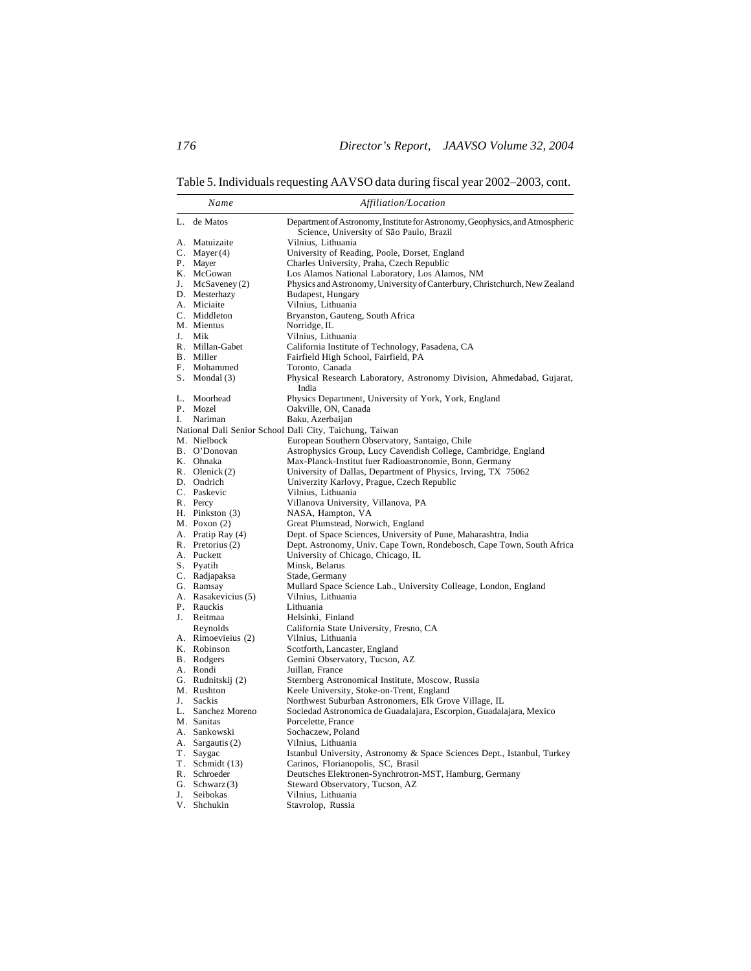Table 5. Individuals requesting AAVSO data during fiscal year 2002–2003, cont.

|    | Name                          | Affiliation/Location                                                                                        |
|----|-------------------------------|-------------------------------------------------------------------------------------------------------------|
| L. | de Matos                      | Department of Astronomy, Institute for Astronomy, Geophysics, and Atmospheric                               |
|    |                               | Science, University of São Paulo, Brazil                                                                    |
|    | A. Matuizaite                 | Vilnius, Lithuania                                                                                          |
|    | C. Mayer $(4)$                | University of Reading, Poole, Dorset, England                                                               |
|    | P. Mayer                      | Charles University, Praha, Czech Republic                                                                   |
|    | K. McGowan                    | Los Alamos National Laboratory, Los Alamos, NM                                                              |
|    | J. $McSaveney(2)$             | Physics and Astronomy, University of Canterbury, Christchurch, New Zealand                                  |
|    | D. Mesterhazy                 | Budapest, Hungary                                                                                           |
|    | A. Miciaite                   | Vilnius, Lithuania                                                                                          |
|    | C. Middleton                  | Bryanston, Gauteng, South Africa                                                                            |
|    | M. Mientus                    | Norridge, IL                                                                                                |
| J. | Mik                           | Vilnius, Lithuania                                                                                          |
|    | R. Millan-Gabet               | California Institute of Technology, Pasadena, CA                                                            |
|    | B. Miller                     | Fairfield High School, Fairfield, PA                                                                        |
|    | F. Mohammed                   | Toronto, Canada                                                                                             |
|    | $S.$ Mondal $(3)$             | Physical Research Laboratory, Astronomy Division, Ahmedabad, Gujarat,<br>India                              |
|    | L. Moorhead                   | Physics Department, University of York, York, England                                                       |
|    | P. Mozel                      | Oakville, ON, Canada                                                                                        |
| I. | Nariman                       | Baku, Azerbaijan                                                                                            |
|    |                               | National Dali Senior School Dali City, Taichung, Taiwan                                                     |
|    | M. Nielbock                   | European Southern Observatory, Santaigo, Chile                                                              |
|    | B. O'Donovan                  | Astrophysics Group, Lucy Cavendish College, Cambridge, England                                              |
|    | K. Ohnaka<br>R. Olenick $(2)$ | Max-Planck-Institut fuer Radioastronomie, Bonn, Germany                                                     |
|    | D. Ondrich                    | University of Dallas, Department of Physics, Irving, TX 75062<br>Univerzity Karlovy, Prague, Czech Republic |
|    | C. Paskevic                   | Vilnius, Lithuania                                                                                          |
|    | R. Percy                      | Villanova University, Villanova, PA                                                                         |
|    | H. Pinkston (3)               | NASA, Hampton, VA                                                                                           |
|    | M. Poxon (2)                  | Great Plumstead, Norwich, England                                                                           |
|    | A. Pratip Ray (4)             | Dept. of Space Sciences, University of Pune, Maharashtra, India                                             |
|    | R. Pretorius (2)              | Dept. Astronomy, Univ. Cape Town, Rondebosch, Cape Town, South Africa                                       |
|    | A. Puckett                    | University of Chicago, Chicago, IL                                                                          |
|    | S. Pyatih                     | Minsk, Belarus                                                                                              |
|    | C. Radjapaksa                 | Stade, Germany                                                                                              |
|    | G. Ramsay                     | Mullard Space Science Lab., University Colleage, London, England                                            |
|    | A. Rasakevicius (5)           | Vilnius, Lithuania                                                                                          |
|    | P. Rauckis                    | Lithuania                                                                                                   |
| J. | Reitmaa                       | Helsinki, Finland                                                                                           |
|    | Reynolds                      | California State University, Fresno, CA                                                                     |
|    | A. Rimoevieius (2)            | Vilnius, Lithuania                                                                                          |
|    | K. Robinson                   | Scotforth, Lancaster, England                                                                               |
|    | B. Rodgers                    | Gemini Observatory, Tucson, AZ                                                                              |
|    | A. Rondi                      | Juillan, France                                                                                             |
|    | G. Rudnitskij (2)             | Sternberg Astronomical Institute, Moscow, Russia                                                            |
|    | M. Rushton<br>Sackis          | Keele University, Stoke-on-Trent, England                                                                   |
| J. | L. Sanchez Moreno             | Northwest Suburban Astronomers, Elk Grove Village, IL                                                       |
|    | M. Sanitas                    | Sociedad Astronomica de Guadalajara, Escorpion, Guadalajara, Mexico<br>Porcelette, France                   |
|    | A. Sankowski                  | Sochaczew, Poland                                                                                           |
|    | A. Sargautis (2)              | Vilnius, Lithuania                                                                                          |
|    | T. Saygac                     | Istanbul University, Astronomy & Space Sciences Dept., Istanbul, Turkey                                     |
|    | T. Schmidt (13)               | Carinos, Florianopolis, SC, Brasil                                                                          |
|    | R. Schroeder                  | Deutsches Elektronen-Synchrotron-MST, Hamburg, Germany                                                      |
|    | G. Schwarz $(3)$              | Steward Observatory, Tucson, AZ                                                                             |
| J. | Seibokas                      | Vilnius, Lithuania                                                                                          |
|    | V. Shchukin                   | Stavrolop, Russia                                                                                           |